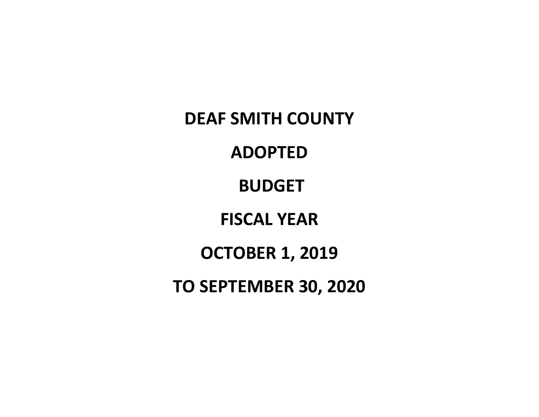**DEAF SMITH COUNTY ADOPTED BUDGET FISCAL YEAR OCTOBER 1, 2019 TO SEPTEMBER 30, 2020**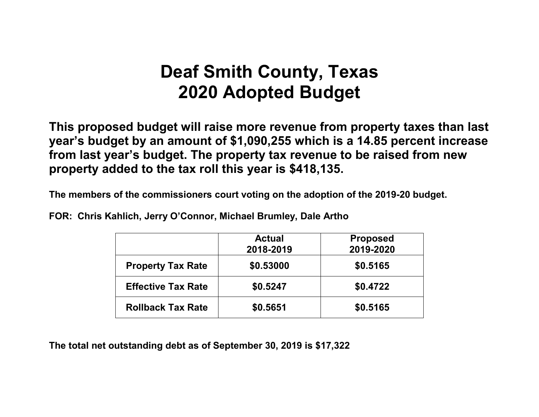# **Deaf Smith County, Texas 2020 Adopted Budget**

**This proposed budget will raise more revenue from property taxes than last year's budget by an amount of \$1,090,255 which is a 14.85 percent increase from last year's budget. The property tax revenue to be raised from new property added to the tax roll this year is \$418,135.**

**The members of the commissioners court voting on the adoption of the 2019-20 budget.**

**FOR: Chris Kahlich, Jerry O'Connor, Michael Brumley, Dale Artho**

|                           | <b>Actual</b><br>2018-2019 | <b>Proposed</b><br>2019-2020 |
|---------------------------|----------------------------|------------------------------|
| <b>Property Tax Rate</b>  | \$0.53000                  | \$0.5165                     |
| <b>Effective Tax Rate</b> | \$0.5247                   | \$0.4722                     |
| <b>Rollback Tax Rate</b>  | \$0.5651                   | \$0.5165                     |

**The total net outstanding debt as of September 30, 2019 is \$17,322**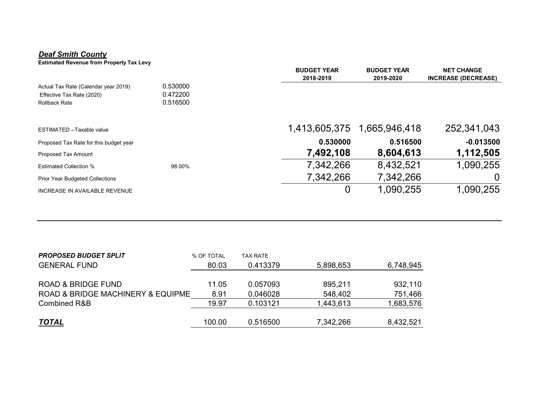#### *Deaf Smith County*

**Estimated Revenue from Property Tax Levy**

|                                        |          | <b>BUDGET YEAR</b> | <b>BUDGET YEAR</b> | <b>NET CHANGE</b>          |
|----------------------------------------|----------|--------------------|--------------------|----------------------------|
|                                        |          | 2018-2019          | 2019-2020          | <b>INCREASE (DECREASE)</b> |
| Actual Tax Rate (Calendar year 2019)   | 0.530000 |                    |                    |                            |
| Effective Tax Rate (2020)              | 0.472200 |                    |                    |                            |
| <b>Rollback Rate</b>                   | 0.516500 |                    |                    |                            |
| ESTIMATED --Taxable value              |          | 1,413,605,375      | 1,665,946,418      | 252,341,043                |
|                                        |          |                    |                    |                            |
| Proposed Tax Rate for this budget year |          | 0.530000           | 0.516500           | $-0.013500$                |
| Proposed Tax Amount                    |          | 7,492,108          | 8,604,613          | 1,112,505                  |
| <b>Estimated Collection %</b>          | 98.00%   | 7,342,266          | 8,432,521          | 1,090.255                  |
| <b>Prior Year Budgeted Collections</b> |          | 7,342,266          | 7,342,266          |                            |
| <b>INCREASE IN AVAILABLE REVENUE</b>   |          | 0                  | 1,090,255          | 1,090,255                  |
|                                        |          |                    |                    |                            |

| <b>PROPOSED BUDGET SPLIT</b>      | % OF TOTAL | TAX RATE |           |           |
|-----------------------------------|------------|----------|-----------|-----------|
| <b>GENERAL FUND</b>               | 80.03      | 0.413379 | 5,898,653 | 6,748,945 |
|                                   |            |          |           |           |
| <b>ROAD &amp; BRIDGE FUND</b>     | 11.05      | 0.057093 | 895,211   | 932,110   |
| ROAD & BRIDGE MACHINERY & EQUIPME | 8.91       | 0.046028 | 548,402   | 751,466   |
| <b>Combined R&amp;B</b>           | 19.97      | 0.103121 | 1,443,613 | 1,683,576 |
|                                   |            |          |           |           |
| <u>TOTAL</u>                      | 100.00     | 0.516500 | 7,342,266 | 8,432,521 |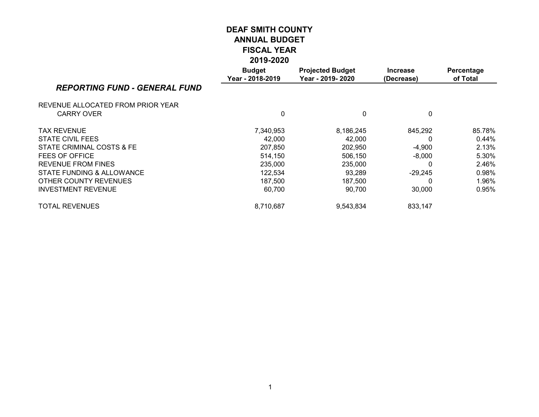|                                      | <b>Budget</b><br>Year - 2018-2019 | <b>Projected Budget</b><br>Year - 2019-2020 | <b>Increase</b><br>(Decrease) | Percentage<br>of Total |
|--------------------------------------|-----------------------------------|---------------------------------------------|-------------------------------|------------------------|
| <b>REPORTING FUND - GENERAL FUND</b> |                                   |                                             |                               |                        |
| REVENUE ALLOCATED FROM PRIOR YEAR    |                                   |                                             |                               |                        |
| <b>CARRY OVER</b>                    | 0                                 | 0                                           | 0                             |                        |
| <b>TAX REVENUE</b>                   | 7,340,953                         | 8,186,245                                   | 845,292                       | 85.78%                 |
| STATE CIVIL FEES                     | 42.000                            | 42.000                                      | 0                             | $0.44\%$               |
| STATE CRIMINAL COSTS & FE            | 207,850                           | 202,950                                     | $-4,900$                      | 2.13%                  |
| FEES OF OFFICE                       | 514,150                           | 506,150                                     | $-8,000$                      | 5.30%                  |
| <b>REVENUE FROM FINES</b>            | 235,000                           | 235,000                                     |                               | 2.46%                  |
| STATE FUNDING & ALLOWANCE            | 122,534                           | 93,289                                      | $-29,245$                     | 0.98%                  |
| OTHER COUNTY REVENUES                | 187,500                           | 187,500                                     |                               | 1.96%                  |
| <b>INVESTMENT REVENUE</b>            | 60,700                            | 90,700                                      | 30,000                        | 0.95%                  |
| <b>TOTAL REVENUES</b>                | 8,710,687                         | 9,543,834                                   | 833,147                       |                        |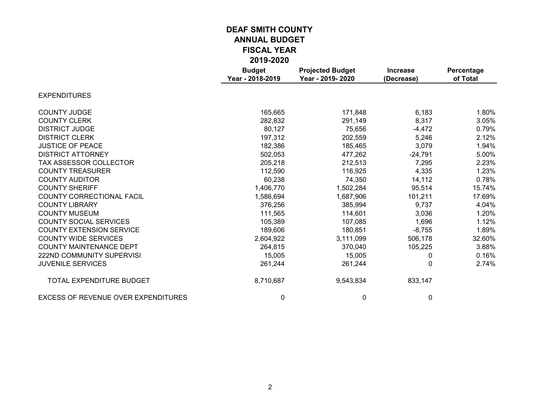|                                            | <b>Budget</b><br>Year - 2018-2019 | <b>Projected Budget</b><br>Year - 2019-2020 | <b>Increase</b><br>(Decrease) | Percentage<br>of Total |
|--------------------------------------------|-----------------------------------|---------------------------------------------|-------------------------------|------------------------|
| <b>EXPENDITURES</b>                        |                                   |                                             |                               |                        |
| <b>COUNTY JUDGE</b>                        | 165,665                           | 171,848                                     | 6,183                         | 1.80%                  |
| <b>COUNTY CLERK</b>                        | 282,832                           | 291,149                                     | 8,317                         | 3.05%                  |
| <b>DISTRICT JUDGE</b>                      | 80,127                            | 75,656                                      | $-4,472$                      | 0.79%                  |
| <b>DISTRICT CLERK</b>                      | 197,312                           | 202,559                                     | 5,246                         | 2.12%                  |
| <b>JUSTICE OF PEACE</b>                    | 182,386                           | 185,465                                     | 3,079                         | 1.94%                  |
| <b>DISTRICT ATTORNEY</b>                   | 502,053                           | 477,262                                     | $-24,791$                     | 5.00%                  |
| TAX ASSESSOR COLLECTOR                     | 205,218                           | 212,513                                     | 7,295                         | 2.23%                  |
| <b>COUNTY TREASURER</b>                    | 112,590                           | 116,925                                     | 4,335                         | 1.23%                  |
| <b>COUNTY AUDITOR</b>                      | 60,238                            | 74,350                                      | 14,112                        | 0.78%                  |
| <b>COUNTY SHERIFF</b>                      | 1,406,770                         | 1,502,284                                   | 95,514                        | 15.74%                 |
| <b>COUNTY CORRECTIONAL FACIL</b>           | 1,586,694                         | 1,687,906                                   | 101,211                       | 17.69%                 |
| <b>COUNTY LIBRARY</b>                      | 376,256                           | 385,994                                     | 9,737                         | 4.04%                  |
| <b>COUNTY MUSEUM</b>                       | 111,565                           | 114,601                                     | 3,036                         | 1.20%                  |
| <b>COUNTY SOCIAL SERVICES</b>              | 105,389                           | 107,085                                     | 1,696                         | 1.12%                  |
| <b>COUNTY EXTENSION SERVICE</b>            | 189,606                           | 180,851                                     | $-8,755$                      | 1.89%                  |
| <b>COUNTY WIDE SERVICES</b>                | 2,604,922                         | 3,111,099                                   | 506,178                       | 32.60%                 |
| <b>COUNTY MAINTENANCE DEPT</b>             | 264,815                           | 370,040                                     | 105,225                       | 3.88%                  |
| 222ND COMMUNITY SUPERVISI                  | 15,005                            | 15,005                                      | 0                             | 0.16%                  |
| <b>JUVENILE SERVICES</b>                   | 261,244                           | 261,244                                     | 0                             | 2.74%                  |
| TOTAL EXPENDITURE BUDGET                   | 8,710,687                         | 9,543,834                                   | 833,147                       |                        |
| <b>EXCESS OF REVENUE OVER EXPENDITURES</b> | 0                                 | 0                                           | 0                             |                        |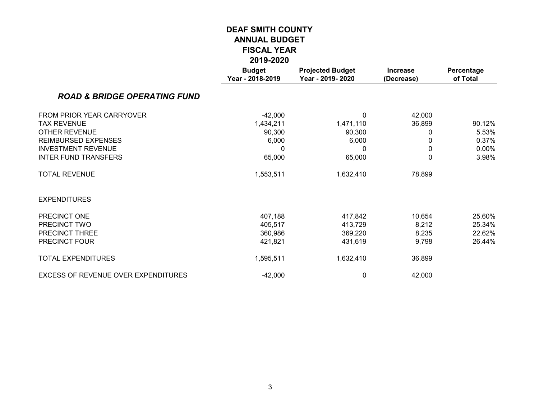|                                         | LV IJ-LVLV                        |                                             |                               |                        |
|-----------------------------------------|-----------------------------------|---------------------------------------------|-------------------------------|------------------------|
|                                         | <b>Budget</b><br>Year - 2018-2019 | <b>Projected Budget</b><br>Year - 2019-2020 | <b>Increase</b><br>(Decrease) | Percentage<br>of Total |
| <b>ROAD &amp; BRIDGE OPERATING FUND</b> |                                   |                                             |                               |                        |
| FROM PRIOR YEAR CARRYOVER               | $-42,000$                         | 0                                           | 42,000                        |                        |
| <b>TAX REVENUE</b>                      | 1,434,211                         | 1,471,110                                   | 36,899                        | 90.12%                 |
| <b>OTHER REVENUE</b>                    | 90,300                            | 90,300                                      | 0                             | 5.53%                  |
| <b>REIMBURSED EXPENSES</b>              | 6,000                             | 6,000                                       | 0                             | 0.37%                  |
| <b>INVESTMENT REVENUE</b>               | 0                                 | 0                                           | $\Omega$                      | $0.00\%$               |
| <b>INTER FUND TRANSFERS</b>             | 65,000                            | 65,000                                      | 0                             | 3.98%                  |
| <b>TOTAL REVENUE</b>                    | 1,553,511                         | 1,632,410                                   | 78,899                        |                        |
| <b>EXPENDITURES</b>                     |                                   |                                             |                               |                        |
| PRECINCT ONE                            | 407,188                           | 417,842                                     | 10,654                        | 25.60%                 |
| PRECINCT TWO                            | 405,517                           | 413,729                                     | 8,212                         | 25.34%                 |
| PRECINCT THREE                          | 360,986                           | 369,220                                     | 8,235                         | 22.62%                 |
| PRECINCT FOUR                           | 421,821                           | 431,619                                     | 9,798                         | 26.44%                 |
| <b>TOTAL EXPENDITURES</b>               | 1,595,511                         | 1,632,410                                   | 36,899                        |                        |
| EXCESS OF REVENUE OVER EXPENDITURES     | $-42,000$                         | 0                                           | 42,000                        |                        |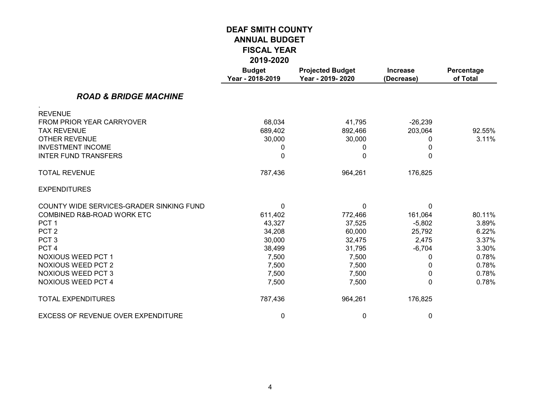|                                          | <b>Budget</b><br>Year - 2018-2019 | <b>Projected Budget</b><br>Year - 2019-2020 | <b>Increase</b><br>(Decrease) | Percentage<br>of Total |
|------------------------------------------|-----------------------------------|---------------------------------------------|-------------------------------|------------------------|
| <b>ROAD &amp; BRIDGE MACHINE</b>         |                                   |                                             |                               |                        |
| <b>REVENUE</b>                           |                                   |                                             |                               |                        |
| FROM PRIOR YEAR CARRYOVER                | 68,034                            | 41,795                                      | $-26,239$                     |                        |
| <b>TAX REVENUE</b>                       | 689,402                           | 892,466                                     | 203,064                       | 92.55%                 |
| <b>OTHER REVENUE</b>                     | 30,000                            | 30,000                                      | 0                             | 3.11%                  |
| <b>INVESTMENT INCOME</b>                 | 0                                 | 0                                           | 0                             |                        |
| <b>INTER FUND TRANSFERS</b>              | 0                                 | $\Omega$                                    | 0                             |                        |
| <b>TOTAL REVENUE</b>                     | 787,436                           | 964,261                                     | 176,825                       |                        |
| <b>EXPENDITURES</b>                      |                                   |                                             |                               |                        |
| COUNTY WIDE SERVICES-GRADER SINKING FUND | 0                                 | 0                                           | $\Omega$                      |                        |
| COMBINED R&B-ROAD WORK ETC               | 611,402                           | 772,466                                     | 161,064                       | 80.11%                 |
| PCT <sub>1</sub>                         | 43,327                            | 37,525                                      | $-5,802$                      | 3.89%                  |
| PCT <sub>2</sub>                         | 34,208                            | 60,000                                      | 25,792                        | 6.22%                  |
| PCT <sub>3</sub>                         | 30,000                            | 32,475                                      | 2,475                         | 3.37%                  |
| PCT <sub>4</sub>                         | 38,499                            | 31,795                                      | $-6,704$                      | 3.30%                  |
| NOXIOUS WEED PCT 1                       | 7,500                             | 7,500                                       | 0                             | 0.78%                  |
| <b>NOXIOUS WEED PCT 2</b>                | 7,500                             | 7,500                                       | 0                             | 0.78%                  |
| <b>NOXIOUS WEED PCT 3</b>                | 7,500                             | 7,500                                       | 0                             | 0.78%                  |
| <b>NOXIOUS WEED PCT 4</b>                | 7,500                             | 7,500                                       | 0                             | 0.78%                  |
| <b>TOTAL EXPENDITURES</b>                | 787,436                           | 964,261                                     | 176,825                       |                        |
| EXCESS OF REVENUE OVER EXPENDITURE       | 0                                 | 0                                           | 0                             |                        |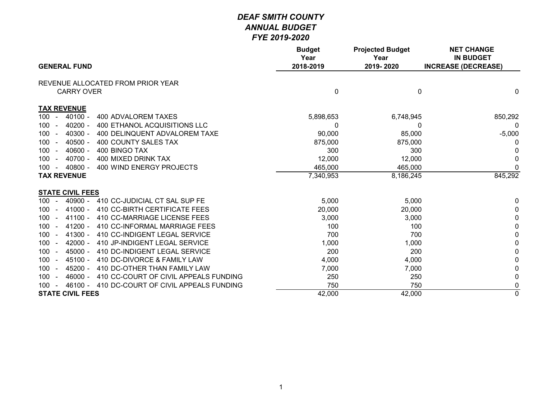|                                                                     | <b>Budget</b><br>Year | <b>Projected Budget</b><br>Year | <b>NET CHANGE</b><br><b>IN BUDGET</b> |
|---------------------------------------------------------------------|-----------------------|---------------------------------|---------------------------------------|
| <b>GENERAL FUND</b>                                                 | 2018-2019             | 2019-2020                       | <b>INCREASE (DECREASE)</b>            |
| REVENUE ALLOCATED FROM PRIOR YEAR                                   |                       |                                 |                                       |
| <b>CARRY OVER</b>                                                   | 0                     | $\mathbf 0$                     | $\mathbf 0$                           |
| <b>TAX REVENUE</b>                                                  |                       |                                 |                                       |
| 100<br>$40100 -$<br>400 ADVALOREM TAXES<br>$\sim$                   | 5,898,653             | 6,748,945                       | 850,292                               |
| $40200 -$<br>400 ETHANOL ACQUISITIONS LLC<br>100<br>$\blacksquare$  | 0                     | 0                               | 0                                     |
| 100<br>$40300 -$<br>400 DELINQUENT ADVALOREM TAXE                   | 90,000                | 85,000                          | $-5,000$                              |
| $40500 -$<br>400 COUNTY SALES TAX<br>100<br>$\sim$                  | 875,000               | 875,000                         | 0                                     |
| $40600 -$<br>400 BINGO TAX<br>100<br>$\overline{a}$                 | 300                   | 300                             | 0                                     |
| 100<br>$40700 -$<br>400 MIXED DRINK TAX<br>$\sim$                   | 12,000                | 12,000                          | 0                                     |
| $40800 -$<br>400 WIND ENERGY PROJECTS<br>100<br>$\sim$              | 465,000               | 465,000                         | 0                                     |
| <b>TAX REVENUE</b>                                                  | 7,340,953             | 8,186,245                       | 845,292                               |
| <b>STATE CIVIL FEES</b>                                             |                       |                                 |                                       |
| 40900 - 410 CC-JUDICIAL CT SAL SUP FE<br>$100 -$                    | 5,000                 | 5,000                           | 0                                     |
| 41000 -<br>410 CC-BIRTH CERTIFICATE FEES<br>100<br>$\sim$           | 20,000                | 20,000                          | 0                                     |
| 41100 -<br>410 CC-MARRIAGE LICENSE FEES<br>100<br>$\sim$            | 3,000                 | 3,000                           | 0                                     |
| 410 CC-INFORMAL MARRIAGE FEES<br>$41200 -$<br>100<br>$\sim$         | 100                   | 100                             | 0                                     |
| 100<br>$41300 -$<br>410 CC-INDIGENT LEGAL SERVICE<br>$\sim$         | 700                   | 700                             | $\mathbf 0$                           |
| 410 JP-INDIGENT LEGAL SERVICE<br>$42000 -$<br>100                   | 1,000                 | 1,000                           | 0                                     |
| 45000 -<br>100<br>410 DC-INDIGENT LEGAL SERVICE<br>$\sim$           | 200                   | 200                             | 0                                     |
| $45100 -$<br>410 DC-DIVORCE & FAMILY LAW<br>100<br>$\sim$           | 4,000                 | 4,000                           | 0                                     |
| 100<br>$45200 -$<br>410 DC-OTHER THAN FAMILY LAW<br>$\sim$          | 7,000                 | 7,000                           | $\mathbf 0$                           |
| 410 CC-COURT OF CIVIL APPEALS FUNDING<br>100<br>$46000 -$<br>$\sim$ | 250                   | 250                             | $\mathbf{0}$                          |
| 46100 - 410 DC-COURT OF CIVIL APPEALS FUNDING<br>$100 -$            | 750                   | 750                             | 0                                     |
| <b>STATE CIVIL FEES</b>                                             | 42,000                | 42,000                          | $\overline{0}$                        |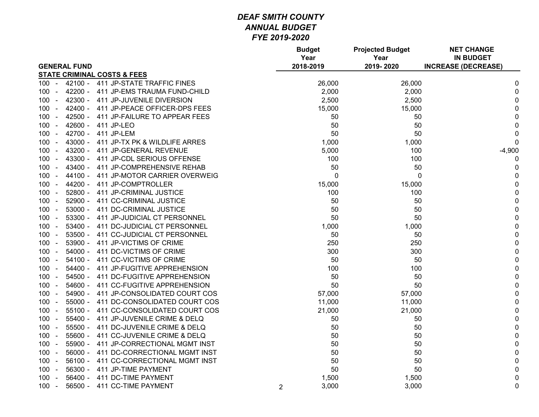|                                                       |                | <b>Budget</b><br>Year | <b>Projected Budget</b><br>Year | <b>NET CHANGE</b><br><b>IN BUDGET</b> |
|-------------------------------------------------------|----------------|-----------------------|---------------------------------|---------------------------------------|
| <b>GENERAL FUND</b>                                   |                | 2018-2019             | 2019-2020                       | <b>INCREASE (DECREASE)</b>            |
| <b>STATE CRIMINAL COSTS &amp; FEES</b>                |                |                       |                                 |                                       |
| 411 JP-STATE TRAFFIC FINES<br>42100 -<br>$100 -$      |                | 26,000                | 26,000                          | 0                                     |
| 42200 -<br>411 JP-EMS TRAUMA FUND-CHILD<br>$100 -$    |                | 2,000                 | 2,000                           | $\pmb{0}$                             |
| 42300 - 411 JP-JUVENILE DIVERSION<br>$100 -$          |                | 2,500                 | 2,500                           | 0                                     |
| 42400 -<br>411 JP-PEACE OFFICER-DPS FEES<br>$100 -$   |                | 15,000                | 15,000                          | 0                                     |
| $100 -$<br>42500 -<br>411 JP-FAILURE TO APPEAR FEES   |                | 50                    | 50                              | 0                                     |
| $42600 -$<br>$100 -$<br>411 JP-LEO                    |                | 50                    | 50                              | $\pmb{0}$                             |
| 42700 -<br>100<br>411 JP-LEM<br>$\sim$                |                | 50                    | 50                              | $\pmb{0}$                             |
| $43000 -$<br>411 JP-TX PK & WILDLIFE ARRES<br>$100 -$ |                | 1,000                 | 1,000                           | $\mathbf 0$                           |
| 43200 -<br>411 JP-GENERAL REVENUE<br>$100 -$          |                | 5,000                 | 100                             | $-4,900$                              |
| 43300 -<br>411 JP-CDL SERIOUS OFFENSE<br>$100 -$      |                | 100                   | 100                             | 0                                     |
| 43400 -<br>$100 -$<br>411 JP-COMPREHENSIVE REHAB      |                | 50                    | 50                              | 0                                     |
| 44100 -<br>411 JP-MOTOR CARRIER OVERWEIG<br>$100 -$   |                | 0                     | 0                               | $\mathbf 0$                           |
| $100 -$<br>44200 -<br>411 JP-COMPTROLLER              |                | 15,000                | 15,000                          | $\pmb{0}$                             |
| $52800 -$<br>411 JP-CRIMINAL JUSTICE<br>$100 -$       |                | 100                   | 100                             | $\pmb{0}$                             |
| $52900 -$<br>411 CC-CRIMINAL JUSTICE<br>$100 -$       |                | 50                    | 50                              | 0                                     |
| $100 -$<br>53000 -<br>411 DC-CRIMINAL JUSTICE         |                | 50                    | 50                              | $\pmb{0}$                             |
| $100 -$<br>$53300 -$<br>411 JP-JUDICIAL CT PERSONNEL  |                | 50                    | 50                              | $\pmb{0}$                             |
| $53400 -$<br>411 DC-JUDICIAL CT PERSONNEL<br>$100 -$  |                | 1,000                 | 1,000                           | $\pmb{0}$                             |
| 53500 -<br>411 CC-JUDICIAL CT PERSONNEL<br>$100 -$    |                | 50                    | 50                              | $\pmb{0}$                             |
| $53900 -$<br>411 JP-VICTIMS OF CRIME<br>$100 -$       |                | 250                   | 250                             | $\pmb{0}$                             |
| 54000 -<br>411 DC-VICTIMS OF CRIME<br>$100 -$         |                | 300                   | 300                             | $\pmb{0}$                             |
| 411 CC-VICTIMS OF CRIME<br>$100 -$<br>54100 -         |                | 50                    | 50                              | $\pmb{0}$                             |
| $100 -$<br>54400 -<br>411 JP-FUGITIVE APPREHENSION    |                | 100                   | 100                             | $\mathbf 0$                           |
| 411 DC-FUGITIVE APPREHENSION<br>$100 -$<br>$54500 -$  |                | 50                    | 50                              | $\pmb{0}$                             |
| 54600 -<br>411 CC-FUGITIVE APPREHENSION<br>$100 -$    |                | 50                    | 50                              | $\pmb{0}$                             |
| 54900 -<br>411 JP-CONSOLIDATED COURT COS<br>$100 -$   |                | 57,000                | 57,000                          | $\pmb{0}$                             |
| 55000 -<br>411 DC-CONSOLIDATED COURT COS<br>$100 -$   |                | 11,000                | 11,000                          | $\pmb{0}$                             |
| $55100 -$<br>411 CC-CONSOLIDATED COURT COS<br>$100 -$ |                | 21,000                | 21,000                          | $\pmb{0}$                             |
| 411 JP-JUVENILE CRIME & DELQ<br>$100 -$<br>$55400 -$  |                | 50                    | 50                              | $\pmb{0}$                             |
| 411 DC-JUVENILE CRIME & DELQ<br>$100 -$<br>$55500 -$  |                | 50                    | 50                              | $\pmb{0}$                             |
| $100 -$<br>55600 -<br>411 CC-JUVENILE CRIME & DELQ    |                | 50                    | 50                              | $\pmb{0}$                             |
| 55900 -<br>411 JP-CORRECTIONAL MGMT INST<br>$100 -$   |                | 50                    | 50                              | $\pmb{0}$                             |
| 56000 -<br>411 DC-CORRECTIONAL MGMT INST<br>$100 -$   |                | 50                    | 50                              | $\pmb{0}$                             |
| 411 CC-CORRECTIONAL MGMT INST<br>$100 -$<br>56100 -   |                | 50                    | 50                              | $\pmb{0}$                             |
| 56300 -<br>411 JP-TIME PAYMENT<br>$100 -$             |                | 50                    | 50                              | $\pmb{0}$                             |
| $56400 -$<br>411 DC-TIME PAYMENT<br>$100 -$           |                | 1,500                 | 1,500                           | $\pmb{0}$                             |
| $56500 -$<br>411 CC-TIME PAYMENT<br>$100 -$           | $\overline{2}$ | 3,000                 | 3,000                           | $\mathbf 0$                           |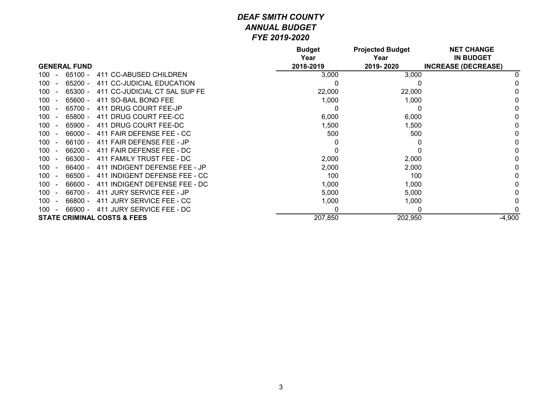|                                                    | <b>Budget</b><br>Year | <b>Projected Budget</b><br>Year | <b>NET CHANGE</b><br><b>IN BUDGET</b> |
|----------------------------------------------------|-----------------------|---------------------------------|---------------------------------------|
| <b>GENERAL FUND</b>                                | 2018-2019             | 2019-2020                       | <b>INCREASE (DECREASE)</b>            |
| $65100 -$<br>411 CC-ABUSED CHILDREN<br>100         | 3,000                 | 3,000                           | 0                                     |
| $65200 -$<br>411 CC-JUDICIAL EDUCATION<br>100      | 0                     |                                 |                                       |
| 65300 -<br>411 CC-JUDICIAL CT SAL SUP FE<br>100    | 22,000                | 22,000                          | 0                                     |
| 100<br>65600 -<br>411 SO-BAIL BOND FEE             | 1,000                 | 1,000                           |                                       |
| 65700 -<br>411 DRUG COURT FEE-JP<br>100            | 0                     | 0                               | 0                                     |
| 411 DRUG COURT FEE-CC<br>65800 -<br>100            | 6,000                 | 6,000                           |                                       |
| $65900 -$<br>411 DRUG COURT FEE-DC<br>100          | 1,500                 | 1,500                           | 0                                     |
| 411 FAIR DEFENSE FEE - CC<br>100<br>$66000 -$      | 500                   | 500                             | 0                                     |
| $66100 -$<br>411 FAIR DEFENSE FEE - JP<br>100      | 0                     |                                 | 0                                     |
| $66200 -$<br>411 FAIR DEFENSE FEE - DC<br>100      | 0                     |                                 | 0                                     |
| $66300 -$<br>411 FAMILY TRUST FEE - DC<br>100      | 2,000                 | 2,000                           |                                       |
| $66400 -$<br>100<br>411 INDIGENT DEFENSE FEE - JP  | 2,000                 | 2,000                           | 0                                     |
| $66500 -$<br>100<br>411 INDIGENT DEFENSE FEE - CC  | 100                   | 100                             | 0                                     |
| 100<br>66600 -<br>INDIGENT DEFENSE FEE - DC<br>411 | 1,000                 | 1,000                           | 0                                     |
| 66700 -<br>JURY SERVICE FEE - JP<br>100<br>411     | 5,000                 | 5,000                           | 0                                     |
| 411 JURY SERVICE FEE - CC<br>66800 -<br>100        | 1,000                 | 1,000                           |                                       |
| 66900 -<br>411 JURY SERVICE FEE - DC<br>100        | 0                     | 0                               | 0                                     |
| <b>STATE CRIMINAL COSTS &amp; FEES</b>             | 207,850               | 202,950                         | $-4,900$                              |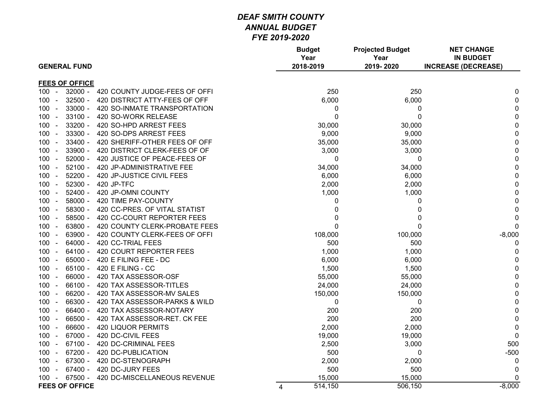| <b>GENERAL FUND</b>                          |                               |                | <b>Budget</b><br>Year<br>2018-2019 | <b>Projected Budget</b><br>Year<br>2019-2020 | <b>NET CHANGE</b><br><b>IN BUDGET</b><br><b>INCREASE (DECREASE)</b> |
|----------------------------------------------|-------------------------------|----------------|------------------------------------|----------------------------------------------|---------------------------------------------------------------------|
|                                              |                               |                |                                    |                                              |                                                                     |
| <b>FEES OF OFFICE</b>                        |                               |                |                                    |                                              |                                                                     |
| $32000 -$<br>$100 -$                         | 420 COUNTY JUDGE-FEES OF OFFI |                | 250                                | 250                                          | 0                                                                   |
| $32500 -$<br>100                             | 420 DISTRICT ATTY-FEES OF OFF |                | 6,000                              | 6,000                                        | $\Omega$                                                            |
| $33000 -$<br>$100 -$                         | 420 SO-INMATE TRANSPORTATION  |                | 0                                  | 0                                            | $\Omega$                                                            |
| $33100 -$<br>100 -                           | 420 SO-WORK RELEASE           |                | $\mathbf 0$                        | 0                                            | 0                                                                   |
| 33200 -<br>$100 -$                           | 420 SO-HPD ARREST FEES        |                | 30,000                             | 30,000                                       | 0                                                                   |
| $33300 -$<br>$100 -$                         | 420 SO-DPS ARREST FEES        |                | 9,000                              | 9,000                                        | 0                                                                   |
| $33400 -$<br>100<br>$\sim$                   | 420 SHERIFF-OTHER FEES OF OFF |                | 35,000                             | 35,000                                       | $\Omega$                                                            |
| 33900 -<br>$100 -$                           | 420 DISTRICT CLERK-FEES OF OF |                | 3,000                              | 3,000                                        | $\Omega$                                                            |
| $52000 -$<br>$100 -$                         | 420 JUSTICE OF PEACE-FEES OF  |                | $\pmb{0}$                          | 0                                            | $\Omega$                                                            |
| 52100 - 420 JP-ADMINISTRATIVE FEE<br>$100 -$ |                               |                | 34,000                             | 34,000                                       | $\Omega$                                                            |
| $100 -$<br>$52200 -$                         | 420 JP-JUSTICE CIVIL FEES     |                | 6,000                              | 6,000                                        | 0                                                                   |
| $52300 -$<br>420 JP-TFC<br>$100 -$           |                               |                | 2,000                              | 2,000                                        | $\Omega$                                                            |
| $52400 -$<br>420 JP-OMNI COUNTY<br>$100 -$   |                               |                | 1,000                              | 1,000                                        | $\Omega$                                                            |
| $58000 -$<br>$100 -$                         | 420 TIME PAY-COUNTY           |                | 0                                  | 0                                            | 0                                                                   |
| 58300 -<br>$100 -$                           | 420 CC-PRES. OF VITAL STATIST |                | 0                                  | 0                                            | 0                                                                   |
| $58500 -$<br>$100 -$                         | 420 CC-COURT REPORTER FEES    |                | $\mathbf{0}$                       | 0                                            | 0                                                                   |
| 63800 -<br>$100 -$                           | 420 COUNTY CLERK-PROBATE FEES |                | $\mathbf 0$                        | $\mathbf 0$                                  | $\Omega$                                                            |
| 63900 -<br>100<br>$\sim$                     | 420 COUNTY CLERK-FEES OF OFFI |                | 108,000                            | 100,000                                      | $-8,000$                                                            |
| $64000 -$<br>$100 -$<br>420 CC-TRIAL FEES    |                               |                | 500                                | 500                                          | 0                                                                   |
| $64100 -$<br>$100 -$                         | 420 COURT REPORTER FEES       |                | 1,000                              | 1,000                                        | 0                                                                   |
| 65000 - 420 E FILING FEE - DC<br>$100 -$     |                               |                | 6,000                              | 6,000                                        | 0                                                                   |
| 65100 -<br>420 E FILING - CC<br>$100 -$      |                               |                | 1,500                              | 1,500                                        | $\mathbf 0$                                                         |
| 66000 -<br>$100 -$                           | 420 TAX ASSESSOR-OSF          |                | 55,000                             | 55,000                                       | 0                                                                   |
| 66100 -<br>$100 -$                           | 420 TAX ASSESSOR-TITLES       |                | 24,000                             | 24,000                                       | $\Omega$                                                            |
| 66200 -<br>$100 -$                           | 420 TAX ASSESSOR-MV SALES     |                | 150,000                            | 150,000                                      | 0                                                                   |
| 66300 -<br>$100 -$                           | 420 TAX ASSESSOR-PARKS & WILD |                | $\pmb{0}$                          | 0                                            | 0                                                                   |
| 66400 -<br>$100 -$                           | 420 TAX ASSESSOR-NOTARY       |                | 200                                | 200                                          | 0                                                                   |
| 66500 -<br>100<br>$\sim$                     | 420 TAX ASSESSOR-RET. CK FEE  |                | 200                                | 200                                          | 0                                                                   |
| 66600 -<br><b>420 LIQUOR PERMITS</b><br>100  |                               |                | 2,000                              | 2,000                                        | $\mathbf 0$                                                         |
| 67000 -<br>420 DC-CIVIL FEES<br>$100 -$      |                               |                | 19,000                             | 19,000                                       | $\Omega$                                                            |
| 67100 - 420 DC-CRIMINAL FEES<br>$100 -$      |                               |                | 2,500                              | 3,000                                        | 500                                                                 |
| 67200 -<br>420 DC-PUBLICATION<br>$100 -$     |                               |                | 500                                | 0                                            | $-500$                                                              |
| 67300 -<br>420 DC-STENOGRAPH<br>$100 -$      |                               |                | 2,000                              | 2,000                                        | $\mathbf 0$                                                         |
| 420 DC-JURY FEES<br>67400 -<br>$100 -$       |                               |                | 500                                | 500                                          | $\Omega$                                                            |
| 67500 -<br>$100 -$                           | 420 DC-MISCELLANEOUS REVENUE  |                | 15,000                             | 15,000                                       | 0                                                                   |
| <b>FEES OF OFFICE</b>                        |                               | $\overline{4}$ | 514,150                            | 506,150                                      | $-8,000$                                                            |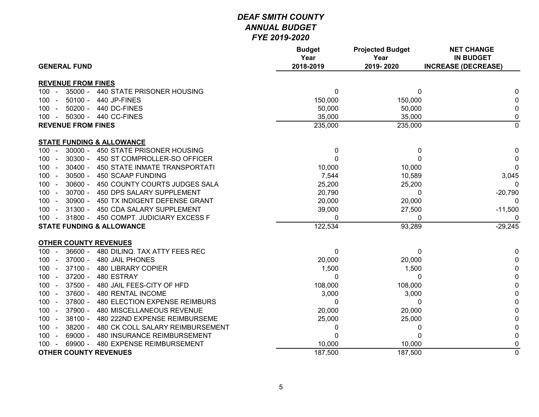| <b>GENERAL FUND</b>                                    | <b>Budget</b><br>Year<br>2018-2019 | <b>Projected Budget</b><br>Year<br>2019-2020 | <b>NET CHANGE</b><br><b>IN BUDGET</b><br><b>INCREASE (DECREASE)</b> |
|--------------------------------------------------------|------------------------------------|----------------------------------------------|---------------------------------------------------------------------|
|                                                        |                                    |                                              |                                                                     |
| <b>REVENUE FROM FINES</b>                              |                                    |                                              |                                                                     |
| 35000 - 440 STATE PRISONER HOUSING<br>100 -            | 0                                  | 0                                            | 0                                                                   |
| $50100 -$<br>100<br>440 JP-FINES                       | 150,000                            | 150,000                                      | 0                                                                   |
| 50200 - 440 DC-FINES<br>100<br>$\sim$                  | 50,000                             | 50,000                                       | 0                                                                   |
| 50300 - 440 CC-FINES<br>$100 -$                        | 35,000                             | 35,000                                       | 0                                                                   |
| <b>REVENUE FROM FINES</b>                              | 235,000                            | 235,000                                      | $\overline{0}$                                                      |
| <b>STATE FUNDING &amp; ALLOWANCE</b>                   |                                    |                                              |                                                                     |
| $30000 -$<br>450 STATE PRISONER HOUSING<br>$100 -$     | 0                                  | 0                                            | 0                                                                   |
| $30300 -$<br>450 ST COMPROLLER-SO OFFICER<br>100       | $\Omega$                           | 0                                            | 0                                                                   |
| $30400 -$<br>450 STATE INMATE TRANSPORTATI<br>100      | 10,000                             | 10,000                                       | $\mathbf 0$                                                         |
| $30500 -$<br>450 SCAAP FUNDING<br>100                  | 7,544                              | 10,589                                       | 3,045                                                               |
| $30600 -$<br>450 COUNTY COURTS JUDGES SALA<br>100      | 25,200                             | 25,200                                       | 0                                                                   |
| $30700 -$<br>100<br>450 DPS SALARY SUPPLEMENT          | 20,790                             | 0                                            | $-20,790$                                                           |
| $30900 -$<br>$100 -$<br>450 TX INDIGENT DEFENSE GRANT  | 20,000                             | 20,000                                       | 0                                                                   |
| $31300 -$<br>$100 -$<br>450 CDA SALARY SUPPLEMENT      | 39,000                             | 27,500                                       | $-11,500$                                                           |
| 31800 - 450 COMPT. JUDICIARY EXCESS F<br>$100 -$       | $\mathbf{0}$                       | 0                                            | 0                                                                   |
| <b>STATE FUNDING &amp; ALLOWANCE</b>                   | 122,534                            | 93,289                                       | $-29,245$                                                           |
| <b>OTHER COUNTY REVENUES</b>                           |                                    |                                              |                                                                     |
| $36600 -$<br>480 DILINQ. TAX ATTY FEES REC<br>$100 -$  | $\mathbf{0}$                       | 0                                            | 0                                                                   |
| $37000 -$<br>100<br>480 JAIL PHONES<br>$\sim$          | 20,000                             | 20,000                                       | 0                                                                   |
| $37100 -$<br>$100 -$<br><b>480 LIBRARY COPIER</b>      | 1,500                              | 1,500                                        | 0                                                                   |
| $37200 -$<br>$100 -$<br>480 ESTRAY                     | $\mathbf{0}$                       | $\Omega$                                     | 0                                                                   |
| $37500 -$<br>$100 -$<br>480 JAIL FEES-CITY OF HFD      | 108,000                            | 108,000                                      | 0                                                                   |
| 37600 -<br>480 RENTAL INCOME<br>$100 -$                | 3,000                              | 3,000                                        | 0                                                                   |
| 37800 -<br>480 ELECTION EXPENSE REIMBURS<br>$100 -$    | 0                                  | 0                                            | $\pmb{0}$                                                           |
| 37900 -<br>$100 -$<br>480 MISCELLANEOUS REVENUE        | 20,000                             | 20,000                                       | 0                                                                   |
| $38100 -$<br>480 222ND EXPENSE REIMBURSEME<br>$100 -$  | 25,000                             | 25,000                                       | 0                                                                   |
| 38200 -<br>480 CK COLL SALARY REIMBURSEMENT<br>$100 -$ | 0                                  | 0                                            | 0                                                                   |
| 480 INSURANCE REIMBURSEMENT<br>69000 -<br>$100 -$      | $\mathbf{0}$                       | 0                                            | 0                                                                   |
| 69900 - 480 EXPENSE REIMBURSEMENT<br>100               | 10,000                             | 10,000                                       | 0                                                                   |
| <b>OTHER COUNTY REVENUES</b>                           | 187,500                            | 187,500                                      | $\mathbf 0$                                                         |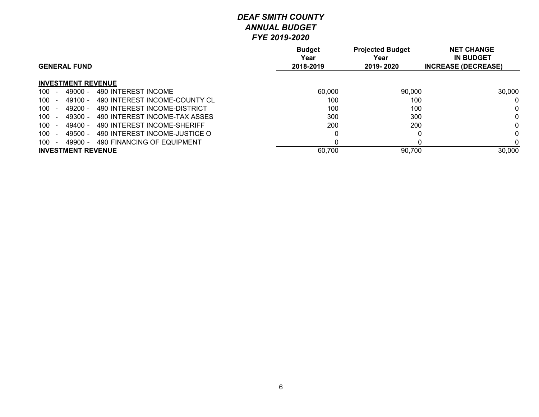|                                                        | <b>Budget</b><br>Year | <b>Projected Budget</b><br>Year | <b>NET CHANGE</b><br><b>IN BUDGET</b> |
|--------------------------------------------------------|-----------------------|---------------------------------|---------------------------------------|
| <b>GENERAL FUND</b>                                    | 2018-2019             | 2019-2020                       | <b>INCREASE (DECREASE)</b>            |
| <b>INVESTMENT REVENUE</b>                              |                       |                                 |                                       |
| 490 INTEREST INCOME<br>100<br>$49000 -$<br>$\sim$      | 60,000                | 90,000                          | 30,000                                |
| 100<br>490 INTEREST INCOME-COUNTY CL<br>$49100 -$      | 100                   | 100                             |                                       |
| 490 INTEREST INCOME-DISTRICT<br>100<br>49200 -         | 100                   | 100                             |                                       |
| 490 INTEREST INCOME-TAX ASSES<br>100<br>49300 -        | 300                   | 300                             |                                       |
| 100<br>490 INTEREST INCOME-SHERIFF<br>49400 -          | 200                   | 200                             |                                       |
| 100<br>490 INTEREST INCOME-JUSTICE O<br>49500 -        | 0                     |                                 |                                       |
| 100<br>490 FINANCING OF EQUIPMENT<br>49900 -<br>$\sim$ | 0                     |                                 |                                       |
| <b>INVESTMENT REVENUE</b>                              | 60,700                | 90,700                          | 30,000                                |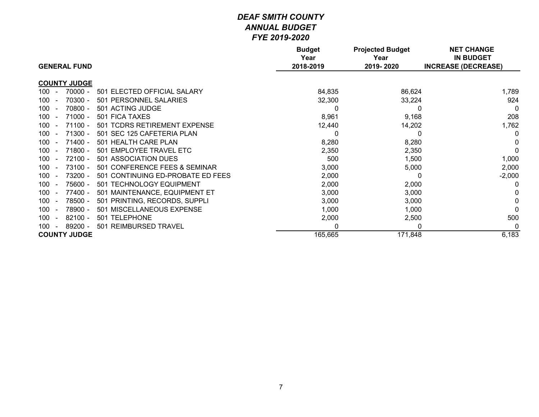| <b>GENERAL FUND</b>                                               | <b>Budget</b><br>Year<br>2018-2019 | <b>Projected Budget</b><br>Year<br>2019-2020 | <b>NET CHANGE</b><br><b>IN BUDGET</b><br><b>INCREASE (DECREASE)</b> |
|-------------------------------------------------------------------|------------------------------------|----------------------------------------------|---------------------------------------------------------------------|
|                                                                   |                                    |                                              |                                                                     |
| <b>COUNTY JUDGE</b>                                               |                                    |                                              |                                                                     |
| $70000 -$<br>501 ELECTED OFFICIAL SALARY<br>$100 -$               | 84,835                             | 86,624                                       | 1,789                                                               |
| 70300 -<br>501 PERSONNEL SALARIES<br>$100-1$                      | 32,300                             | 33,224                                       | 924                                                                 |
| 70800 -<br>501 ACTING JUDGE<br>100<br>$\sim$                      |                                    | $\Omega$                                     | $\Omega$                                                            |
| $71000 -$<br>$100-1$<br>501 FICA TAXES<br>$\sim$                  | 8,961                              | 9,168                                        | 208                                                                 |
| $71100 -$<br>501 TCDRS RETIREMENT EXPENSE<br>100                  | 12,440                             | 14,202                                       | 1,762                                                               |
| $71300 -$<br>501 SEC 125 CAFETERIA PLAN<br>100 <sub>1</sub>       |                                    |                                              | 0                                                                   |
| $71400 -$<br>501 HEALTH CARE PLAN<br>$100-1$<br>$\sim$            | 8,280                              | 8,280                                        |                                                                     |
| $71800 -$<br>501 EMPLOYEE TRAVEL ETC<br>100                       | 2,350                              | 2,350                                        | $\Omega$                                                            |
| $72100 -$<br>501 ASSOCIATION DUES<br>100<br>$\sim$                | 500                                | 1,500                                        | 1,000                                                               |
| 73100 -<br>501 CONFERENCE FEES & SEMINAR<br>100<br>$\sim$         | 3,000                              | 5,000                                        | 2,000                                                               |
| 73200 -<br>501 CONTINUING ED-PROBATE ED FEES<br>100 <sub>1</sub>  | 2,000                              |                                              | $-2,000$                                                            |
| 75600 -<br>501 TECHNOLOGY EQUIPMENT<br>100<br>$\overline{a}$      | 2,000                              | 2,000                                        | 0                                                                   |
| 77400 -<br>100<br>501 MAINTENANCE, EQUIPMENT ET<br>$\overline{a}$ | 3,000                              | 3,000                                        |                                                                     |
| 78500 -<br>501 PRINTING, RECORDS, SUPPLI<br>100<br>$\sim$         | 3,000                              | 3,000                                        |                                                                     |
| 78900 -<br>501 MISCELLANEOUS EXPENSE<br>100 <sub>1</sub>          | 1,000                              | 1,000                                        |                                                                     |
| $82100 -$<br>501 TELEPHONE<br>100<br>$\sim$                       | 2,000                              | 2,500                                        | 500                                                                 |
| 89200 -<br><b>REIMBURSED TRAVEL</b><br>100<br>501<br>$\sim$       | 0                                  | 0                                            | 0                                                                   |
| <b>COUNTY JUDGE</b>                                               | 165,665                            | 171,848                                      | 6,183                                                               |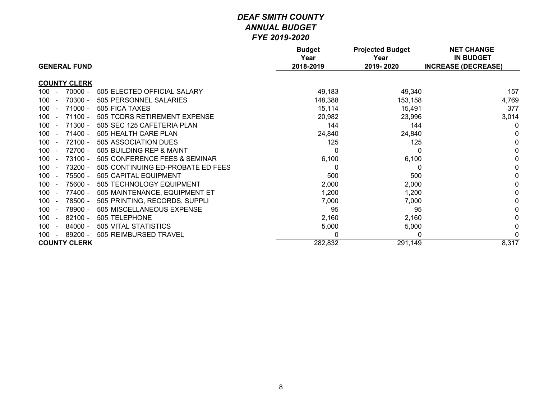| <b>GENERAL FUND</b>                                        | <b>Budget</b><br>Year<br>2018-2019 | <b>Projected Budget</b><br>Year<br>2019-2020 | <b>NET CHANGE</b><br><b>IN BUDGET</b><br><b>INCREASE (DECREASE)</b> |
|------------------------------------------------------------|------------------------------------|----------------------------------------------|---------------------------------------------------------------------|
| <b>COUNTY CLERK</b>                                        |                                    |                                              |                                                                     |
| $100 -$<br>70000 -<br>505 ELECTED OFFICIAL SALARY          | 49,183                             | 49,340                                       | 157                                                                 |
| 70300 -<br>505 PERSONNEL SALARIES<br>100<br>$\sim$         | 148,388                            | 153,158                                      | 4,769                                                               |
| $71000 -$<br>505 FICA TAXES<br>100<br>$\overline{a}$       | 15,114                             | 15,491                                       | 377                                                                 |
| $71100 -$<br>100<br>505 TCDRS RETIREMENT EXPENSE<br>$\sim$ | 20,982                             | 23,996                                       | 3,014                                                               |
| $71300 -$<br>505 SEC 125 CAFETERIA PLAN<br>100<br>$\sim$   | 144                                | 144                                          | 0                                                                   |
| $71400 -$<br>100<br>505 HEALTH CARE PLAN<br>$\sim$         | 24,840                             | 24,840                                       |                                                                     |
| $72100 -$<br>505 ASSOCIATION DUES<br>100<br>$\sim$         | 125                                | 125                                          |                                                                     |
| 72700 -<br>505 BUILDING REP & MAINT<br>100<br>$\sim$       | $\Omega$                           |                                              |                                                                     |
| 73100 -<br>505 CONFERENCE FEES & SEMINAR<br>100<br>$\sim$  | 6,100                              | 6,100                                        |                                                                     |
| 73200 -<br>505 CONTINUING ED-PROBATE ED FEES<br>100        | 0                                  |                                              |                                                                     |
| 75500 -<br>505 CAPITAL EQUIPMENT<br>100<br>$\sim$          | 500                                | 500                                          |                                                                     |
| 75600 -<br>505 TECHNOLOGY EQUIPMENT<br>100<br>$\sim$       | 2,000                              | 2,000                                        |                                                                     |
| 77400 -<br>505 MAINTENANCE, EQUIPMENT ET<br>100<br>$\sim$  | 1,200                              | 1,200                                        |                                                                     |
| 78500 -<br>505 PRINTING, RECORDS, SUPPLI<br>100<br>$\sim$  | 7,000                              | 7,000                                        |                                                                     |
| 78900 -<br>505 MISCELLANEOUS EXPENSE<br>100<br>$\sim$      | 95                                 | 95                                           |                                                                     |
| $82100 -$<br>505 TELEPHONE<br>100<br>$\sim$                | 2,160                              | 2,160                                        |                                                                     |
| $84000 -$<br>505 VITAL STATISTICS<br>100<br>$\sim$         | 5,000                              | 5,000                                        |                                                                     |
| 89200 -<br>505 REIMBURSED TRAVEL<br>100<br>$\sim$          | $\Omega$                           | $\Omega$                                     | $\Omega$                                                            |
| <b>COUNTY CLERK</b>                                        | 282,832                            | 291,149                                      | 8,317                                                               |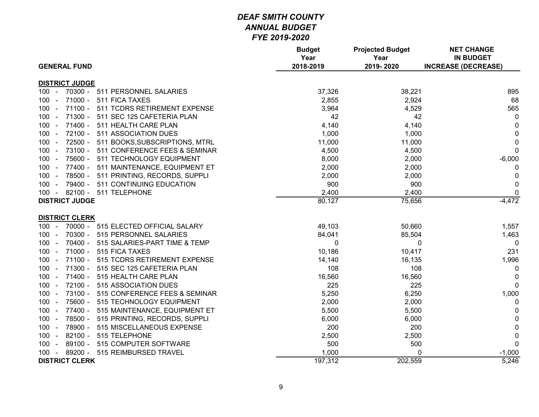|                                                       | <b>Budget</b><br>Year | <b>Projected Budget</b><br>Year | <b>NET CHANGE</b><br><b>IN BUDGET</b> |
|-------------------------------------------------------|-----------------------|---------------------------------|---------------------------------------|
| <b>GENERAL FUND</b>                                   | 2018-2019             | 2019-2020                       | <b>INCREASE (DECREASE)</b>            |
| <b>DISTRICT JUDGE</b>                                 |                       |                                 |                                       |
| 70300 - 511 PERSONNEL SALARIES<br>$100 -$             | 37,326                | 38,221                          | 895                                   |
| $100 -$<br>$71000 -$<br>511 FICA TAXES                | 2,855                 | 2,924                           | 68                                    |
| $100 -$<br>71100 - 511 TCDRS RETIREMENT EXPENSE       | 3,964                 | 4,529                           | 565                                   |
| 71300 - 511 SEC 125 CAFETERIA PLAN<br>$100 -$         | 42                    | 42                              | 0                                     |
| 71400 - 511 HEALTH CARE PLAN<br>$100 -$               | 4,140                 | 4,140                           | 0                                     |
| 72100 - 511 ASSOCIATION DUES<br>$100 -$               | 1,000                 | 1,000                           | $\mathbf 0$                           |
| 72500 - 511 BOOKS, SUBSCRIPTIONS, MTRL<br>$100 -$     | 11,000                | 11,000                          | $\mathbf 0$                           |
| 73100 - 511 CONFERENCE FEES & SEMINAR<br>$100 -$      | 4,500                 | 4,500                           | 0                                     |
| 75600 -<br>$100 -$<br>511 TECHNOLOGY EQUIPMENT        | 8,000                 | 2,000                           | $-6,000$                              |
| 77400 -<br>511 MAINTENANCE, EQUIPMENT ET<br>$100 -$   | 2,000                 | 2,000                           | 0                                     |
| $100 -$<br>78500 - 511 PRINTING, RECORDS, SUPPLI      | 2,000                 | 2,000                           | $\mathbf 0$                           |
| 79400 - 511 CONTINUING EDUCATION<br>$100 -$           | 900                   | 900                             | $\mathbf 0$                           |
| 100 - 82100 - 511 TELEPHONE                           | 2,400                 | 2,400                           | $\mathbf 0$                           |
| <b>DISTRICT JUDGE</b>                                 | 80,127                | 75,656                          | $-4,472$                              |
|                                                       |                       |                                 |                                       |
| <b>DISTRICT CLERK</b>                                 |                       |                                 |                                       |
| 70000 - 515 ELECTED OFFICIAL SALARY<br>$100 -$        | 49,103                | 50,660                          | 1,557                                 |
| 70300 -<br>$100 -$<br>515 PERSONNEL SALARIES          | 84,041                | 85,504                          | 1,463                                 |
| $100 -$<br>$70400 -$<br>515 SALARIES-PART TIME & TEMP | 0                     | 0                               | 0                                     |
| $71000 -$<br>515 FICA TAXES<br>$100 -$                | 10,186                | 10,417                          | 231                                   |
| $71100 -$<br>515 TCDRS RETIREMENT EXPENSE<br>$100 -$  | 14,140                | 16,135                          | 1,996                                 |
| 71300 -<br>515 SEC 125 CAFETERIA PLAN<br>$100 -$      | 108                   | 108                             | 0                                     |
| $71400 -$<br>515 HEALTH CARE PLAN<br>$100 -$          | 16,560                | 16,560                          | $\mathbf{0}$                          |
| $72100 -$<br>$100 -$<br>515 ASSOCIATION DUES          | 225                   | 225                             | $\mathbf 0$                           |
| 73100 -<br>515 CONFERENCE FEES & SEMINAR<br>$100 -$   | 5,250                 | 6,250                           | 1,000                                 |
| 75600 -<br>$100 -$<br>515 TECHNOLOGY EQUIPMENT        | 2,000                 | 2,000                           | 0                                     |
| 77400 -<br>$100 -$<br>515 MAINTENANCE, EQUIPMENT ET   | 5,500                 | 5,500                           | $\mathbf 0$                           |
| $100 -$<br>78500 - 515 PRINTING, RECORDS, SUPPLI      | 6,000                 | 6,000                           | $\mathbf 0$                           |
| 78900 - 515 MISCELLANEOUS EXPENSE<br>$100 -$          | 200                   | 200                             | $\mathbf 0$                           |
| 82100 - 515 TELEPHONE<br>$100 -$                      | 2,500                 | 2,500                           | $\mathbf 0$                           |
| 89100 - 515 COMPUTER SOFTWARE<br>$100 -$              | 500                   | 500                             | $\mathbf 0$                           |
| 89200 - 515 REIMBURSED TRAVEL<br>$100 -$              | 1,000                 | 0                               | $-1,000$                              |
| <b>DISTRICT CLERK</b>                                 | 197,312               | 202,559                         | 5,246                                 |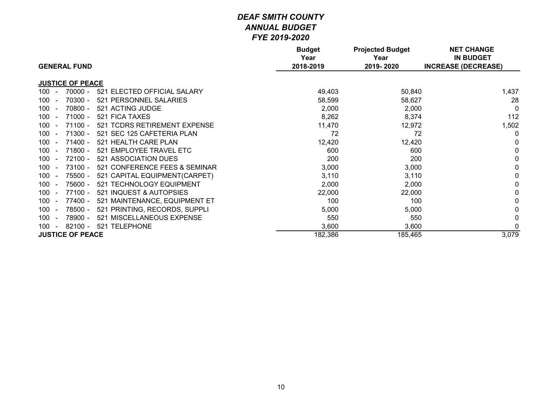|                                                                         | <b>Budget</b><br>Year | <b>Projected Budget</b><br>Year | <b>NET CHANGE</b><br><b>IN BUDGET</b> |
|-------------------------------------------------------------------------|-----------------------|---------------------------------|---------------------------------------|
| <b>GENERAL FUND</b>                                                     | 2018-2019             | 2019-2020                       | <b>INCREASE (DECREASE)</b>            |
| <b>JUSTICE OF PEACE</b>                                                 |                       |                                 |                                       |
| $70000 -$<br>521 ELECTED OFFICIAL SALARY<br>$100 -$                     | 49,403                | 50,840                          | 1,437                                 |
| 70300 -<br>521 PERSONNEL SALARIES<br>100<br>$\overline{a}$              | 58,599                | 58,627                          | 28                                    |
| 70800 -<br>521 ACTING JUDGE<br>100<br>$\overline{a}$                    | 2,000                 | 2,000                           | $\Omega$                              |
| 100<br>$71000 -$<br>521 FICA TAXES                                      | 8,262                 | 8,374                           | 112                                   |
| $71100 -$<br>521 TCDRS RETIREMENT EXPENSE<br>100                        | 11,470                | 12,972                          | 1,502                                 |
| $71300 -$<br>521 SEC 125 CAFETERIA PLAN<br>100                          | 72                    | 72                              | $\mathbf 0$                           |
| $71400 -$<br>521 HEALTH CARE PLAN<br>100<br>$\sim$                      | 12,420                | 12,420                          | 0                                     |
| $71800 -$<br>521 EMPLOYEE TRAVEL ETC<br>100<br>$\overline{a}$           | 600                   | 600                             | $\Omega$                              |
| 72100 -<br>521 ASSOCIATION DUES<br>100<br>$\sim$                        | 200                   | 200                             | 0                                     |
| $73100 -$<br>521 CONFERENCE FEES & SEMINAR<br>100                       | 3,000                 | 3,000                           |                                       |
| 75500 -<br>521 CAPITAL EQUIPMENT(CARPET)<br>$100 -$                     | 3,110                 | 3,110                           |                                       |
| 75600 -<br>521 TECHNOLOGY EQUIPMENT<br>100<br>$\sim$                    | 2,000                 | 2,000                           | $\mathbf 0$                           |
| 77100 -<br>521 INQUEST & AUTOPSIES<br>100<br>$\overline{a}$             | 22,000                | 22,000                          | $\Omega$                              |
| 77400 -<br>521 MAINTENANCE, EQUIPMENT ET<br>100                         | 100                   | 100                             |                                       |
| 521 PRINTING, RECORDS, SUPPLI<br>78500 -<br>$100 -$                     | 5,000                 | 5,000                           |                                       |
| 78900 -<br>100<br>521 MISCELLANEOUS EXPENSE<br>$\overline{\phantom{0}}$ | 550                   | 550                             | 0                                     |
| <b>TELEPHONE</b><br>100<br>$82100 -$<br>521<br>$\sim$                   | 3,600                 | 3,600                           | $\Omega$                              |
| <b>JUSTICE OF PEACE</b>                                                 | 182,386               | 185,465                         | 3,079                                 |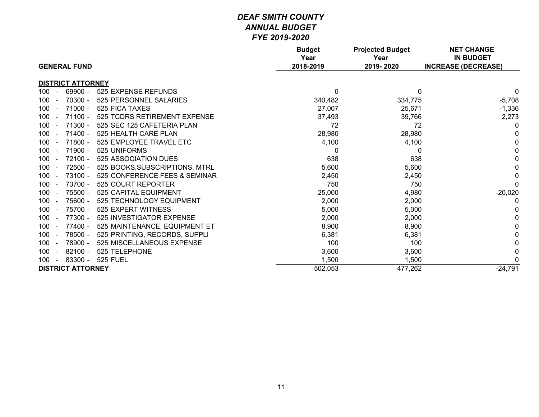| <b>GENERAL FUND</b>                                        | <b>Budget</b><br>Year<br>2018-2019 | <b>Projected Budget</b><br>Year<br>2019-2020 | <b>NET CHANGE</b><br><b>IN BUDGET</b><br><b>INCREASE (DECREASE)</b> |
|------------------------------------------------------------|------------------------------------|----------------------------------------------|---------------------------------------------------------------------|
| <b>DISTRICT ATTORNEY</b>                                   |                                    |                                              |                                                                     |
| $100 -$<br>69900 -<br>525 EXPENSE REFUNDS                  | 0                                  | $\mathbf{0}$                                 | 0                                                                   |
| 70300 -<br>525 PERSONNEL SALARIES<br>$100 -$               | 340,482                            | 334,775                                      | $-5,708$                                                            |
| $71000 -$<br>525 FICA TAXES<br>100                         | 27,007                             | 25,671                                       | $-1,336$                                                            |
| 71100 -<br>525 TCDRS RETIREMENT EXPENSE<br>100             | 37,493                             | 39,766                                       | 2,273                                                               |
| $71300 -$<br>525 SEC 125 CAFETERIA PLAN<br>$100 -$         | 72                                 | 72                                           | 0                                                                   |
| $71400 -$<br>525 HEALTH CARE PLAN<br>$100 -$               | 28,980                             | 28,980                                       | 0                                                                   |
| $71800 -$<br>525 EMPLOYEE TRAVEL ETC<br>100                | 4,100                              | 4,100                                        | 0                                                                   |
| 71900 -<br>525 UNIFORMS<br>100<br>$\overline{\phantom{a}}$ | 0                                  | 0                                            | 0                                                                   |
| 72100 -<br>100<br>525 ASSOCIATION DUES                     | 638                                | 638                                          | 0                                                                   |
| 72500 -<br>525 BOOKS, SUBSCRIPTIONS, MTRL<br>$100 -$       | 5,600                              | 5,600                                        | 0                                                                   |
| 73100 -<br>525 CONFERENCE FEES & SEMINAR<br>100            | 2,450                              | 2,450                                        | 0                                                                   |
| 73700 -<br>100<br>525 COURT REPORTER                       | 750                                | 750                                          | $\Omega$                                                            |
| 75500 -<br>100<br>525 CAPITAL EQUIPMENT                    | 25,000                             | 4,980                                        | $-20,020$                                                           |
| 75600 -<br>$100 -$<br>525 TECHNOLOGY EQUIPMENT             | 2,000                              | 2,000                                        | 0                                                                   |
| 75700 -<br>525 EXPERT WITNESS<br>100                       | 5,000                              | 5,000                                        |                                                                     |
| 77300 -<br>525 INVESTIGATOR EXPENSE<br>100                 | 2,000                              | 2,000                                        | 0                                                                   |
| 77400 -<br>525 MAINTENANCE, EQUIPMENT ET<br>100<br>$\sim$  | 8,900                              | 8,900                                        |                                                                     |
| 78500 -<br>525 PRINTING, RECORDS, SUPPLI<br>$100 -$        | 6,381                              | 6,381                                        |                                                                     |
| 78900 -<br>525 MISCELLANEOUS EXPENSE<br>100                | 100                                | 100                                          | 0                                                                   |
| 525 TELEPHONE<br>100<br>$82100 -$                          | 3,600                              | 3,600                                        | 0                                                                   |
| 83300 -<br><b>525 FUEL</b><br>$100 -$                      | 1,500                              | 1,500                                        |                                                                     |
| <b>DISTRICT ATTORNEY</b>                                   | 502,053                            | 477,262                                      | $-24,791$                                                           |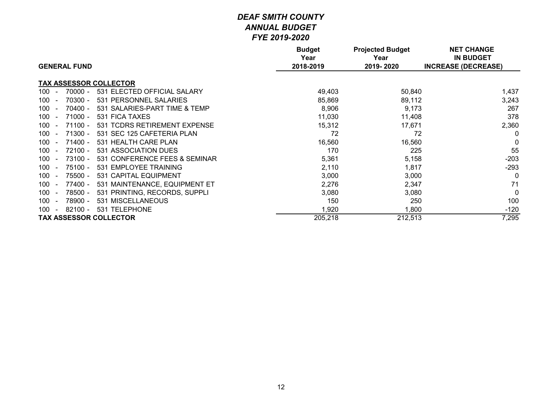|                                                                 | <b>Budget</b><br>Year | <b>Projected Budget</b><br>Year | <b>NET CHANGE</b><br><b>IN BUDGET</b> |
|-----------------------------------------------------------------|-----------------------|---------------------------------|---------------------------------------|
| <b>GENERAL FUND</b>                                             | 2018-2019             | 2019-2020                       | <b>INCREASE (DECREASE)</b>            |
| <b>TAX ASSESSOR COLLECTOR</b>                                   |                       |                                 |                                       |
| 70000 -<br>531 ELECTED OFFICIAL SALARY<br>100<br>$\blacksquare$ | 49,403                | 50,840                          | 1,437                                 |
| 70300 -<br>531 PERSONNEL SALARIES<br>100                        | 85,869                | 89,112                          | 3,243                                 |
| 70400 -<br>531 SALARIES-PART TIME & TEMP<br>100                 | 8,906                 | 9,173                           | 267                                   |
| $71000 -$<br>531 FICA TAXES<br>100                              | 11,030                | 11,408                          | 378                                   |
| 100<br>$71100 -$<br>531 TCDRS RETIREMENT EXPENSE                | 15,312                | 17,671                          | 2,360                                 |
| $71300 -$<br>531 SEC 125 CAFETERIA PLAN<br>100                  | 72                    | 72                              | $\Omega$                              |
| $71400 -$<br>100<br>531 HEALTH CARE PLAN                        | 16,560                | 16,560                          | $\Omega$                              |
| 72100 -<br>531 ASSOCIATION DUES<br>100                          | 170                   | 225                             | 55                                    |
| 73100 -<br>531 CONFERENCE FEES & SEMINAR<br>100                 | 5,361                 | 5,158                           | $-203$                                |
| $75100 -$<br>100<br>531 EMPLOYEE TRAINING<br>$\blacksquare$     | 2,110                 | 1,817                           | $-293$                                |
| 75500 -<br>100<br>531 CAPITAL EQUIPMENT                         | 3,000                 | 3,000                           | $\Omega$                              |
| 531 MAINTENANCE, EQUIPMENT ET<br>100<br>77400 -                 | 2,276                 | 2,347                           | 71                                    |
| 78500 -<br>531 PRINTING, RECORDS, SUPPLI<br>100                 | 3,080                 | 3,080                           | $\Omega$                              |
| 531 MISCELLANEOUS<br>78900 -<br>100                             | 150                   | 250                             | 100                                   |
| $82100 -$<br>531 TELEPHONE<br>100                               | 1,920                 | 1,800                           | $-120$                                |
| <b>TAX ASSESSOR COLLECTOR</b>                                   | 205,218               | 212,513                         | 7,295                                 |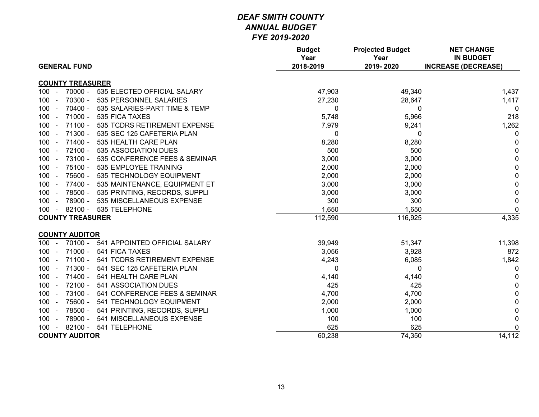|                                                       | <b>Budget</b><br>Year | <b>Projected Budget</b><br>Year | <b>NET CHANGE</b><br><b>IN BUDGET</b> |
|-------------------------------------------------------|-----------------------|---------------------------------|---------------------------------------|
| <b>GENERAL FUND</b>                                   | 2018-2019             | 2019-2020                       | <b>INCREASE (DECREASE)</b>            |
| <b>COUNTY TREASURER</b>                               |                       |                                 |                                       |
| $70000 -$<br>$100 -$<br>535 ELECTED OFFICIAL SALARY   | 47,903                | 49,340                          | 1,437                                 |
| 70300 -<br>535 PERSONNEL SALARIES<br>$100 -$          | 27,230                | 28,647                          | 1,417                                 |
| $70400 -$<br>535 SALARIES-PART TIME & TEMP<br>$100 -$ | 0                     | 0                               | $\Omega$                              |
| $71000 -$<br>$100 -$<br>535 FICA TAXES                | 5,748                 | 5,966                           | 218                                   |
| $71100 -$<br>535 TCDRS RETIREMENT EXPENSE<br>$100 -$  | 7,979                 | 9,241                           | 1,262                                 |
| 71300 -<br>535 SEC 125 CAFETERIA PLAN<br>$100 -$      | 0                     | 0                               | $\Omega$                              |
| 71400 -<br>535 HEALTH CARE PLAN<br>$100 -$            | 8,280                 | 8,280                           | 0                                     |
| 72100 -<br>535 ASSOCIATION DUES<br>$100 -$            | 500                   | 500                             | $\pmb{0}$                             |
| 73100 -<br>$100 -$<br>535 CONFERENCE FEES & SEMINAR   | 3,000                 | 3,000                           | $\pmb{0}$                             |
| $75100 -$<br>535 EMPLOYEE TRAINING<br>$100 -$         | 2,000                 | 2,000                           | $\mathbf 0$                           |
| 75600 -<br>535 TECHNOLOGY EQUIPMENT<br>$100 -$        | 2,000                 | 2,000                           | $\pmb{0}$                             |
| 77400 -<br>$100 -$<br>535 MAINTENANCE, EQUIPMENT ET   | 3,000                 | 3,000                           | $\pmb{0}$                             |
| 78500 -<br>535 PRINTING, RECORDS, SUPPLI<br>$100 -$   | 3,000                 | 3,000                           | $\pmb{0}$                             |
| 78900 - 535 MISCELLANEOUS EXPENSE<br>$100 -$          | 300                   | 300                             | 0                                     |
| 100 - 82100 - 535 TELEPHONE                           | 1,650                 | 1,650                           | $\mathbf 0$                           |
| <b>COUNTY TREASURER</b>                               | 112,590               | 116,925                         | 4,335                                 |
| <b>COUNTY AUDITOR</b>                                 |                       |                                 |                                       |
| 541 APPOINTED OFFICIAL SALARY<br>$100 -$<br>70100 -   | 39,949                | 51,347                          | 11,398                                |
| 71000 -<br>541 FICA TAXES<br>$100 -$                  | 3,056                 | 3,928                           | 872                                   |
| 71100 -<br>541 TCDRS RETIREMENT EXPENSE<br>$100 -$    | 4,243                 | 6,085                           | 1,842                                 |
| 71300 - 541 SEC 125 CAFETERIA PLAN<br>$100 -$         | 0                     | 0                               | $\mathbf 0$                           |
| 71400 -<br>541 HEALTH CARE PLAN<br>$100 -$            | 4,140                 | 4,140                           | 0                                     |
| 72100 -<br>541 ASSOCIATION DUES<br>$100 -$            | 425                   | 425                             | $\pmb{0}$                             |
| 73100 -<br>541 CONFERENCE FEES & SEMINAR<br>$100 -$   | 4,700                 | 4,700                           | $\mathbf 0$                           |
| 75600 -<br>541 TECHNOLOGY EQUIPMENT<br>$100 -$        | 2,000                 | 2,000                           | 0                                     |
| 78500 -<br>541 PRINTING, RECORDS, SUPPLI<br>$100 -$   | 1,000                 | 1,000                           | 0                                     |
| 78900 -<br>541 MISCELLANEOUS EXPENSE<br>$100 -$       | 100                   | 100                             | $\pmb{0}$                             |
| 82100 - 541 TELEPHONE<br>$100 -$                      | 625                   | 625                             | 0                                     |
| <b>COUNTY AUDITOR</b>                                 | 60,238                | 74,350                          | 14,112                                |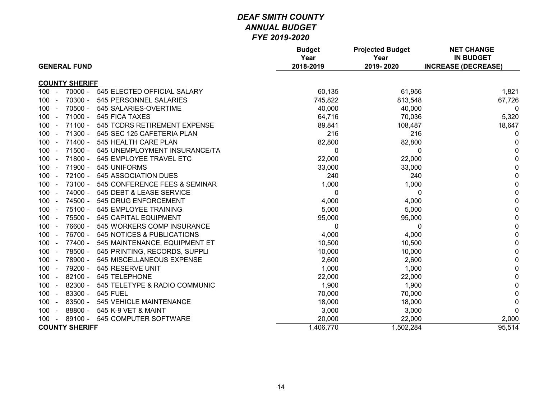| <b>GENERAL FUND</b>                                    | <b>Budget</b><br>Year<br>2018-2019 | <b>Projected Budget</b><br>Year<br>2019-2020 | <b>NET CHANGE</b><br><b>IN BUDGET</b><br><b>INCREASE (DECREASE)</b> |
|--------------------------------------------------------|------------------------------------|----------------------------------------------|---------------------------------------------------------------------|
| <b>COUNTY SHERIFF</b>                                  |                                    |                                              |                                                                     |
| 70000 -<br>545 ELECTED OFFICIAL SALARY<br>$100 -$      | 60,135                             | 61,956                                       | 1,821                                                               |
| 70300 -<br>545 PERSONNEL SALARIES<br>$100 -$           | 745,822                            | 813,548                                      | 67,726                                                              |
| $70500 -$<br>$100 -$<br>545 SALARIES-OVERTIME          | 40,000                             | 40,000                                       | $\mathbf{0}$                                                        |
| 71000 -<br>545 FICA TAXES<br>100                       | 64,716                             | 70,036                                       | 5,320                                                               |
| $71100 -$<br>545 TCDRS RETIREMENT EXPENSE<br>100       | 89,841                             | 108,487                                      | 18,647                                                              |
| 71300 -<br>100<br>545 SEC 125 CAFETERIA PLAN<br>$\sim$ | 216                                | 216                                          | 0                                                                   |
| $71400 -$<br>100<br>545 HEALTH CARE PLAN<br>$\sim$     | 82,800                             | 82,800                                       | 0                                                                   |
| $71500 -$<br>545 UNEMPLOYMENT INSURANCE/TA<br>$100 -$  | 0                                  | $\mathbf{0}$                                 | 0                                                                   |
| 71800 -<br>545 EMPLOYEE TRAVEL ETC<br>100              | 22,000                             | 22,000                                       | 0                                                                   |
| $71900 -$<br>545 UNIFORMS<br>100<br>$\blacksquare$     | 33,000                             | 33,000                                       | $\mathbf{0}$                                                        |
| $72100 -$<br>545 ASSOCIATION DUES<br>100               | 240                                | 240                                          | 0                                                                   |
| 73100 -<br>545 CONFERENCE FEES & SEMINAR<br>100        | 1,000                              | 1,000                                        | 0                                                                   |
| 74000 -<br>$100 -$<br>545 DEBT & LEASE SERVICE         | 0                                  | 0                                            | 0                                                                   |
| 74500 -<br>$100 -$<br>545 DRUG ENFORCEMENT             | 4,000                              | 4,000                                        | $\mathbf 0$                                                         |
| 75100 -<br>545 EMPLOYEE TRAINING<br>100                | 5,000                              | 5,000                                        | $\mathbf 0$                                                         |
| 75500 -<br>545 CAPITAL EQUIPMENT<br>100 <sub>1</sub>   | 95,000                             | 95,000                                       | 0                                                                   |
| 76600 -<br>$100 -$<br>545 WORKERS COMP INSURANCE       | 0                                  | 0                                            | 0                                                                   |
| 76700 -<br>545 NOTICES & PUBLICATIONS<br>$100 -$       | 4,000                              | 4,000                                        | 0                                                                   |
| 77400 -<br>545 MAINTENANCE, EQUIPMENT ET<br>$100 -$    | 10,500                             | 10,500                                       | $\mathbf 0$                                                         |
| 78500 -<br>545 PRINTING, RECORDS, SUPPLI<br>100        | 10,000                             | 10,000                                       | $\mathbf 0$                                                         |
| 78900 -<br>545 MISCELLANEOUS EXPENSE<br>100            | 2,600                              | 2,600                                        | $\mathbf 0$                                                         |
| 79200 -<br>545 RESERVE UNIT<br>100                     | 1,000                              | 1,000                                        | 0                                                                   |
| $82100 -$<br>100<br>545 TELEPHONE<br>$\sim$            | 22,000                             | 22,000                                       | 0                                                                   |
| 82300 -<br>545 TELETYPE & RADIO COMMUNIC<br>$100 -$    | 1,900                              | 1,900                                        | 0                                                                   |
| 83300 -<br><b>545 FUEL</b><br>$100 -$                  | 70,000                             | 70,000                                       | 0                                                                   |
| 83500 -<br>545 VEHICLE MAINTENANCE<br>100<br>$\sim$    | 18,000                             | 18,000                                       | 0                                                                   |
| 88800 -<br>545 K-9 VET & MAINT<br>$100 -$              | 3,000                              | 3,000                                        | $\mathbf{0}$                                                        |
| 89100 -<br>545 COMPUTER SOFTWARE<br>$100 -$            | 20,000                             | 22,000                                       | 2,000                                                               |
| <b>COUNTY SHERIFF</b>                                  | 1,406,770                          | 1,502,284                                    | 95,514                                                              |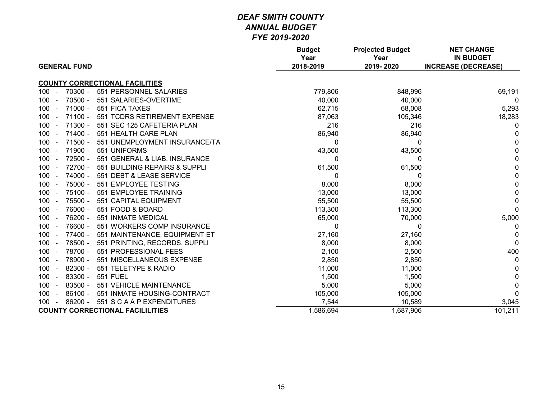| <b>GENERAL FUND</b>                                      | <b>Budget</b><br>Year<br>2018-2019 | <b>Projected Budget</b><br>Year<br>2019-2020 | <b>NET CHANGE</b><br><b>IN BUDGET</b><br><b>INCREASE (DECREASE)</b> |
|----------------------------------------------------------|------------------------------------|----------------------------------------------|---------------------------------------------------------------------|
| <b>COUNTY CORRECTIONAL FACILITIES</b>                    |                                    |                                              |                                                                     |
| 70300 -<br>551 PERSONNEL SALARIES<br>$100 -$             | 779,806                            | 848,996                                      | 69,191                                                              |
| $70500 -$<br>551 SALARIES-OVERTIME<br>$100 -$            | 40,000                             | 40,000                                       | $\Omega$                                                            |
| $71000 -$<br>551 FICA TAXES<br>$100 -$                   | 62,715                             | 68,008                                       | 5,293                                                               |
| $71100 -$<br>551 TCDRS RETIREMENT EXPENSE<br>100         | 87,063                             | 105,346                                      | 18,283                                                              |
| $71300 -$<br>551 SEC 125 CAFETERIA PLAN<br>100<br>$\sim$ | 216                                | 216                                          | 0                                                                   |
| $71400 -$<br>$100 -$<br>551 HEALTH CARE PLAN             | 86,940                             | 86,940                                       | 0                                                                   |
| $71500 -$<br>551 UNEMPLOYMENT INSURANCE/TA<br>100        | 0                                  | $\Omega$                                     | $\mathbf 0$                                                         |
| 71900 -<br>551 UNIFORMS<br>$100 -$                       | 43,500                             | 43,500                                       | 0                                                                   |
| 72500 -<br>$100 -$<br>551 GENERAL & LIAB. INSURANCE      | 0                                  | 0                                            | 0                                                                   |
| 72700 -<br>100<br>551 BUILDING REPAIRS & SUPPLI          | 61,500                             | 61,500                                       | 0                                                                   |
| 74000 -<br>551 DEBT & LEASE SERVICE<br>100<br>$\sim$     | 0                                  | 0                                            | 0                                                                   |
| 75000 -<br>551 EMPLOYEE TESTING<br>$100 -$               | 8,000                              | 8,000                                        | 0                                                                   |
| 75100 -<br>100<br>551 EMPLOYEE TRAINING                  | 13,000                             | 13,000                                       | 0                                                                   |
| 75500 -<br>$100 -$<br>551 CAPITAL EQUIPMENT              | 55,500                             | 55,500                                       | $\mathbf 0$                                                         |
| 76000 -<br>551 FOOD & BOARD<br>$100 -$                   | 113,300                            | 113,300                                      | $\Omega$                                                            |
| 76200 -<br>551 INMATE MEDICAL<br>100<br>$\sim$           | 65,000                             | 70,000                                       | 5,000                                                               |
| 76600 -<br>551 WORKERS COMP INSURANCE<br>$100 -$         | 0                                  | $\Omega$                                     | 0                                                                   |
| 77400 -<br>$100 -$<br>551 MAINTENANCE, EQUIPMENT ET      | 27,160                             | 27,160                                       | 0                                                                   |
| 78500 -<br>$100 -$<br>551 PRINTING, RECORDS, SUPPLI      | 8,000                              | 8,000                                        | $\Omega$                                                            |
| 78700 -<br>$100 -$<br>551 PROFESSIONAL FEES              | 2,100                              | 2,500                                        | 400                                                                 |
| 78900 -<br>$100 -$<br>551 MISCELLANEOUS EXPENSE          | 2,850                              | 2,850                                        | 0                                                                   |
| 82300 -<br>551 TELETYPE & RADIO<br>100                   | 11,000                             | 11,000                                       | 0                                                                   |
| 83300 -<br><b>551 FUEL</b><br>$100 -$                    | 1,500                              | 1,500                                        | $\mathbf 0$                                                         |
| 83500 -<br>551 VEHICLE MAINTENANCE<br>$100 -$            | 5,000                              | 5,000                                        | 0                                                                   |
| $86100 -$<br>551 INMATE HOUSING-CONTRACT<br>$100 -$      | 105,000                            | 105,000                                      | $\Omega$                                                            |
| $86200 -$<br>551 S C A A P EXPENDITURES<br>$100 -$       | 7,544                              | 10,589                                       | 3,045                                                               |
| <b>COUNTY CORRECTIONAL FACILILITIES</b>                  | 1,586,694                          | 1,687,906                                    | 101,211                                                             |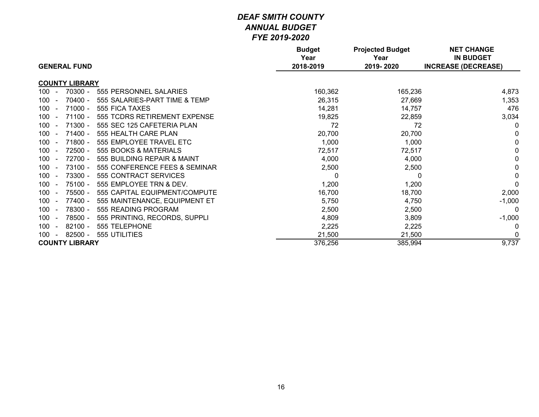| <b>GENERAL FUND</b>                                         | <b>Budget</b><br>Year<br>2018-2019 | <b>Projected Budget</b><br>Year<br>2019-2020 | <b>NET CHANGE</b><br><b>IN BUDGET</b><br><b>INCREASE (DECREASE)</b> |
|-------------------------------------------------------------|------------------------------------|----------------------------------------------|---------------------------------------------------------------------|
|                                                             |                                    |                                              |                                                                     |
| <b>COUNTY LIBRARY</b>                                       |                                    |                                              |                                                                     |
| $100 -$<br>70300 -<br>555 PERSONNEL SALARIES                | 160,362                            | 165,236                                      | 4,873                                                               |
| $70400 -$<br>555 SALARIES-PART TIME & TEMP<br>100<br>$\sim$ | 26,315                             | 27,669                                       | 1,353                                                               |
| $71000 -$<br>100<br>555 FICA TAXES<br>$\sim$                | 14,281                             | 14,757                                       | 476                                                                 |
| $71100 -$<br>100<br>555 TCDRS RETIREMENT EXPENSE<br>$\sim$  | 19,825                             | 22,859                                       | 3,034                                                               |
| 71300 -<br>555 SEC 125 CAFETERIA PLAN<br>100<br>$\sim$      | 72                                 | 72                                           | 0                                                                   |
| $71400 -$<br>100<br>555 HEALTH CARE PLAN<br>$\sim$          | 20,700                             | 20,700                                       | 0                                                                   |
| 71800 -<br>555 EMPLOYEE TRAVEL ETC<br>100                   | 1,000                              | 1,000                                        | 0                                                                   |
| 72500 -<br>555 BOOKS & MATERIALS<br>100<br>$\sim$           | 72,517                             | 72,517                                       | 0                                                                   |
| 72700 -<br>555 BUILDING REPAIR & MAINT<br>100               | 4,000                              | 4,000                                        | 0                                                                   |
| 73100 -<br>555 CONFERENCE FEES & SEMINAR<br>100             | 2,500                              | 2,500                                        | 0                                                                   |
| 73300 -<br>555 CONTRACT SERVICES<br>$100 -$                 | 0                                  | 0                                            | 0                                                                   |
| 75100 -<br>$100 -$<br>555 EMPLOYEE TRN & DEV.               | 1,200                              | 1,200                                        | $\mathbf{0}$                                                        |
| 75500 -<br>555 CAPITAL EQUIPMENT/COMPUTE<br>$100 -$         | 16,700                             | 18,700                                       | 2,000                                                               |
| 77400 -<br>100<br>555 MAINTENANCE, EQUIPMENT ET<br>$\sim$   | 5,750                              | 4,750                                        | $-1,000$                                                            |
| 78300 -<br>555 READING PROGRAM<br>100<br>$\sim$             | 2,500                              | 2,500                                        | $\Omega$                                                            |
| 78500 -<br>100<br>555 PRINTING, RECORDS, SUPPLI             | 4,809                              | 3,809                                        | $-1,000$                                                            |
| $82100 -$<br>555 TELEPHONE<br>100<br>$\sim$                 | 2,225                              | 2,225                                        | $\Omega$                                                            |
| $82500 -$<br>555 UTILITIES<br>100<br>$\sim$                 | 21,500                             | 21,500                                       | 0                                                                   |
| <b>COUNTY LIBRARY</b>                                       | 376,256                            | 385,994                                      | 9,737                                                               |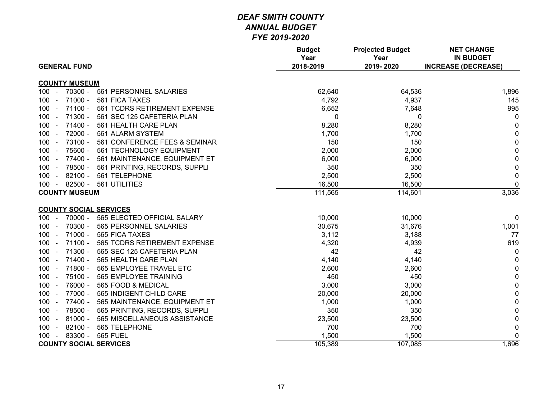| <b>GENERAL FUND</b>                                  | <b>Budget</b><br>Year<br>2018-2019 | <b>Projected Budget</b><br>Year<br>2019-2020 | <b>NET CHANGE</b><br><b>IN BUDGET</b><br><b>INCREASE (DECREASE)</b> |
|------------------------------------------------------|------------------------------------|----------------------------------------------|---------------------------------------------------------------------|
|                                                      |                                    |                                              |                                                                     |
| <b>COUNTY MUSEUM</b>                                 |                                    |                                              |                                                                     |
| 70300 -<br>$100 -$<br>561 PERSONNEL SALARIES         | 62,640                             | 64,536                                       | 1,896                                                               |
| $71000 -$<br>561 FICA TAXES<br>$100 -$               | 4,792                              | 4,937                                        | 145                                                                 |
| $71100 -$<br>$100 -$<br>561 TCDRS RETIREMENT EXPENSE | 6,652                              | 7,648                                        | 995                                                                 |
| 71300 -<br>561 SEC 125 CAFETERIA PLAN<br>$100 -$     | 0                                  | 0                                            | 0                                                                   |
| 71400 -<br>561 HEALTH CARE PLAN<br>$100 -$           | 8,280                              | 8,280                                        | 0                                                                   |
| 72000 -<br>561 ALARM SYSTEM<br>$100 -$               | 1,700                              | 1,700                                        | $\mathbf{0}$                                                        |
| 73100 -<br>561 CONFERENCE FEES & SEMINAR<br>$100 -$  | 150                                | 150                                          | $\mathbf 0$                                                         |
| 75600 -<br>$100 -$<br>561 TECHNOLOGY EQUIPMENT       | 2,000                              | 2,000                                        | $\mathbf 0$                                                         |
| 77400 -<br>561 MAINTENANCE, EQUIPMENT ET<br>$100 -$  | 6,000                              | 6,000                                        | $\mathbf 0$                                                         |
| 78500 -<br>561 PRINTING, RECORDS, SUPPLI<br>$100 -$  | 350                                | 350                                          | $\mathbf 0$                                                         |
| $82100 -$<br>561 TELEPHONE<br>$100 -$                | 2,500                              | 2,500                                        | $\mathbf 0$                                                         |
| $82500 -$<br>561 UTILITIES<br>$100 -$                | 16,500                             | 16,500                                       | $\mathbf 0$                                                         |
| <b>COUNTY MUSEUM</b>                                 | 111,565                            | 114,601                                      | 3,036                                                               |
|                                                      |                                    |                                              |                                                                     |
| <b>COUNTY SOCIAL SERVICES</b>                        |                                    |                                              |                                                                     |
| 565 ELECTED OFFICIAL SALARY<br>$100 -$<br>70000 -    | 10,000                             | 10,000                                       | 0                                                                   |
| 70300 -<br>565 PERSONNEL SALARIES<br>$100 -$         | 30,675                             | 31,676                                       | 1,001                                                               |
| 71000 -<br>565 FICA TAXES<br>$100 -$                 | 3,112                              | 3,188                                        | 77                                                                  |
| $71100 -$<br>$100 -$<br>565 TCDRS RETIREMENT EXPENSE | 4,320                              | 4,939                                        | 619                                                                 |
| 71300 -<br>$100 -$<br>565 SEC 125 CAFETERIA PLAN     | 42                                 | 42                                           | $\mathbf 0$                                                         |
| $71400 -$<br>565 HEALTH CARE PLAN<br>$100 -$         | 4,140                              | 4,140                                        | $\mathbf{0}$                                                        |
| 71800 -<br>565 EMPLOYEE TRAVEL ETC<br>$100 -$        | 2,600                              | 2,600                                        | $\mathbf 0$                                                         |
| 75100 -<br>$100 -$<br>565 EMPLOYEE TRAINING          | 450                                | 450                                          | $\mathbf 0$                                                         |
| 76000 -<br>565 FOOD & MEDICAL<br>$100 -$             | 3,000                              | 3,000                                        | $\mathbf 0$                                                         |
| 77000 -<br>565 INDIGENT CHILD CARE<br>$100 -$        | 20,000                             | 20,000                                       | $\mathbf 0$                                                         |
| 77400 -<br>565 MAINTENANCE, EQUIPMENT ET<br>$100 -$  | 1,000                              | 1,000                                        | 0                                                                   |
| 78500 -<br>$100 -$<br>565 PRINTING, RECORDS, SUPPLI  | 350                                | 350                                          | $\mathbf 0$                                                         |
| $81000 -$<br>$100 -$<br>565 MISCELLANEOUS ASSISTANCE | 23,500                             | 23,500                                       | $\mathbf 0$                                                         |
| $82100 -$<br>565 TELEPHONE<br>$100 -$                | 700                                | 700                                          | $\mathbf 0$                                                         |
| 83300 -<br><b>565 FUEL</b><br>$100 -$                | 1,500                              | 1,500                                        | 0                                                                   |
| <b>COUNTY SOCIAL SERVICES</b>                        | 105,389                            | 107,085                                      | 1,696                                                               |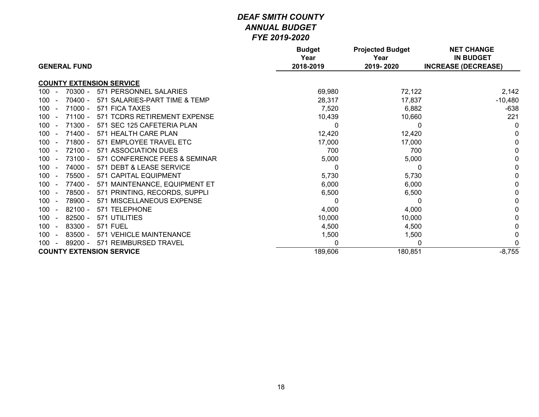|                                                   | <b>Budget</b><br>Year | <b>Projected Budget</b><br>Year | <b>NET CHANGE</b><br><b>IN BUDGET</b> |
|---------------------------------------------------|-----------------------|---------------------------------|---------------------------------------|
| <b>GENERAL FUND</b>                               | 2018-2019             | 2019-2020                       | <b>INCREASE (DECREASE)</b>            |
| <b>COUNTY EXTENSION SERVICE</b>                   |                       |                                 |                                       |
| 70300 -<br>571 PERSONNEL SALARIES<br>$100 -$      | 69,980                | 72,122                          | 2,142                                 |
| $70400 -$<br>571 SALARIES-PART TIME & TEMP<br>100 | 28,317                | 17,837                          | $-10,480$                             |
| $71000 -$<br>571 FICA TAXES<br>100<br>$\sim$      | 7,520                 | 6,882                           | $-638$                                |
| $71100 -$<br>571 TCDRS RETIREMENT EXPENSE<br>100  | 10,439                | 10,660                          | 221                                   |
| $71300 -$<br>571 SEC 125 CAFETERIA PLAN<br>100    | 0                     | 0                               | 0                                     |
| $71400 -$<br>571 HEALTH CARE PLAN<br>100          | 12,420                | 12,420                          |                                       |
| 71800 -<br>571 EMPLOYEE TRAVEL ETC<br>100         | 17,000                | 17,000                          |                                       |
| $72100 -$<br>571 ASSOCIATION DUES<br>100          | 700                   | 700                             |                                       |
| $73100 -$<br>571 CONFERENCE FEES & SEMINAR<br>100 | 5,000                 | 5,000                           |                                       |
| 74000 -<br>571 DEBT & LEASE SERVICE<br>100        | 0                     |                                 |                                       |
| 75500 -<br>571 CAPITAL EQUIPMENT<br>100           | 5,730                 | 5,730                           |                                       |
| 100<br>77400 -<br>571 MAINTENANCE, EQUIPMENT ET   | 6,000                 | 6,000                           |                                       |
| 78500 -<br>571 PRINTING, RECORDS, SUPPLI<br>100   | 6,500                 | 6,500                           |                                       |
| 78900 -<br>571 MISCELLANEOUS EXPENSE<br>100       | 0                     |                                 |                                       |
| $82100 -$<br>571 TELEPHONE<br>100                 | 4,000                 | 4,000                           |                                       |
| $82500 -$<br>571 UTILITIES<br>100                 | 10,000                | 10,000                          |                                       |
| 83300 -<br><b>571 FUEL</b><br>100                 | 4,500                 | 4,500                           |                                       |
| 83500 -<br>571 VEHICLE MAINTENANCE<br>100         | 1,500                 | 1,500                           |                                       |
| 89200 -<br>571 REIMBURSED TRAVEL<br>100           | 0                     |                                 |                                       |
| <b>COUNTY EXTENSION SERVICE</b>                   | 189,606               | 180,851                         | $-8,755$                              |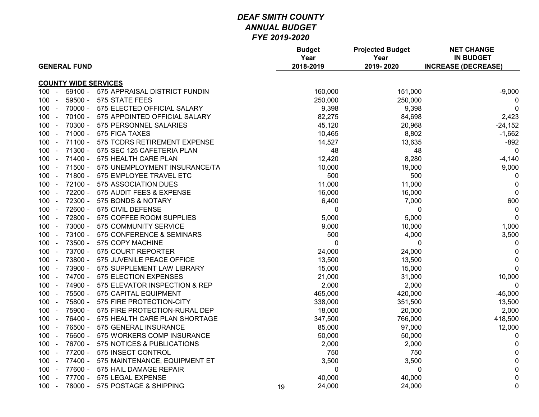|                            | <b>GENERAL FUND</b> |                               |    | <b>Budget</b><br>Year<br>2018-2019 | <b>Projected Budget</b><br>Year<br>2019-2020 | <b>NET CHANGE</b><br><b>IN BUDGET</b><br><b>INCREASE (DECREASE)</b> |
|----------------------------|---------------------|-------------------------------|----|------------------------------------|----------------------------------------------|---------------------------------------------------------------------|
|                            |                     | <b>COUNTY WIDE SERVICES</b>   |    |                                    |                                              |                                                                     |
| 100<br>$\sim$              | $59100 -$           | 575 APPRAISAL DISTRICT FUNDIN |    | 160,000                            | 151,000                                      | $-9,000$                                                            |
| 100                        | $59500 -$           | 575 STATE FEES                |    | 250,000                            | 250,000                                      | 0                                                                   |
| $100 -$                    | $70000 -$           | 575 ELECTED OFFICIAL SALARY   |    | 9,398                              | 9,398                                        | 0                                                                   |
| $100 -$                    | 70100 -             | 575 APPOINTED OFFICIAL SALARY |    | 82,275                             | 84,698                                       | 2,423                                                               |
| 100                        | 70300 -             | 575 PERSONNEL SALARIES        |    | 45,120                             | 20,968                                       | $-24,152$                                                           |
| 100 -                      | $71000 -$           | 575 FICA TAXES                |    | 10,465                             | 8,802                                        | $-1,662$                                                            |
| 100                        | $71100 -$           | 575 TCDRS RETIREMENT EXPENSE  |    | 14,527                             | 13,635                                       | $-892$                                                              |
| $100 -$                    | 71300 -             | 575 SEC 125 CAFETERIA PLAN    |    | 48                                 | 48                                           | $\mathbf 0$                                                         |
| 100 -                      | 71400 -             | 575 HEALTH CARE PLAN          |    | 12,420                             | 8,280                                        | $-4,140$                                                            |
| $100 -$                    | 71500 -             | 575 UNEMPLOYMENT INSURANCE/TA |    | 10,000                             | 19,000                                       | 9,000                                                               |
| $100 -$                    | 71800 -             | 575 EMPLOYEE TRAVEL ETC       |    | 500                                | 500                                          | 0                                                                   |
| 100<br>$\sim$              | $72100 -$           | 575 ASSOCIATION DUES          |    | 11,000                             | 11,000                                       | $\mathbf{0}$                                                        |
| 100                        | 72200 -             | 575 AUDIT FEES & EXPENSE      |    | 16,000                             | 16,000                                       | $\mathbf{0}$                                                        |
| $100 -$                    | 72300 -             | 575 BONDS & NOTARY            |    | 6,400                              | 7,000                                        | 600                                                                 |
| $100 -$                    | 72600 -             | 575 CIVIL DEFENSE             |    | 0                                  | 0                                            | 0                                                                   |
| 100<br>$\sim$              | 72800 -             | 575 COFFEE ROOM SUPPLIES      |    | 5,000                              | 5,000                                        | $\mathbf{0}$                                                        |
| 100 -                      | 73000 -             | 575 COMMUNITY SERVICE         |    | 9,000                              | 10,000                                       | 1,000                                                               |
| 100                        | 73100 -             | 575 CONFERENCE & SEMINARS     |    | 500                                | 4,000                                        | 3,500                                                               |
| $100 -$                    | 73500 -             | 575 COPY MACHINE              |    | $\mathbf 0$                        | $\mathbf 0$                                  | 0                                                                   |
| 100 -                      | 73700 -             | 575 COURT REPORTER            |    | 24,000                             | 24,000                                       | $\pmb{0}$                                                           |
| 100<br>$\sim$              | 73800 -             | 575 JUVENILE PEACE OFFICE     |    | 13,500                             | 13,500                                       | $\pmb{0}$                                                           |
| $100 -$                    | 73900 -             | 575 SUPPLEMENT LAW LIBRARY    |    | 15,000                             | 15,000                                       | $\mathbf 0$                                                         |
| 100<br>$\sim$              | 74700 -             | 575 ELECTION EXPENSES         |    | 21,000                             | 31,000                                       | 10,000                                                              |
| $100 -$                    | 74900 -             | 575 ELEVATOR INSPECTION & REP |    | 2,000                              | 2,000                                        | 0                                                                   |
| $100 -$                    | 75500 -             | 575 CAPITAL EQUIPMENT         |    | 465,000                            | 420,000                                      | $-45,000$                                                           |
| $100 -$                    | 75800 -             | 575 FIRE PROTECTION-CITY      |    | 338,000                            | 351,500                                      | 13,500                                                              |
| $100 -$                    | 75900 -             | 575 FIRE PROTECTION-RURAL DEP |    | 18,000                             | 20,000                                       | 2,000                                                               |
| 100<br>$\sim$              | 76400 -             | 575 HEALTH CARE PLAN SHORTAGE |    | 347,500                            | 766,000                                      | 418,500                                                             |
| 100                        | 76500 -             | 575 GENERAL INSURANCE         |    | 85,000                             | 97,000                                       | 12,000                                                              |
| $100 -$                    | 76600 -             | 575 WORKERS COMP INSURANCE    |    | 50,000                             | 50,000                                       | 0                                                                   |
| $100 -$                    | 76700 -             | 575 NOTICES & PUBLICATIONS    |    | 2,000                              | 2,000                                        | 0                                                                   |
| 100<br>$\sim$              | 77200 -             | 575 INSECT CONTROL            |    | 750                                | 750                                          | $\mathbf 0$                                                         |
| $100 -$                    | 77400 -             | 575 MAINTENANCE, EQUIPMENT ET |    | 3,500                              | 3,500                                        | $\pmb{0}$                                                           |
| 100 <sub>1</sub><br>$\sim$ | 77600 -             | 575 HAIL DAMAGE REPAIR        |    | 0                                  | 0                                            | $\mathbf 0$                                                         |
| $100 -$                    | 77700 -             | 575 LEGAL EXPENSE             |    | 40,000                             | 40,000                                       | $\pmb{0}$                                                           |
| $100 -$                    | 78000 -             | 575 POSTAGE & SHIPPING        | 19 | 24,000                             | 24,000                                       | $\pmb{0}$                                                           |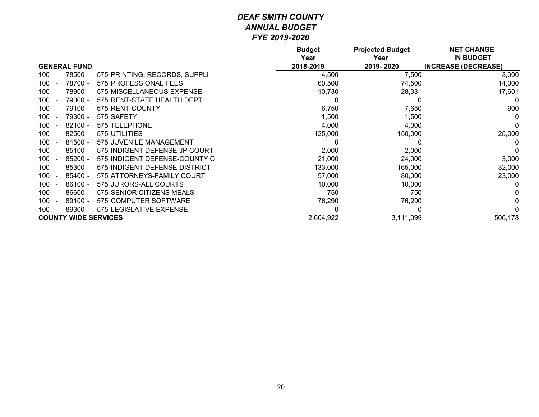|     |                             |                               | <b>Budget</b><br>Year | <b>Projected Budget</b><br>Year | <b>NET CHANGE</b><br><b>IN BUDGET</b> |
|-----|-----------------------------|-------------------------------|-----------------------|---------------------------------|---------------------------------------|
|     | <b>GENERAL FUND</b>         |                               | 2018-2019             | 2019-2020                       | <b>INCREASE (DECREASE)</b>            |
| 100 | 78500 -                     | 575 PRINTING, RECORDS, SUPPLI | 4,500                 | 7,500                           | 3,000                                 |
| 100 | 78700 -                     | 575 PROFESSIONAL FEES         | 60,500                | 74,500                          | 14,000                                |
| 100 | 78900 -                     | 575 MISCELLANEOUS EXPENSE     | 10,730                | 28,331                          | 17,601                                |
| 100 | 79000 -                     | 575 RENT-STATE HEALTH DEPT    |                       |                                 |                                       |
| 100 | 79100 -                     | 575 RENT-COUNTY               | 6,750                 | 7,650                           | 900                                   |
| 100 | 79300 -                     | 575 SAFETY                    | 1,500                 | 1,500                           |                                       |
| 100 | $82100 -$                   | 575 TELEPHONE                 | 4,000                 | 4,000                           |                                       |
| 100 | $82500 -$                   | 575 UTILITIES                 | 125,000               | 150,000                         | 25,000                                |
| 100 | $84500 -$                   | 575 JUVENILE MANAGEMENT       |                       |                                 |                                       |
| 100 | $85100 -$                   | 575 INDIGENT DEFENSE-JP COURT | 2,000                 | 2,000                           |                                       |
| 100 | 85200 -                     | 575 INDIGENT DEFENSE-COUNTY C | 21,000                | 24,000                          | 3,000                                 |
| 100 | 85300 -                     | 575 INDIGENT DEFENSE-DISTRICT | 133,000               | 165,000                         | 32,000                                |
| 100 | 85400 -                     | 575 ATTORNEYS-FAMILY COURT    | 57,000                | 80,000                          | 23,000                                |
| 100 | $86100 -$                   | 575 JURORS-ALL COURTS         | 10,000                | 10,000                          |                                       |
| 100 | $86600 -$                   | 575 SENIOR CITIZENS MEALS     | 750                   | 750                             |                                       |
| 100 | $89100 -$                   | 575 COMPUTER SOFTWARE         | 76,290                | 76,290                          |                                       |
| 100 | 89300 -                     | 575 LEGISLATIVE EXPENSE       | 0                     |                                 |                                       |
|     | <b>COUNTY WIDE SERVICES</b> |                               | 2,604,922             | 3,111,099                       | 506,178                               |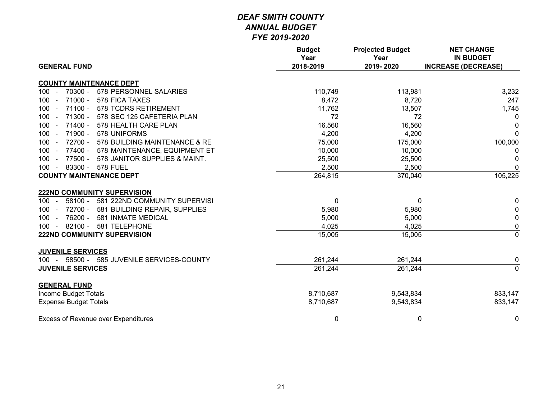|                                                     | <b>Budget</b><br>Year | <b>Projected Budget</b><br>Year | <b>NET CHANGE</b><br><b>IN BUDGET</b> |
|-----------------------------------------------------|-----------------------|---------------------------------|---------------------------------------|
| <b>GENERAL FUND</b>                                 | 2018-2019             | 2019-2020                       | <b>INCREASE (DECREASE)</b>            |
| <b>COUNTY MAINTENANCE DEPT</b>                      |                       |                                 |                                       |
| 70300 -<br>578 PERSONNEL SALARIES<br>$100 -$        | 110,749               | 113,981                         | 3,232                                 |
| 71000 -<br>578 FICA TAXES<br>$100 -$                | 8,472                 | 8,720                           | 247                                   |
| $71100 -$<br>578 TCDRS RETIREMENT<br>$100 -$        | 11,762                | 13,507                          | 1,745                                 |
| 71300 -<br>578 SEC 125 CAFETERIA PLAN<br>$100 -$    | 72                    | 72                              | 0                                     |
| 71400 -<br>$100 -$<br>578 HEALTH CARE PLAN          | 16,560                | 16,560                          | 0                                     |
| 71900 - 578 UNIFORMS<br>$100 -$                     | 4,200                 | 4,200                           | $\mathbf{0}$                          |
| 72700 -<br>578 BUILDING MAINTENANCE & RE<br>$100 -$ | 75,000                | 175,000                         | 100,000                               |
| 77400 -<br>578 MAINTENANCE, EQUIPMENT ET<br>$100 -$ | 10,000                | 10,000                          | 0                                     |
| 77500 -<br>578 JANITOR SUPPLIES & MAINT.<br>$100 -$ | 25,500                | 25,500                          | 0                                     |
| 83300 - 578 FUEL<br>$100 -$                         | 2,500                 | 2,500                           | $\mathbf{0}$                          |
| <b>COUNTY MAINTENANCE DEPT</b>                      | 264,815               | 370,040                         | 105,225                               |
| <b>222ND COMMUNITY SUPERVISION</b>                  |                       |                                 |                                       |
| 58100 - 581 222ND COMMUNITY SUPERVISI<br>$100 -$    | $\pmb{0}$             | 0                               | 0                                     |
| 72700 -<br>581 BUILDING REPAIR, SUPPLIES<br>$100 -$ | 5,980                 | 5,980                           | 0                                     |
| 76200 -<br>581 INMATE MEDICAL<br>$100 -$            | 5,000                 | 5,000                           | 0                                     |
| 82100 -<br>581 TELEPHONE<br>$100 -$                 | 4,025                 | 4,025                           | $\pmb{0}$                             |
| <b>222ND COMMUNITY SUPERVISION</b>                  | 15,005                | 15,005                          | $\overline{0}$                        |
| <b>JUVENILE SERVICES</b>                            |                       |                                 |                                       |
| 100 - 58500 - 585 JUVENILE SERVICES-COUNTY          | 261,244               | 261,244                         | 0                                     |
| <b>JUVENILE SERVICES</b>                            | 261,244               | 261,244                         | $\overline{0}$                        |
|                                                     |                       |                                 |                                       |
| <b>GENERAL FUND</b><br>Income Budget Totals         | 8,710,687             | 9,543,834                       | 833,147                               |
| <b>Expense Budget Totals</b>                        | 8,710,687             | 9,543,834                       | 833,147                               |
|                                                     |                       |                                 |                                       |
| <b>Excess of Revenue over Expenditures</b>          | 0                     | 0                               | 0                                     |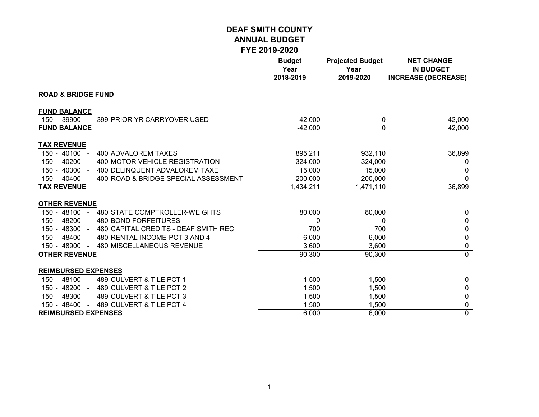|                                                                       | <b>Budget</b><br>Year<br>2018-2019 | <b>Projected Budget</b><br>Year<br>2019-2020 | <b>NET CHANGE</b><br><b>IN BUDGET</b><br><b>INCREASE (DECREASE)</b> |
|-----------------------------------------------------------------------|------------------------------------|----------------------------------------------|---------------------------------------------------------------------|
| <b>ROAD &amp; BRIDGE FUND</b>                                         |                                    |                                              |                                                                     |
| <b>FUND BALANCE</b><br>$150 - 39900 -$<br>399 PRIOR YR CARRYOVER USED | $-42,000$                          | 0                                            |                                                                     |
| <b>FUND BALANCE</b>                                                   | $-42,000$                          | 0                                            | 42,000<br>42,000                                                    |
| <b>TAX REVENUE</b>                                                    |                                    |                                              |                                                                     |
| 150 - 40100 -<br>400 ADVALOREM TAXES                                  | 895,211                            | 932,110                                      | 36,899                                                              |
| 400 MOTOR VEHICLE REGISTRATION<br>150 - 40200 -                       | 324,000                            | 324,000                                      | 0                                                                   |
| $150 - 40300 -$<br>400 DELINQUENT ADVALOREM TAXE                      | 15,000                             | 15,000                                       | 0                                                                   |
| 150 - 40400 -<br>400 ROAD & BRIDGE SPECIAL ASSESSMENT                 | 200,000                            | 200,000                                      | 0                                                                   |
| <b>TAX REVENUE</b>                                                    | 1,434,211                          | 1,471,110                                    | 36,899                                                              |
| <b>OTHER REVENUE</b>                                                  |                                    |                                              |                                                                     |
| 150 - 48100 - 480 STATE COMPTROLLER-WEIGHTS                           | 80,000                             | 80,000                                       | 0                                                                   |
| 150 - 48200 -<br>480 BOND FORFEITURES                                 | 0                                  | 0                                            | 0                                                                   |
| 150 - 48300 -<br>480 CAPITAL CREDITS - DEAF SMITH REC                 | 700                                | 700                                          | 0                                                                   |
| 150 - 48400 -<br>480 RENTAL INCOME-PCT 3 AND 4                        | 6,000                              | 6,000                                        | 0                                                                   |
| 150 - 48900 -<br>480 MISCELLANEOUS REVENUE                            | 3,600                              | 3,600                                        | 0                                                                   |
| <b>OTHER REVENUE</b>                                                  | 90,300                             | 90,300                                       | $\overline{0}$                                                      |
| <b>REIMBURSED EXPENSES</b>                                            |                                    |                                              |                                                                     |
| 150 - 48100 - 489 CULVERT & TILE PCT 1                                | 1,500                              | 1,500                                        | 0                                                                   |
| 489 CULVERT & TILE PCT 2<br>150 - 48200 -                             | 1,500                              | 1,500                                        | 0                                                                   |
| 150 - 48300 - 489 CULVERT & TILE PCT 3                                | 1,500                              | 1,500                                        | 0                                                                   |
| 489 CULVERT & TILE PCT 4<br>150 - 48400 -                             | 1,500                              | 1,500                                        | 0                                                                   |
| <b>REIMBURSED EXPENSES</b>                                            | 6,000                              | 6,000                                        | $\overline{0}$                                                      |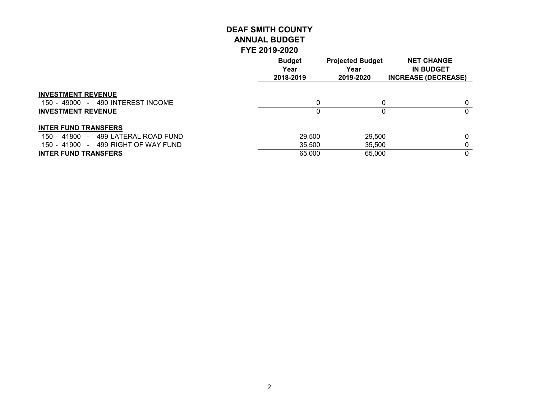|                                                                | <b>Budget</b><br>Year<br>2018-2019 | <b>Projected Budget</b><br>Year<br>2019-2020 | <b>NET CHANGE</b><br><b>IN BUDGET</b><br><b>INCREASE (DECREASE)</b> |
|----------------------------------------------------------------|------------------------------------|----------------------------------------------|---------------------------------------------------------------------|
| <b>INVESTMENT REVENUE</b><br>150 - 49000 - 490 INTEREST INCOME | 0                                  |                                              |                                                                     |
| <b>INVESTMENT REVENUE</b>                                      |                                    |                                              | 0                                                                   |
| <b>INTER FUND TRANSFERS</b>                                    |                                    |                                              |                                                                     |
| 150 - 41800 - 499 LATERAL ROAD FUND                            | 29,500                             | 29,500                                       | 0                                                                   |
| 150 - 41900 - 499 RIGHT OF WAY FUND                            | 35,500                             | 35,500                                       |                                                                     |
| <b>INTER FUND TRANSFERS</b>                                    | 65,000                             | 65,000                                       | 0                                                                   |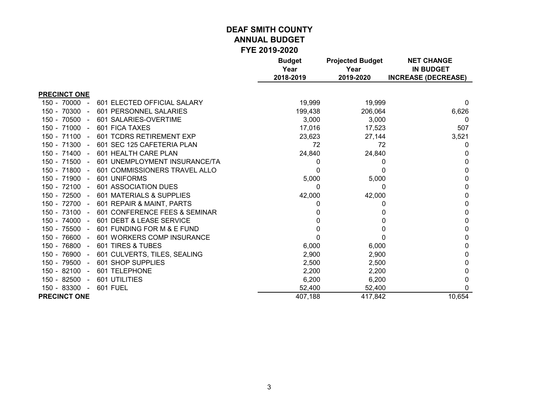|                              |                               | <b>Budget</b><br>Year<br>2018-2019 | <b>Projected Budget</b><br>Year<br>2019-2020 | <b>NET CHANGE</b><br><b>IN BUDGET</b><br><b>INCREASE (DECREASE)</b> |
|------------------------------|-------------------------------|------------------------------------|----------------------------------------------|---------------------------------------------------------------------|
| <b>PRECINCT ONE</b>          |                               |                                    |                                              |                                                                     |
| 150 - 70000<br>$\sim$        | 601 ELECTED OFFICIAL SALARY   | 19,999                             | 19,999                                       | 0                                                                   |
| 150 - 70300 -                | 601 PERSONNEL SALARIES        | 199,438                            | 206,064                                      | 6,626                                                               |
| 150 - 70500<br>$\sim$ $\sim$ | 601 SALARIES-OVERTIME         | 3,000                              | 3,000                                        | 0                                                                   |
| $150 - 71000 -$              | 601 FICA TAXES                | 17,016                             | 17,523                                       | 507                                                                 |
| 150 - 71100 -                | 601 TCDRS RETIREMENT EXP      | 23,623                             | 27,144                                       | 3,521                                                               |
| 150 - 71300 -                | 601 SEC 125 CAFETERIA PLAN    | 72                                 | 72                                           | 0                                                                   |
| $150 - 71400 -$              | 601 HEALTH CARE PLAN          | 24,840                             | 24,840                                       | $\Omega$                                                            |
| 150 - 71500<br>$\sim$        | 601 UNEMPLOYMENT INSURANCE/TA | 0                                  | 0                                            | 0                                                                   |
| $150 - 71800 -$              | 601 COMMISSIONERS TRAVEL ALLO | 0                                  | 0                                            | 0                                                                   |
| 150 - 71900 -                | 601 UNIFORMS                  | 5,000                              | 5,000                                        | 0                                                                   |
| $150 - 72100 -$              | 601 ASSOCIATION DUES          | 0                                  | 0                                            | 0                                                                   |
| 150 - 72500 -                | 601 MATERIALS & SUPPLIES      | 42,000                             | 42,000                                       | 0                                                                   |
| 150 - 72700 -                | 601 REPAIR & MAINT, PARTS     |                                    |                                              | 0                                                                   |
| $150 - 73100 -$              | 601 CONFERENCE FEES & SEMINAR |                                    |                                              | 0                                                                   |
| 150 - 74000<br>$\sim$        | 601 DEBT & LEASE SERVICE      |                                    |                                              | 0                                                                   |
| 150 - 75500 -                | 601 FUNDING FOR M & E FUND    |                                    |                                              | 0                                                                   |
| 150 - 76600<br>$\sim$        | 601 WORKERS COMP INSURANCE    |                                    |                                              | 0                                                                   |
| 150 - 76800 -                | 601 TIRES & TUBES             | 6,000                              | 6,000                                        | 0                                                                   |
| 150 - 76900<br>$\sim$        | 601 CULVERTS, TILES, SEALING  | 2,900                              | 2,900                                        | 0                                                                   |
| 150 - 79500<br>$\sim$ $-$    | 601 SHOP SUPPLIES             | 2,500                              | 2,500                                        | 0                                                                   |
| 150 - 82100<br>$\sim$        | 601 TELEPHONE                 | 2,200                              | 2,200                                        | 0                                                                   |
| 150 - 82500<br>$\sim$        | 601 UTILITIES                 | 6,200                              | 6,200                                        | 0                                                                   |
| 150 - 83300 -                | <b>601 FUEL</b>               | 52,400                             | 52,400                                       | 0                                                                   |
| <b>PRECINCT ONE</b>          |                               | 407,188                            | 417,842                                      | 10,654                                                              |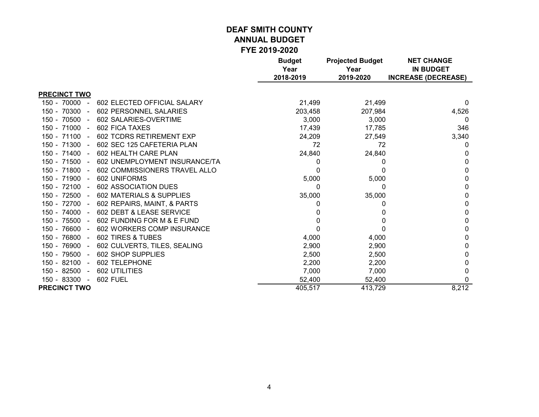|                       |                               | <b>Budget</b><br>Year<br>2018-2019 | <b>Projected Budget</b><br>Year<br>2019-2020 | <b>NET CHANGE</b><br><b>IN BUDGET</b><br><b>INCREASE (DECREASE)</b> |
|-----------------------|-------------------------------|------------------------------------|----------------------------------------------|---------------------------------------------------------------------|
| <b>PRECINCT TWO</b>   |                               |                                    |                                              |                                                                     |
| 150 - 70000<br>$\sim$ | 602 ELECTED OFFICIAL SALARY   | 21,499                             | 21,499                                       | $\Omega$                                                            |
| 150 - 70300 -         | 602 PERSONNEL SALARIES        | 203,458                            | 207,984                                      | 4,526                                                               |
| $150 - 70500 -$       | 602 SALARIES-OVERTIME         | 3,000                              | 3,000                                        | 0                                                                   |
| $150 - 71000 -$       | 602 FICA TAXES                | 17,439                             | 17,785                                       | 346                                                                 |
| $150 - 71100 -$       | 602 TCDRS RETIREMENT EXP      | 24,209                             | 27,549                                       | 3,340                                                               |
| 150 - 71300 -         | 602 SEC 125 CAFETERIA PLAN    | 72                                 | 72                                           | 0                                                                   |
| $150 - 71400 -$       | 602 HEALTH CARE PLAN          | 24,840                             | 24,840                                       |                                                                     |
| 150 - 71500 -         | 602 UNEMPLOYMENT INSURANCE/TA | 0                                  | $\Omega$                                     | $\Omega$                                                            |
| 150 - 71800 -         | 602 COMMISSIONERS TRAVEL ALLO | 0                                  |                                              | 0                                                                   |
| 150 - 71900 -         | 602 UNIFORMS                  | 5,000                              | 5,000                                        |                                                                     |
| $150 - 72100 -$       | <b>602 ASSOCIATION DUES</b>   | 0                                  | 0                                            | 0                                                                   |
| $150 - 72500 -$       | 602 MATERIALS & SUPPLIES      | 35,000                             | 35,000                                       | 0                                                                   |
| 150 - 72700 -         | 602 REPAIRS, MAINT, & PARTS   |                                    | 0                                            |                                                                     |
| $150 - 74000 -$       | 602 DEBT & LEASE SERVICE      |                                    | $\Omega$                                     | 0                                                                   |
| 150 - 75500 -         | 602 FUNDING FOR M & E FUND    |                                    |                                              | 0                                                                   |
| 150 - 76600 -         | 602 WORKERS COMP INSURANCE    |                                    |                                              | $\Omega$                                                            |
| $150 - 76800 -$       | 602 TIRES & TUBES             | 4,000                              | 4,000                                        | 0                                                                   |
| 150 - 76900 -         | 602 CULVERTS, TILES, SEALING  | 2,900                              | 2,900                                        | 0                                                                   |
| 150 - 79500 -         | 602 SHOP SUPPLIES             | 2,500                              | 2,500                                        |                                                                     |
| $150 - 82100 -$       | 602 TELEPHONE                 | 2,200                              | 2,200                                        | 0                                                                   |
| 150 - 82500<br>$\sim$ | 602 UTILITIES                 | 7,000                              | 7,000                                        | 0                                                                   |
| 150 - 83300 -         | <b>602 FUEL</b>               | 52,400                             | 52,400                                       | 0                                                                   |
| <b>PRECINCT TWO</b>   |                               | 405,517                            | 413,729                                      | 8,212                                                               |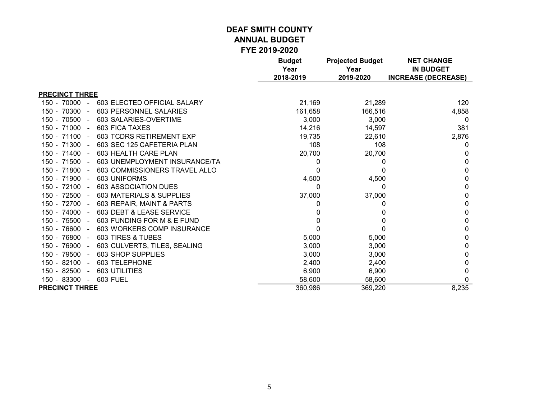|                              |                                 | <b>Budget</b><br>Year<br>2018-2019 | <b>Projected Budget</b><br>Year<br>2019-2020 | <b>NET CHANGE</b><br><b>IN BUDGET</b><br><b>INCREASE (DECREASE)</b> |
|------------------------------|---------------------------------|------------------------------------|----------------------------------------------|---------------------------------------------------------------------|
|                              |                                 |                                    |                                              |                                                                     |
| <b>PRECINCT THREE</b>        |                                 |                                    |                                              |                                                                     |
| 150 - 70000<br>$\sim$        | 603 ELECTED OFFICIAL SALARY     | 21,169                             | 21,289                                       | 120                                                                 |
| 150 - 70300 -                | 603 PERSONNEL SALARIES          | 161,658                            | 166,516                                      | 4,858                                                               |
| 150 - 70500<br>$\sim$        | 603 SALARIES-OVERTIME           | 3,000                              | 3,000                                        | 0                                                                   |
| 150 - 71000 -                | <b>603 FICA TAXES</b>           | 14,216                             | 14,597                                       | 381                                                                 |
| $150 - 71100 -$              | <b>603 TCDRS RETIREMENT EXP</b> | 19,735                             | 22,610                                       | 2,876                                                               |
| 150 - 71300 -                | 603 SEC 125 CAFETERIA PLAN      | 108                                | 108                                          | 0                                                                   |
| $150 - 71400 -$              | 603 HEALTH CARE PLAN            | 20,700                             | 20,700                                       |                                                                     |
| $150 - 71500 -$              | 603 UNEMPLOYMENT INSURANCE/TA   | 0                                  | 0                                            | $\Omega$                                                            |
| 150 - 71800 -                | 603 COMMISSIONERS TRAVEL ALLO   | 0                                  | 0                                            | 0                                                                   |
| $150 - 71900 -$              | 603 UNIFORMS                    | 4,500                              | 4,500                                        | 0                                                                   |
| $150 - 72100 -$              | <b>603 ASSOCIATION DUES</b>     | 0                                  | 0                                            | 0                                                                   |
| 150 - 72500 -                | 603 MATERIALS & SUPPLIES        | 37,000                             | 37,000                                       | 0                                                                   |
| 150 - 72700 -                | 603 REPAIR, MAINT & PARTS       | 0                                  | 0                                            | 0                                                                   |
| $150 - 74000 -$              | 603 DEBT & LEASE SERVICE        | O                                  | 0                                            | 0                                                                   |
| 150 - 75500<br>$\sim$        | 603 FUNDING FOR M & E FUND      | 0                                  | 0                                            | 0                                                                   |
| $150 - 76600 -$              | 603 WORKERS COMP INSURANCE      |                                    | 0                                            | 0                                                                   |
| 150 - 76800 -                | 603 TIRES & TUBES               | 5,000                              | 5,000                                        | 0                                                                   |
| 150 - 76900 -                | 603 CULVERTS, TILES, SEALING    | 3,000                              | 3,000                                        | 0                                                                   |
| 150 - 79500<br>$\sim$ $\sim$ | 603 SHOP SUPPLIES               | 3,000                              | 3,000                                        | 0                                                                   |
| 150 - 82100<br>$\sim$        | 603 TELEPHONE                   | 2,400                              | 2,400                                        | 0                                                                   |
| 150 - 82500<br>$\sim$        | 603 UTILITIES                   | 6,900                              | 6,900                                        | 0                                                                   |
| 150 - 83300<br>$\sim$        | <b>603 FUEL</b>                 | 58,600                             | 58,600                                       | 0                                                                   |
| <b>PRECINCT THREE</b>        |                                 | 360,986                            | 369,220                                      | 8,235                                                               |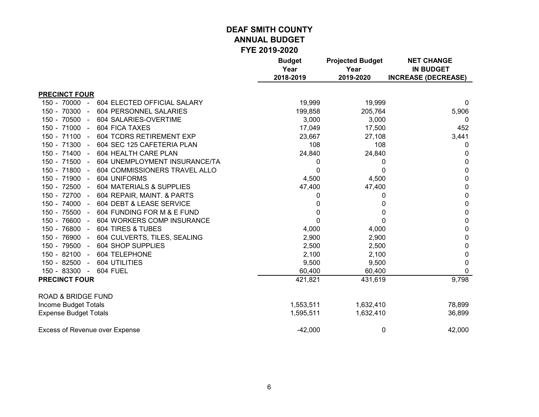|                                                     | <b>Budget</b><br>Year<br>2018-2019 | <b>Projected Budget</b><br>Year<br>2019-2020 | <b>NET CHANGE</b><br><b>IN BUDGET</b><br><b>INCREASE (DECREASE)</b> |
|-----------------------------------------------------|------------------------------------|----------------------------------------------|---------------------------------------------------------------------|
| <b>PRECINCT FOUR</b>                                |                                    |                                              |                                                                     |
| $150 - 70000 -$<br>604 ELECTED OFFICIAL SALARY      | 19,999                             | 19,999                                       | 0                                                                   |
| 150 - 70300 -<br>604 PERSONNEL SALARIES             | 199,858                            | 205,764                                      | 5,906                                                               |
| 150 - 70500 -<br>604 SALARIES-OVERTIME              | 3,000                              | 3,000                                        | $\Omega$                                                            |
| 150 - 71000 -<br><b>604 FICA TAXES</b>              | 17,049                             | 17,500                                       | 452                                                                 |
| 150 - 71100 -<br>604 TCDRS RETIREMENT EXP           | 23,667                             | 27,108                                       | 3,441                                                               |
| 150 - 71300 -<br>604 SEC 125 CAFETERIA PLAN         | 108                                | 108                                          | 0                                                                   |
| 150 - 71400 -<br>604 HEALTH CARE PLAN               | 24,840                             | 24,840                                       | 0                                                                   |
| 150 - 71500 -<br>604 UNEMPLOYMENT INSURANCE/TA      | 0                                  | 0                                            | 0                                                                   |
| 150 - 71800 -<br>604 COMMISSIONERS TRAVEL ALLO      | 0                                  | 0                                            | 0                                                                   |
| 150 - 71900 -<br>604 UNIFORMS                       | 4,500                              | 4,500                                        | 0                                                                   |
| 150 - 72500 -<br>604 MATERIALS & SUPPLIES           | 47,400                             | 47,400                                       | 0                                                                   |
| 150 - 72700 -<br>604 REPAIR, MAINT. & PARTS         | 0                                  | 0                                            | 0                                                                   |
| 150 - 74000 -<br>604 DEBT & LEASE SERVICE           | 0                                  | 0                                            | 0                                                                   |
| 150 - 75500 -<br>604 FUNDING FOR M & E FUND         | 0                                  | 0                                            | 0                                                                   |
| 150 - 76600<br>604 WORKERS COMP INSURANCE<br>$\sim$ | $\Omega$                           | 0                                            | 0                                                                   |
| 150 - 76800 -<br>604 TIRES & TUBES                  | 4,000                              | 4,000                                        | 0                                                                   |
| 150 - 76900 -<br>604 CULVERTS, TILES, SEALING       | 2,900                              | 2,900                                        | 0                                                                   |
| 150 - 79500 -<br>604 SHOP SUPPLIES                  | 2,500                              | 2,500                                        | 0                                                                   |
| 150 - 82100<br>604 TELEPHONE<br>$\sim$              | 2,100                              | 2,100                                        | 0                                                                   |
| 150 - 82500<br><b>604 UTILITIES</b><br>$\sim$       | 9,500                              | 9,500                                        | 0                                                                   |
| 150 - 83300 -<br>604 FUEL                           | 60,400                             | 60,400                                       | O                                                                   |
| <b>PRECINCT FOUR</b>                                | 421,821                            | 431,619                                      | 9,798                                                               |
| <b>ROAD &amp; BRIDGE FUND</b>                       |                                    |                                              |                                                                     |
| Income Budget Totals                                | 1,553,511                          | 1,632,410                                    | 78,899                                                              |
| <b>Expense Budget Totals</b>                        | 1,595,511                          | 1,632,410                                    | 36,899                                                              |
| <b>Excess of Revenue over Expense</b>               | $-42,000$                          | 0                                            | 42,000                                                              |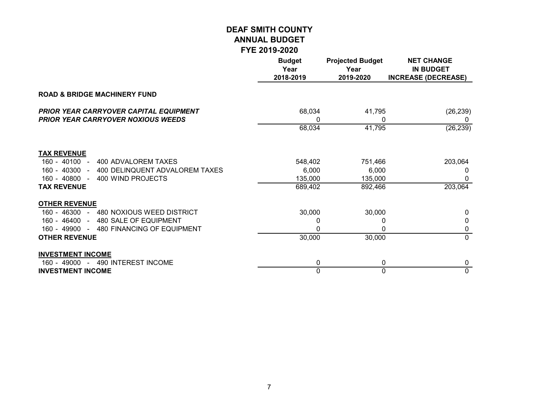|                                                                                            | <b>Budget</b><br>Year<br>2018-2019 | <b>Projected Budget</b><br>Year<br>2019-2020 | <b>NET CHANGE</b><br><b>IN BUDGET</b><br><b>INCREASE (DECREASE)</b> |
|--------------------------------------------------------------------------------------------|------------------------------------|----------------------------------------------|---------------------------------------------------------------------|
| <b>ROAD &amp; BRIDGE MACHINERY FUND</b>                                                    |                                    |                                              |                                                                     |
| <b>PRIOR YEAR CARRYOVER CAPITAL EQUIPMENT</b><br><b>PRIOR YEAR CARRYOVER NOXIOUS WEEDS</b> | 68,034<br>0                        | 41,795<br>0                                  | (26, 239)<br>0                                                      |
|                                                                                            | 68,034                             | 41,795                                       | (26, 239)                                                           |
| <b>TAX REVENUE</b>                                                                         |                                    |                                              |                                                                     |
| $160 - 40100 -$<br>400 ADVALOREM TAXES                                                     | 548,402                            | 751,466                                      | 203,064                                                             |
| 160 - 40300 - 400 DELINQUENT ADVALOREM TAXES                                               | 6,000                              | 6,000                                        | 0                                                                   |
| 400 WIND PROJECTS<br>$160 - 40800 -$                                                       | 135,000                            | 135,000                                      | 0                                                                   |
| <b>TAX REVENUE</b>                                                                         | 689,402                            | 892,466                                      | 203,064                                                             |
| <b>OTHER REVENUE</b>                                                                       |                                    |                                              |                                                                     |
| 160 - 46300 - 480 NOXIOUS WEED DISTRICT                                                    | 30,000                             | 30,000                                       | <sup>0</sup>                                                        |
| 160 - 46400 - 480 SALE OF EQUIPMENT                                                        | 0                                  | 0                                            | 0                                                                   |
| 160 - 49900 - 480 FINANCING OF EQUIPMENT                                                   | 0                                  | 0                                            | 0                                                                   |
| <b>OTHER REVENUE</b>                                                                       | 30,000                             | 30,000                                       | $\mathbf{0}$                                                        |
| <b>INVESTMENT INCOME</b>                                                                   |                                    |                                              |                                                                     |
| 160 - 49000 - 490 INTEREST INCOME                                                          | 0                                  | 0                                            | 0                                                                   |
| <b>INVESTMENT INCOME</b>                                                                   | 0                                  | 0                                            | $\mathbf 0$                                                         |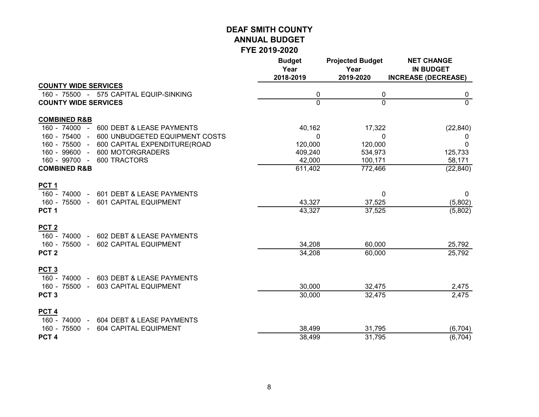|                                                                     | <b>Budget</b><br>Year<br>2018-2019 | <b>Projected Budget</b><br>Year<br>2019-2020 | <b>NET CHANGE</b><br><b>IN BUDGET</b><br><b>INCREASE (DECREASE)</b> |
|---------------------------------------------------------------------|------------------------------------|----------------------------------------------|---------------------------------------------------------------------|
| <b>COUNTY WIDE SERVICES</b>                                         |                                    |                                              |                                                                     |
| 160 - 75500 - 575 CAPITAL EQUIP-SINKING                             | 0                                  | 0                                            | 0                                                                   |
| <b>COUNTY WIDE SERVICES</b>                                         | 0                                  | $\mathbf 0$                                  | $\Omega$                                                            |
| <b>COMBINED R&amp;B</b>                                             |                                    |                                              |                                                                     |
| 160 - 74000 - 600 DEBT & LEASE PAYMENTS                             | 40,162                             | 17,322                                       | (22, 840)                                                           |
| 160 - 75400 -<br>600 UNBUDGETED EQUIPMENT COSTS                     | 0                                  | $\mathbf{0}$                                 | 0                                                                   |
| 160 - 75500 -<br>600 CAPITAL EXPENDITURE(ROAD                       | 120,000                            | 120,000                                      | $\mathbf 0$                                                         |
| 160 - 99600 -<br>600 MOTORGRADERS                                   | 409,240                            | 534,973                                      | 125,733                                                             |
| 160 - 99700 -<br>600 TRACTORS                                       | 42,000                             | 100,171                                      | 58,171                                                              |
| <b>COMBINED R&amp;B</b>                                             | 611,402                            | 772,466                                      | (22, 840)                                                           |
| <b>PCT1</b>                                                         |                                    |                                              |                                                                     |
| 160 - 74000 -<br>601 DEBT & LEASE PAYMENTS                          |                                    | 0                                            | 0                                                                   |
| 160 - 75500 -<br>601 CAPITAL EQUIPMENT                              | 43,327                             | 37,525                                       | (5,802)                                                             |
| PCT <sub>1</sub>                                                    | 43,327                             | 37,525                                       | (5,802)                                                             |
| PCT <sub>2</sub>                                                    |                                    |                                              |                                                                     |
| 160 - 74000 -<br>602 DEBT & LEASE PAYMENTS                          |                                    |                                              |                                                                     |
| 160 - 75500 -<br>602 CAPITAL EQUIPMENT                              | 34,208                             | 60,000                                       | 25,792                                                              |
| PCT <sub>2</sub>                                                    | 34,208                             | 60,000                                       | 25,792                                                              |
| PCT <sub>3</sub>                                                    |                                    |                                              |                                                                     |
| 160 - 74000 -<br>603 DEBT & LEASE PAYMENTS                          |                                    |                                              |                                                                     |
| 160 - 75500 -<br>603 CAPITAL EQUIPMENT                              | 30,000                             | 32,475                                       | 2,475                                                               |
| PCT <sub>3</sub>                                                    | 30,000                             | 32,475                                       | 2,475                                                               |
| PCT <sub>4</sub><br>160 - 74000 -                                   |                                    |                                              |                                                                     |
| 604 DEBT & LEASE PAYMENTS<br>160 - 75500 -<br>604 CAPITAL EQUIPMENT | 38,499                             | 31,795                                       | (6, 704)                                                            |
| PCT <sub>4</sub>                                                    | 38,499                             | 31,795                                       | (6, 704)                                                            |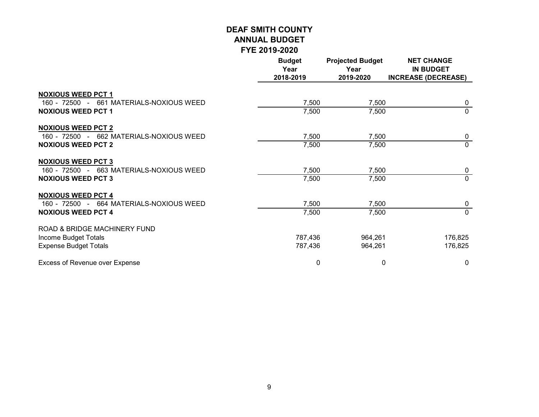|                                                                                                    | <b>Budget</b><br>Year<br>2018-2019 | <b>Projected Budget</b><br>Year<br>2019-2020 | <b>NET CHANGE</b><br><b>IN BUDGET</b><br><b>INCREASE (DECREASE)</b> |
|----------------------------------------------------------------------------------------------------|------------------------------------|----------------------------------------------|---------------------------------------------------------------------|
| <b>NOXIOUS WEED PCT 1</b><br>160 - 72500 - 661 MATERIALS-NOXIOUS WEED<br><b>NOXIOUS WEED PCT 1</b> | 7,500<br>7,500                     | 7,500<br>7,500                               | 0<br>$\mathbf{0}$                                                   |
| <b>NOXIOUS WEED PCT 2</b><br>160 - 72500 - 662 MATERIALS-NOXIOUS WEED<br><b>NOXIOUS WEED PCT 2</b> | 7,500<br>7,500                     | 7,500<br>7,500                               | $\mathbf 0$<br>$\mathbf{0}$                                         |
| <b>NOXIOUS WEED PCT 3</b><br>160 - 72500 - 663 MATERIALS-NOXIOUS WEED<br><b>NOXIOUS WEED PCT 3</b> | 7,500<br>7,500                     | 7,500<br>7,500                               | 0<br>$\Omega$                                                       |
| <b>NOXIOUS WEED PCT 4</b><br>160 - 72500 - 664 MATERIALS-NOXIOUS WEED<br><b>NOXIOUS WEED PCT 4</b> | 7,500<br>7,500                     | 7,500<br>7,500                               | 0<br>$\Omega$                                                       |
| ROAD & BRIDGE MACHINERY FUND<br>Income Budget Totals<br><b>Expense Budget Totals</b>               | 787,436<br>787,436                 | 964,261<br>964,261                           | 176,825<br>176,825                                                  |
| Excess of Revenue over Expense                                                                     | 0                                  | 0                                            | 0                                                                   |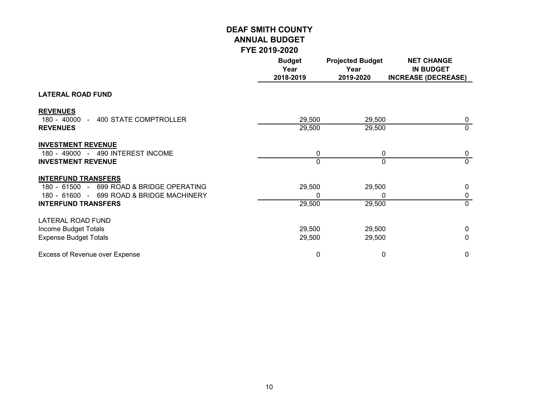|                                                                | <b>Budget</b><br>Year<br>2018-2019 | <b>Projected Budget</b><br>Year<br>2019-2020 | <b>NET CHANGE</b><br><b>IN BUDGET</b><br><b>INCREASE (DECREASE)</b> |
|----------------------------------------------------------------|------------------------------------|----------------------------------------------|---------------------------------------------------------------------|
| <b>LATERAL ROAD FUND</b>                                       |                                    |                                              |                                                                     |
| <b>REVENUES</b><br>180 - 40000 - 400 STATE COMPTROLLER         | 29,500                             | 29,500                                       | $\mathbf 0$                                                         |
| <b>REVENUES</b>                                                | 29,500                             | 29,500                                       | $\mathbf 0$                                                         |
| <b>INVESTMENT REVENUE</b><br>180 - 49000 - 490 INTEREST INCOME | 0                                  | $\mathbf{0}$                                 | 0                                                                   |
| <b>INVESTMENT REVENUE</b>                                      | 0                                  | $\Omega$                                     | $\mathbf{0}$                                                        |
| <b>INTERFUND TRANSFERS</b>                                     |                                    |                                              |                                                                     |
| 180 - 61500 - 699 ROAD & BRIDGE OPERATING                      | 29,500                             | 29,500                                       | $\mathbf{0}$                                                        |
| 180 - 61600 - 699 ROAD & BRIDGE MACHINERY                      | 0                                  | 0                                            | 0                                                                   |
| <b>INTERFUND TRANSFERS</b>                                     | 29,500                             | 29,500                                       | $\mathbf 0$                                                         |
| LATERAL ROAD FUND                                              |                                    |                                              |                                                                     |
| Income Budget Totals                                           | 29,500                             | 29,500                                       | $\mathbf{0}$                                                        |
| <b>Expense Budget Totals</b>                                   | 29,500                             | 29,500                                       | 0                                                                   |
| <b>Excess of Revenue over Expense</b>                          | 0                                  | 0                                            | $\mathbf 0$                                                         |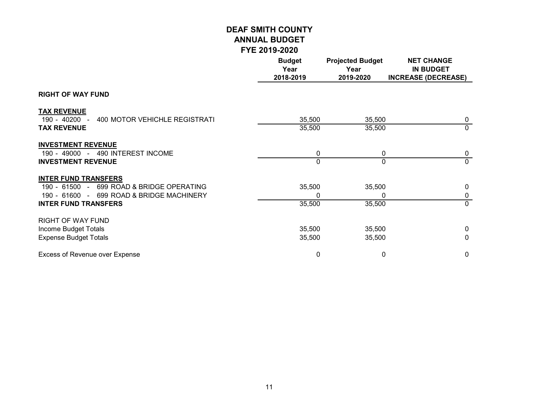|                                                                                                                                                      | <b>Budget</b><br>Year<br>2018-2019 | <b>Projected Budget</b><br>Year<br>2019-2020 | <b>NET CHANGE</b><br><b>IN BUDGET</b><br><b>INCREASE (DECREASE)</b> |
|------------------------------------------------------------------------------------------------------------------------------------------------------|------------------------------------|----------------------------------------------|---------------------------------------------------------------------|
| <b>RIGHT OF WAY FUND</b>                                                                                                                             |                                    |                                              |                                                                     |
| <b>TAX REVENUE</b><br>$190 - 40200 -$<br>400 MOTOR VEHICHLE REGISTRATI<br><b>TAX REVENUE</b>                                                         | 35,500<br>35,500                   | 35,500<br>35,500                             | 0<br>$\Omega$                                                       |
| <b>INVESTMENT REVENUE</b><br>190 - 49000 - 490 INTEREST INCOME<br><b>INVESTMENT REVENUE</b>                                                          | 0<br>0                             | 0<br>$\Omega$                                | 0<br>$\Omega$                                                       |
| <b>INTER FUND TRANSFERS</b><br>190 - 61500 - 699 ROAD & BRIDGE OPERATING<br>190 - 61600 - 699 ROAD & BRIDGE MACHINERY<br><b>INTER FUND TRANSFERS</b> | 35,500<br>0<br>35,500              | 35,500<br>0<br>35,500                        | $\mathbf{0}$<br>0<br>$\Omega$                                       |
| <b>RIGHT OF WAY FUND</b><br>Income Budget Totals<br><b>Expense Budget Totals</b>                                                                     | 35,500<br>35,500                   | 35,500<br>35,500                             | $\Omega$<br>$\mathbf{0}$                                            |
| Excess of Revenue over Expense                                                                                                                       | 0                                  | 0                                            | 0                                                                   |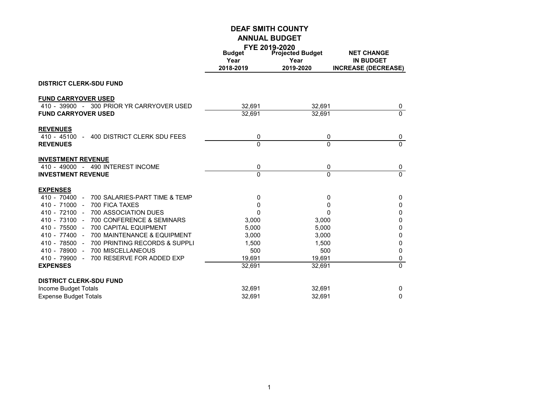|                                                                     | <b>Budget</b><br>Year<br>2018-2019 | <b>FYE 2019-2020</b><br><b>Projected Budget</b><br>Year<br>2019-2020 | <b>NET CHANGE</b><br><b>IN BUDGET</b><br><b>INCREASE (DECREASE)</b> |
|---------------------------------------------------------------------|------------------------------------|----------------------------------------------------------------------|---------------------------------------------------------------------|
| <b>DISTRICT CLERK-SDU FUND</b>                                      |                                    |                                                                      |                                                                     |
| <b>FUND CARRYOVER USED</b>                                          |                                    |                                                                      |                                                                     |
| 410 - 39900 - 300 PRIOR YR CARRYOVER USED                           | 32,691                             | 32,691                                                               | 0                                                                   |
| <b>FUND CARRYOVER USED</b>                                          | 32,691                             | 32,691                                                               | $\overline{0}$                                                      |
| <b>REVENUES</b>                                                     |                                    |                                                                      |                                                                     |
| 400 DISTRICT CLERK SDU FEES<br>$410 - 45100 -$                      | 0<br>$\Omega$                      | 0<br>$\Omega$                                                        | 0<br>$\Omega$                                                       |
| <b>REVENUES</b>                                                     |                                    |                                                                      |                                                                     |
| <b>INVESTMENT REVENUE</b>                                           |                                    |                                                                      |                                                                     |
| 410 - 49000 - 490 INTEREST INCOME                                   | 0                                  | 0                                                                    | 0                                                                   |
| <b>INVESTMENT REVENUE</b>                                           | $\Omega$                           | $\Omega$                                                             | $\overline{0}$                                                      |
| <b>EXPENSES</b>                                                     |                                    |                                                                      |                                                                     |
| 700 SALARIES-PART TIME & TEMP<br>$410 - 70400 -$                    | 0                                  | 0                                                                    | $\mathbf 0$                                                         |
| $410 - 71000 -$<br>700 FICA TAXES                                   | 0                                  | 0                                                                    | $\mathbf 0$                                                         |
| $410 - 72100 -$<br><b>700 ASSOCIATION DUES</b>                      | $\Omega$                           | $\mathbf 0$                                                          | $\mathbf 0$                                                         |
| 410 - 73100 -<br>700 CONFERENCE & SEMINARS                          | 3,000                              | 3,000                                                                | 0                                                                   |
| 410 - 75500 -<br><b>700 CAPITAL EQUIPMENT</b>                       | 5,000                              | 5,000                                                                | $\mathbf 0$                                                         |
| 410 - 77400 -<br>700 MAINTENANCE & EQUIPMENT<br>410 - 78500 -       | 3.000                              | 3.000                                                                | 0                                                                   |
| 700 PRINTING RECORDS & SUPPLI<br>410 - 78900 -<br>700 MISCELLANEOUS | 1,500<br>500                       | 1,500<br>500                                                         | 0<br>$\pmb{0}$                                                      |
| 700 RESERVE FOR ADDED EXP<br>410 - 79900 -                          | 19.691                             | 19.691                                                               | 0                                                                   |
| <b>EXPENSES</b>                                                     | 32,691                             | 32,691                                                               | $\mathbf 0$                                                         |
|                                                                     |                                    |                                                                      |                                                                     |
| <b>DISTRICT CLERK-SDU FUND</b>                                      |                                    |                                                                      |                                                                     |
| Income Budget Totals                                                | 32,691                             | 32,691                                                               | $\mathbf 0$                                                         |
| <b>Expense Budget Totals</b>                                        | 32,691                             | 32,691                                                               | $\mathbf 0$                                                         |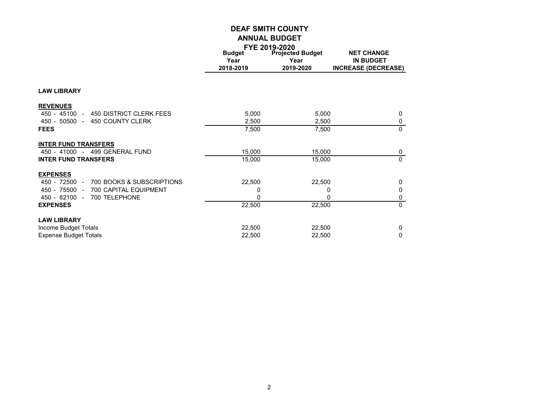|                                            |               | FYE 2019-2020           |                            |  |
|--------------------------------------------|---------------|-------------------------|----------------------------|--|
|                                            | <b>Budget</b> | <b>Projected Budget</b> | <b>NET CHANGE</b>          |  |
|                                            | Year          | Year                    | <b>IN BUDGET</b>           |  |
|                                            | 2018-2019     | 2019-2020               | <b>INCREASE (DECREASE)</b> |  |
|                                            |               |                         |                            |  |
| <b>LAW LIBRARY</b>                         |               |                         |                            |  |
| <b>REVENUES</b>                            |               |                         |                            |  |
| 450 DISTRICT CLERK FEES<br>$450 - 45100 -$ | 5,000         | 5,000                   | 0                          |  |
| 450 - 50500 - 450 COUNTY CLERK             | 2,500         | 2,500                   | 0                          |  |
| <b>FEES</b>                                | 7,500         | 7,500                   | $\mathbf{0}$               |  |
| <b>INTER FUND TRANSFERS</b>                |               |                         |                            |  |
| 450 - 41000 - 499 GENERAL FUND             | 15,000        | 15,000                  | $\mathbf 0$                |  |
| <b>INTER FUND TRANSFERS</b>                | 15,000        | 15,000                  | $\mathbf{0}$               |  |
| <b>EXPENSES</b>                            |               |                         |                            |  |
| 700 BOOKS & SUBSCRIPTIONS<br>450 - 72500 - | 22,500        | 22,500                  | 0                          |  |
| 700 CAPITAL EQUIPMENT<br>450 - 75500 -     | 0             | 0                       | 0                          |  |
| 450 - 82100 -<br>700 TELEPHONE             |               | 0                       | 0                          |  |
| <b>EXPENSES</b>                            | 22,500        | 22,500                  | $\mathbf{0}$               |  |
| <b>LAW LIBRARY</b>                         |               |                         |                            |  |
| Income Budget Totals                       | 22,500        | 22,500                  | 0                          |  |
| <b>Expense Budget Totals</b>               | 22,500        | 22,500                  | 0                          |  |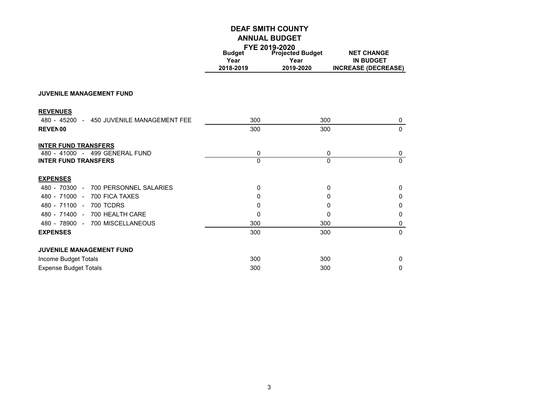|                                           | FYE 2019-2020 |                         |                            |
|-------------------------------------------|---------------|-------------------------|----------------------------|
|                                           | <b>Budget</b> | <b>Projected Budget</b> | <b>NET CHANGE</b>          |
|                                           | Year          | Year                    | <b>IN BUDGET</b>           |
|                                           | 2018-2019     | 2019-2020               | <b>INCREASE (DECREASE)</b> |
|                                           |               |                         |                            |
| <b>JUVENILE MANAGEMENT FUND</b>           |               |                         |                            |
| <b>REVENUES</b>                           |               |                         |                            |
| 480 - 45200 - 450 JUVENILE MANAGEMENT FEE | 300           | 300                     | 0                          |
| REVEN00                                   | 300           | 300                     | $\mathbf{0}$               |
| <b>INTER FUND TRANSFERS</b>               |               |                         |                            |
| 480 - 41000 - 499 GENERAL FUND            | 0             | 0                       | 0                          |
| <b>INTER FUND TRANSFERS</b>               | $\Omega$      | $\Omega$                | $\Omega$                   |
| <b>EXPENSES</b>                           |               |                         |                            |
| 480 - 70300 -<br>700 PERSONNEL SALARIES   | $\mathbf 0$   | 0                       | $\Omega$                   |
| 480 - 71000 - 700 FICA TAXES              | 0             | 0                       | 0                          |
| 480 - 71100 - 700 TCDRS                   | 0             | 0                       | 0                          |
| 480 - 71400 - 700 HEALTH CARE             | 0             | 0                       | 0                          |
| 480 - 78900 - 700 MISCELLANEOUS           | 300           | 300                     | 0                          |
| <b>EXPENSES</b>                           | 300           | 300                     | $\Omega$                   |
| <b>JUVENILE MANAGEMENT FUND</b>           |               |                         |                            |
| Income Budget Totals                      | 300           | 300                     | 0                          |
| <b>Expense Budget Totals</b>              | 300           | 300                     | 0                          |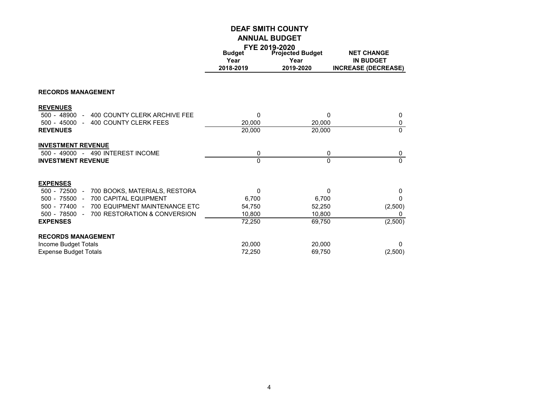|                                                               |                       | FYE 2019-2020                   |                                       |
|---------------------------------------------------------------|-----------------------|---------------------------------|---------------------------------------|
|                                                               | <b>Budget</b><br>Year | <b>Projected Budget</b><br>Year | <b>NET CHANGE</b><br><b>IN BUDGET</b> |
|                                                               | 2018-2019             | 2019-2020                       | <b>INCREASE (DECREASE)</b>            |
| <b>RECORDS MANAGEMENT</b>                                     |                       |                                 |                                       |
| <b>REVENUES</b>                                               |                       |                                 |                                       |
| 500 - 48900<br>400 COUNTY CLERK ARCHIVE FEE<br>$\overline{a}$ | 0                     | $\mathbf{0}$                    | 0                                     |
| $500 - 45000 -$<br>400 COUNTY CLERK FEES                      | 20,000                | 20,000                          | $\pmb{0}$                             |
| <b>REVENUES</b>                                               | 20,000                | 20,000                          | $\Omega$                              |
| <b>INVESTMENT REVENUE</b>                                     |                       |                                 |                                       |
| 500 - 49000 - 490 INTEREST INCOME                             | 0                     | 0                               | 0                                     |
| <b>INVESTMENT REVENUE</b>                                     | 0                     | $\Omega$                        | $\Omega$                              |
| <b>EXPENSES</b>                                               |                       |                                 |                                       |
| 700 BOOKS, MATERIALS, RESTORA<br>$500 - 72500 -$              | 0                     | $\Omega$                        | $\mathbf{0}$                          |
| $500 - 75500 -$<br>700 CAPITAL EQUIPMENT                      | 6,700                 | 6,700                           | $\Omega$                              |
| $500 - 77400 -$<br>700 EQUIPMENT MAINTENANCE ETC              | 54,750                | 52,250                          | (2,500)                               |
| 700 RESTORATION & CONVERSION<br>$500 - 78500 -$               | 10,800                | 10,800                          | 0                                     |
| <b>EXPENSES</b>                                               | 72,250                | 69,750                          | (2,500)                               |
| <b>RECORDS MANAGEMENT</b>                                     |                       |                                 |                                       |
| Income Budget Totals                                          | 20,000                | 20,000                          | $\mathbf 0$                           |
| <b>Expense Budget Totals</b>                                  | 72,250                | 69,750                          | (2,500)                               |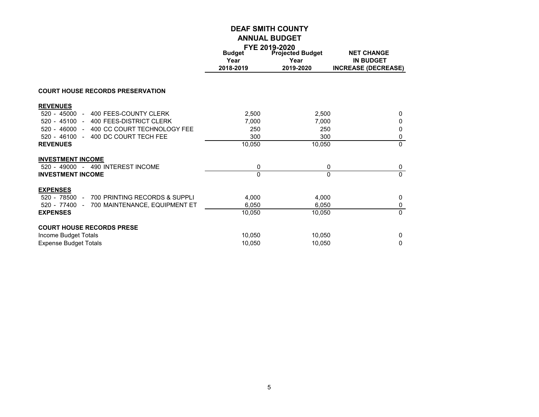|                                                  | FYE 2019-2020         |                                 |                                       |
|--------------------------------------------------|-----------------------|---------------------------------|---------------------------------------|
|                                                  | <b>Budget</b><br>Year | <b>Projected Budget</b><br>Year | <b>NET CHANGE</b><br><b>IN BUDGET</b> |
|                                                  | 2018-2019             | 2019-2020                       | <b>INCREASE (DECREASE)</b>            |
| <b>COURT HOUSE RECORDS PRESERVATION</b>          |                       |                                 |                                       |
| <b>REVENUES</b>                                  |                       |                                 |                                       |
| 400 FEES-COUNTY CLERK<br>$520 - 45000 -$         | 2,500                 | 2,500                           | 0                                     |
| 520 - 45100 - 400 FEES-DISTRICT CLERK            | 7.000                 | 7.000                           | 0                                     |
| $520 - 46000 -$<br>400 CC COURT TECHNOLOGY FEE   | 250                   | 250                             | 0                                     |
| $520 - 46100 -$<br>400 DC COURT TECH FEE         | 300                   | 300                             | 0                                     |
| <b>REVENUES</b>                                  | 10,050                | 10,050                          | $\Omega$                              |
| <b>INVESTMENT INCOME</b>                         |                       |                                 |                                       |
| 520 - 49000 - 490 INTEREST INCOME                | 0                     | 0                               | 0                                     |
| <b>INVESTMENT INCOME</b>                         | $\Omega$              | $\Omega$                        | $\Omega$                              |
| <b>EXPENSES</b>                                  |                       |                                 |                                       |
| 700 PRINTING RECORDS & SUPPLI<br>$520 - 78500 -$ | 4,000                 | 4,000                           | 0                                     |
| 700 MAINTENANCE, EQUIPMENT ET<br>520 - 77400 -   | 6,050                 | 6,050                           | 0                                     |
| <b>EXPENSES</b>                                  | 10,050                | 10,050                          | $\Omega$                              |
| <b>COURT HOUSE RECORDS PRESE</b>                 |                       |                                 |                                       |
| Income Budget Totals                             | 10,050                | 10.050                          | 0                                     |
| <b>Expense Budget Totals</b>                     | 10,050                | 10,050                          | 0                                     |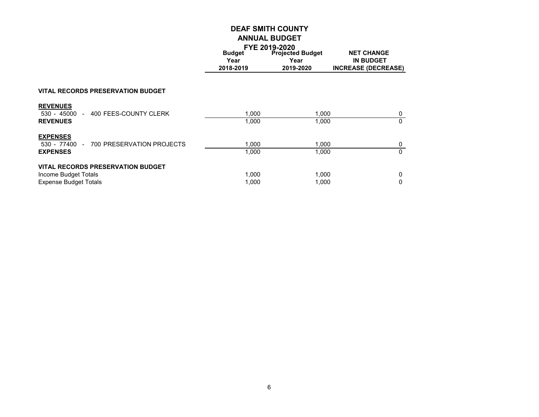| <b>Budget</b> | FTE ZU19-ZUZU<br><b>Projected Budget</b> | <b>NET CHANGE</b>          |
|---------------|------------------------------------------|----------------------------|
| Year          | Year                                     | IN BUDGET                  |
| 2018-2019     | 2019-2020                                | <b>INCREASE (DECREASE)</b> |

#### **VITAL RECORDS PRESERVATION BUDGET**

| <b>REVENUES</b><br>530 - 45000<br>- 400 FEES-COUNTY CLERK<br><b>REVENUES</b>                     | 1.000<br>1.000 | 1.000<br>1.000 | 0      |
|--------------------------------------------------------------------------------------------------|----------------|----------------|--------|
| <b>EXPENSES</b><br>530 - 77400 - 700 PRESERVATION PROJECTS<br><b>EXPENSES</b>                    | 1.000<br>1.000 | 1.000<br>1.000 | 0      |
| <b>VITAL RECORDS PRESERVATION BUDGET</b><br>Income Budget Totals<br><b>Expense Budget Totals</b> | 1.000<br>1.000 | 1.000<br>1.000 | 0<br>0 |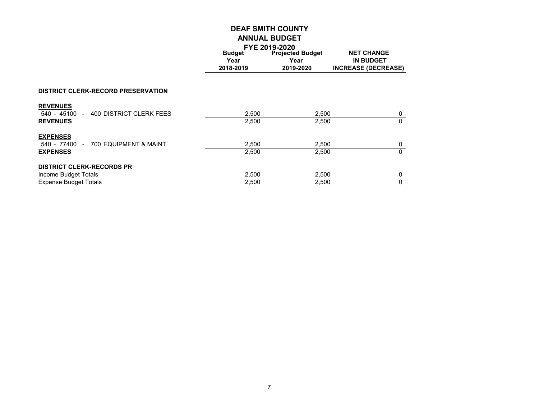|                                                             |                       | FTE ZUI 9-ZUZU                  |                                       |  |
|-------------------------------------------------------------|-----------------------|---------------------------------|---------------------------------------|--|
|                                                             | <b>Budget</b><br>Year | <b>Projected Budget</b><br>Year | <b>NET CHANGE</b><br><b>IN BUDGET</b> |  |
|                                                             | 2018-2019             | 2019-2020                       | <b>INCREASE (DECREASE)</b>            |  |
|                                                             |                       |                                 |                                       |  |
| <b>DISTRICT CLERK-RECORD PRESERVATION</b>                   |                       |                                 |                                       |  |
| <b>REVENUES</b><br>- 400 DISTRICT CLERK FEES<br>540 - 45100 | 2,500                 | 2,500                           | 0                                     |  |
| <b>REVENUES</b>                                             | 2,500                 | 2,500                           | $\mathbf{0}$                          |  |
| <b>EXPENSES</b>                                             |                       |                                 |                                       |  |
| 540 - 77400<br>- 700 EQUIPMENT & MAINT.                     | 2,500                 | 2,500                           | 0                                     |  |
| <b>EXPENSES</b>                                             | 2,500                 | 2,500                           | $\mathbf{0}$                          |  |
| <b>DISTRICT CLERK-RECORDS PR</b>                            |                       |                                 |                                       |  |
| Income Budget Totals                                        | 2,500                 | 2,500                           | 0                                     |  |
| <b>Expense Budget Totals</b>                                | 2,500                 | 2,500                           | $\Omega$                              |  |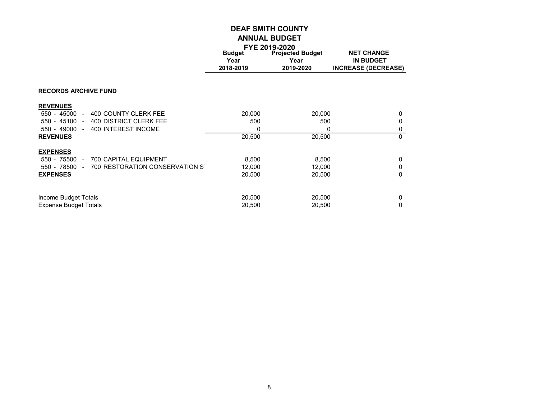|                                                                  |               | FYE 2019-2020           |                            |
|------------------------------------------------------------------|---------------|-------------------------|----------------------------|
|                                                                  | <b>Budget</b> | <b>Projected Budget</b> | <b>NET CHANGE</b>          |
|                                                                  | Year          | Year                    | <b>IN BUDGET</b>           |
|                                                                  | 2018-2019     | 2019-2020               | <b>INCREASE (DECREASE)</b> |
|                                                                  |               |                         |                            |
| <b>RECORDS ARCHIVE FUND</b>                                      |               |                         |                            |
| <b>REVENUES</b>                                                  |               |                         |                            |
| 400 COUNTY CLERK FEE<br>550 - 45000<br>$\overline{a}$            | 20,000        | 20,000                  | 0                          |
| $550 - 45100 -$<br><b>400 DISTRICT CLERK FEE</b>                 | 500           | 500                     | 0                          |
| 550 - 49000<br>400 INTEREST INCOME<br>$\blacksquare$             | 0             | 0                       | 0                          |
| <b>REVENUES</b>                                                  | 20,500        | 20,500                  | $\Omega$                   |
| <b>EXPENSES</b>                                                  |               |                         |                            |
| 700 CAPITAL EQUIPMENT<br>550 - 75500<br>$\overline{\phantom{a}}$ | 8,500         | 8,500                   | 0                          |
| 700 RESTORATION CONSERVATION ST<br>550 - 78500<br>$\overline{a}$ | 12,000        | 12,000                  | 0                          |
| <b>EXPENSES</b>                                                  | 20,500        | 20,500                  | $\Omega$                   |
|                                                                  |               |                         |                            |
| Income Budget Totals                                             | 20,500        | 20,500                  | 0                          |
| <b>Expense Budget Totals</b>                                     | 20,500        | 20,500                  | 0                          |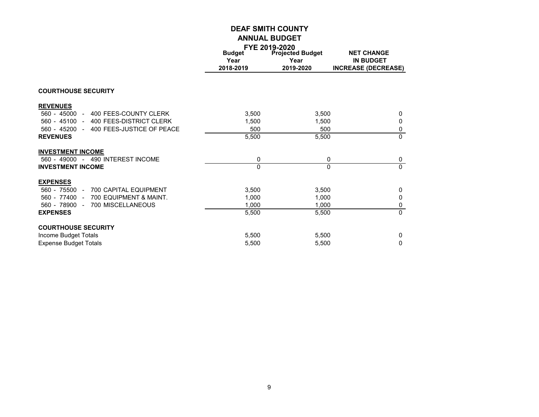|                                            |               | FYE 2019-2020           |                            |
|--------------------------------------------|---------------|-------------------------|----------------------------|
|                                            | <b>Budget</b> | <b>Projected Budget</b> | <b>NET CHANGE</b>          |
|                                            | Year          | Year                    | <b>IN BUDGET</b>           |
|                                            | 2018-2019     | 2019-2020               | <b>INCREASE (DECREASE)</b> |
|                                            |               |                         |                            |
| <b>COURTHOUSE SECURITY</b>                 |               |                         |                            |
| <b>REVENUES</b>                            |               |                         |                            |
| 400 FEES-COUNTY CLERK<br>$560 - 45000 -$   | 3,500         | 3,500                   | 0                          |
| 560 - 45100 - 400 FEES-DISTRICT CLERK      | 1.500         | 1,500                   | 0                          |
| 400 FEES-JUSTICE OF PEACE<br>560 - 45200 - | 500           | 500                     | $\pmb{0}$                  |
| <b>REVENUES</b>                            | 5,500         | 5,500                   | $\Omega$                   |
| <b>INVESTMENT INCOME</b>                   |               |                         |                            |
| 560 - 49000 - 490 INTEREST INCOME          | 0             | 0                       | 0                          |
| <b>INVESTMENT INCOME</b>                   | $\Omega$      | $\Omega$                | $\Omega$                   |
| <b>EXPENSES</b>                            |               |                         |                            |
| 560 - 75500 -<br>700 CAPITAL EQUIPMENT     | 3,500         | 3,500                   | 0                          |
| 700 EQUIPMENT & MAINT.<br>560 - 77400 -    | 1,000         | 1,000                   | 0                          |
| 560 - 78900 -<br>700 MISCELLANEOUS         | 1,000         | 1,000                   | $\pmb{0}$                  |
| <b>EXPENSES</b>                            | 5,500         | 5,500                   | $\mathbf{0}$               |
| <b>COURTHOUSE SECURITY</b>                 |               |                         |                            |
| Income Budget Totals                       | 5,500         | 5,500                   | 0                          |
| <b>Expense Budget Totals</b>               | 5,500         | 5,500                   | $\Omega$                   |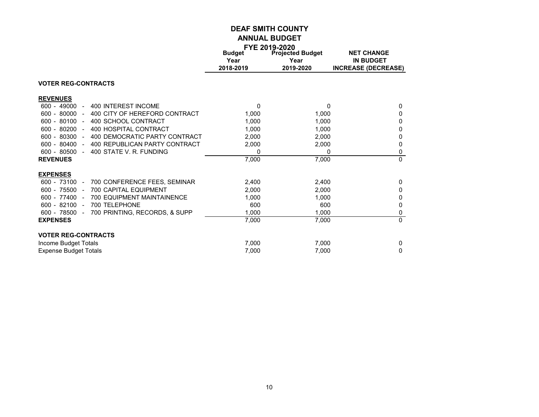|                                                                  |               | FYE 2019-2020           |                            |
|------------------------------------------------------------------|---------------|-------------------------|----------------------------|
|                                                                  | <b>Budget</b> | <b>Projected Budget</b> | <b>NET CHANGE</b>          |
|                                                                  | Year          | Year                    | <b>IN BUDGET</b>           |
|                                                                  | 2018-2019     | 2019-2020               | <b>INCREASE (DECREASE)</b> |
| <b>VOTER REG-CONTRACTS</b>                                       |               |                         |                            |
| <b>REVENUES</b>                                                  |               |                         |                            |
| $600 - 49000$<br>400 INTEREST INCOME<br>$\overline{\phantom{0}}$ | $\Omega$      | 0                       | 0                          |
| 600 - 80000<br>400 CITY OF HEREFORD CONTRACT<br>$\blacksquare$   | 1,000         | 1,000                   | 0                          |
| $600 - 80100 -$<br>400 SCHOOL CONTRACT                           | 1,000         | 1.000                   | 0                          |
| 400 HOSPITAL CONTRACT<br>600 - 80200<br>$\sim$                   | 1,000         | 1,000                   | 0                          |
| 600 - 80300<br>400 DEMOCRATIC PARTY CONTRACT<br>$\blacksquare$   | 2,000         | 2,000                   | 0                          |
| 600 - 80400<br>400 REPUBLICAN PARTY CONTRACT<br>$\sim$           | 2,000         | 2,000                   | 0                          |
| 600 - 80500<br>400 STATE V. R. FUNDING<br>$\sim$                 | 0             | 0                       | 0                          |
| <b>REVENUES</b>                                                  | 7,000         | 7,000                   | $\Omega$                   |
| <b>EXPENSES</b>                                                  |               |                         |                            |
| 600 - 73100<br>700 CONFERENCE FEES, SEMINAR<br>$\sim$            | 2,400         | 2,400                   | 0                          |
| 600 - 75500<br><b>700 CAPITAL EQUIPMENT</b><br>$\sim$            | 2,000         | 2,000                   | 0                          |
| 600 - 77400<br><b>700 EQUIPMENT MAINTAINENCE</b><br>$\sim$       | 1.000         | 1,000                   | 0                          |
| $600 - 82100 -$<br>700 TELEPHONE                                 | 600           | 600                     | 0                          |
| 600 - 78500<br>700 PRINTING, RECORDS, & SUPP<br>$\blacksquare$   | 1,000         | 1,000                   | 0                          |
| <b>EXPENSES</b>                                                  | 7,000         | 7,000                   | $\mathbf{0}$               |
| <b>VOTER REG-CONTRACTS</b>                                       |               |                         |                            |
| Income Budget Totals                                             | 7,000         | 7,000                   | 0                          |
| <b>Expense Budget Totals</b>                                     | 7,000         | 7,000                   | 0                          |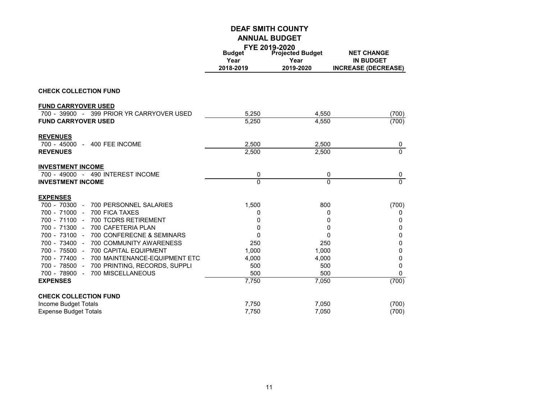|                                                                          |               | FYE 2019-2020           |                            |
|--------------------------------------------------------------------------|---------------|-------------------------|----------------------------|
|                                                                          | <b>Budget</b> | <b>Projected Budget</b> | <b>NET CHANGE</b>          |
|                                                                          | Year          | Year                    | <b>IN BUDGET</b>           |
|                                                                          | 2018-2019     | 2019-2020               | <b>INCREASE (DECREASE)</b> |
|                                                                          |               |                         |                            |
| <b>CHECK COLLECTION FUND</b>                                             |               |                         |                            |
| <b>FUND CARRYOVER USED</b>                                               |               |                         |                            |
| 700 - 39900 - 399 PRIOR YR CARRYOVER USED                                | 5,250         | 4,550                   | (700)                      |
| <b>FUND CARRYOVER USED</b>                                               | 5,250         | 4,550                   | (700)                      |
| <b>REVENUES</b>                                                          |               |                         |                            |
| 700 - 45000 -<br>400 FEE INCOME                                          | 2,500         | 2,500                   | 0                          |
| <b>REVENUES</b>                                                          | 2,500         | 2,500                   | $\overline{0}$             |
| <b>INVESTMENT INCOME</b>                                                 |               |                         |                            |
| 700 - 49000 - 490 INTEREST INCOME                                        | 0             | 0                       | 0                          |
| <b>INVESTMENT INCOME</b>                                                 | $\Omega$      | 0                       | $\overline{0}$             |
| <b>EXPENSES</b>                                                          |               |                         |                            |
| 700 - 70300 -<br>700 PERSONNEL SALARIES                                  | 1,500         | 800                     | (700)                      |
| 700 - 71000 -<br>700 FICA TAXES                                          | 0             | 0                       | 0                          |
| 700 - 71100 -<br>700 TCDRS RETIREMENT                                    | 0             | 0                       | 0                          |
| 700 - 71300 -<br>700 CAFETERIA PLAN                                      | 0             | 0                       | $\pmb{0}$                  |
| 700 - 73100 -<br>700 CONFERECNE & SEMINARS                               | 0             | 0                       | 0                          |
| 700 - 73400 -<br>700 COMMUNITY AWARENESS                                 | 250           | 250                     | 0                          |
| 700 - 75500 -<br>700 CAPITAL EQUIPMENT                                   | 1,000         | 1,000                   | 0                          |
| 700 - 77400<br>700 MAINTENANCE-EQUIPMENT ETC<br>$\overline{\phantom{a}}$ | 4,000         | 4,000                   | 0                          |
| 700 - 78500 -<br>700 PRINTING, RECORDS, SUPPLI                           | 500           | 500                     | $\Omega$                   |
| 700 MISCELLANEOUS<br>700 - 78900 -                                       | 500           | 500                     | $\Omega$                   |
| <b>EXPENSES</b>                                                          | 7,750         | 7,050                   | (700)                      |
| <b>CHECK COLLECTION FUND</b>                                             |               |                         |                            |
| Income Budget Totals                                                     | 7,750         | 7,050                   | (700)                      |
| <b>Expense Budget Totals</b>                                             | 7.750         | 7.050                   | (700)                      |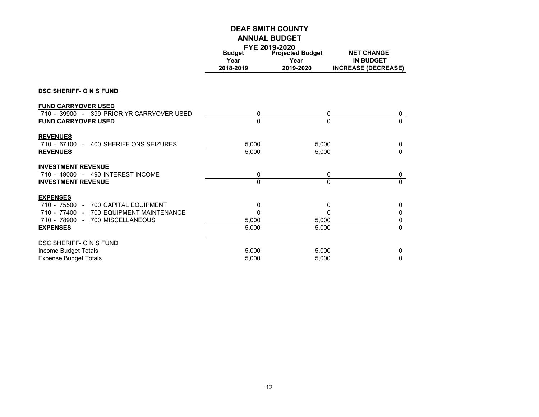|                                                                         |                                    | FYE 2019-2020                                |                                                                     |
|-------------------------------------------------------------------------|------------------------------------|----------------------------------------------|---------------------------------------------------------------------|
|                                                                         | <b>Budget</b><br>Year<br>2018-2019 | <b>Projected Budget</b><br>Year<br>2019-2020 | <b>NET CHANGE</b><br><b>IN BUDGET</b><br><b>INCREASE (DECREASE)</b> |
| <b>DSC SHERIFF- O N S FUND</b>                                          |                                    |                                              |                                                                     |
| <b>FUND CARRYOVER USED</b>                                              |                                    |                                              |                                                                     |
| 710 - 39900 - 399 PRIOR YR CARRYOVER USED<br><b>FUND CARRYOVER USED</b> | 0<br>$\Omega$                      |                                              | 0<br>0<br>$\Omega$<br>$\Omega$                                      |
|                                                                         |                                    |                                              |                                                                     |
| <b>REVENUES</b><br>400 SHERIFF ONS SEIZURES<br>710 - 67100 -            | 5.000                              | 5,000                                        | 0                                                                   |
| <b>REVENUES</b>                                                         | 5,000                              | 5,000                                        | $\Omega$                                                            |
| <b>INVESTMENT REVENUE</b>                                               |                                    |                                              |                                                                     |
| 710 - 49000 - 490 INTEREST INCOME<br><b>INVESTMENT REVENUE</b>          | 0<br>$\Omega$                      |                                              | 0<br>0<br>0<br>$\Omega$                                             |
| <b>EXPENSES</b>                                                         |                                    |                                              |                                                                     |
| 710 - 75500<br><b>700 CAPITAL EQUIPMENT</b><br>$\sim$                   | 0                                  |                                              | 0<br>0                                                              |
| 710 - 77400 -<br><b>700 EQUIPMENT MAINTENANCE</b>                       | 0                                  |                                              | 0<br>0                                                              |
| 700 MISCELLANEOUS<br>710 - 78900 -                                      | 5,000                              | 5,000                                        | 0                                                                   |
| <b>EXPENSES</b>                                                         | 5,000                              | 5,000                                        | $\Omega$                                                            |
| DSC SHERIFF- O N S FUND<br>Income Budget Totals                         | 5,000                              | 5,000                                        | 0                                                                   |
| <b>Expense Budget Totals</b>                                            | 5,000                              | 5,000                                        | 0                                                                   |
|                                                                         |                                    |                                              |                                                                     |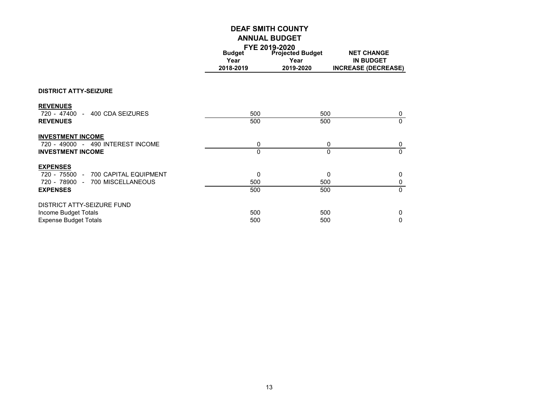|                                     |               | FYE 2019-2020           |                            |
|-------------------------------------|---------------|-------------------------|----------------------------|
|                                     | <b>Budget</b> | <b>Projected Budget</b> | <b>NET CHANGE</b>          |
|                                     | Year          | Year                    | <b>IN BUDGET</b>           |
|                                     | 2018-2019     | 2019-2020               | <b>INCREASE (DECREASE)</b> |
|                                     |               |                         |                            |
| <b>DISTRICT ATTY-SEIZURE</b>        |               |                         |                            |
| <b>REVENUES</b>                     |               |                         |                            |
| 720 - 47400 - 400 CDA SEIZURES      | 500           | 500                     | 0                          |
| <b>REVENUES</b>                     | 500           | 500                     | $\mathbf{0}$               |
| <b>INVESTMENT INCOME</b>            |               |                         |                            |
| 720 - 49000 - 490 INTEREST INCOME   | 0             |                         | 0<br>0                     |
| <b>INVESTMENT INCOME</b>            | $\Omega$      |                         | $\Omega$<br>$\Omega$       |
| <b>EXPENSES</b>                     |               |                         |                            |
| 720 - 75500 - 700 CAPITAL EQUIPMENT | 0             |                         | $\mathbf{0}$<br>0          |
| 720 - 78900 - 700 MISCELLANEOUS     | 500           | 500                     | 0                          |
| <b>EXPENSES</b>                     | 500           | 500                     | $\Omega$                   |
| <b>DISTRICT ATTY-SEIZURE FUND</b>   |               |                         |                            |
| Income Budget Totals                | 500           | 500                     | 0                          |
| <b>Expense Budget Totals</b>        | 500           | 500                     | 0                          |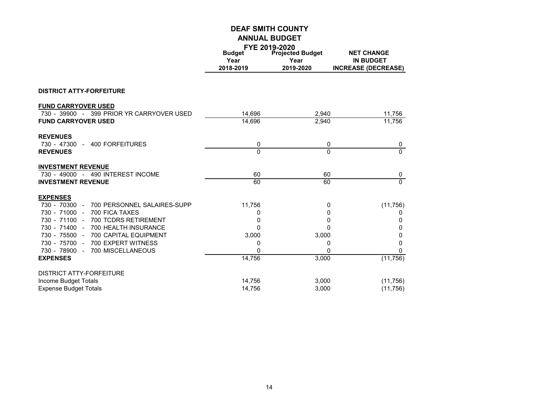|                                               |               | FYE 2019-2020           |                            |
|-----------------------------------------------|---------------|-------------------------|----------------------------|
|                                               | <b>Budget</b> | <b>Projected Budget</b> | <b>NET CHANGE</b>          |
|                                               | Year          | Year                    | <b>IN BUDGET</b>           |
|                                               | 2018-2019     | 2019-2020               | <b>INCREASE (DECREASE)</b> |
| <b>DISTRICT ATTY-FORFEITURE</b>               |               |                         |                            |
| <b>FUND CARRYOVER USED</b>                    |               |                         |                            |
| 730 - 39900 - 399 PRIOR YR CARRYOVER USED     | 14,696        | 2,940                   | 11,756                     |
| <b>FUND CARRYOVER USED</b>                    | 14,696        | 2,940                   | 11,756                     |
| <b>REVENUES</b>                               |               |                         |                            |
| 730 - 47300 -<br>400 FORFEITURES              | 0             | 0                       | $\pmb{0}$                  |
| <b>REVENUES</b>                               | $\Omega$      | $\Omega$                | $\overline{0}$             |
| <b>INVESTMENT REVENUE</b>                     |               |                         |                            |
| 730 - 49000 - 490 INTEREST INCOME             | 60            | 60                      | 0                          |
| <b>INVESTMENT REVENUE</b>                     | 60            | 60                      | $\overline{0}$             |
| <b>EXPENSES</b>                               |               |                         |                            |
| 730 - 70300 -<br>700 PERSONNEL SALAIRES-SUPP  | 11,756        | 0                       | (11, 756)                  |
| 730 - 71000 -<br>700 FICA TAXES               | 0             | 0                       | 0                          |
| 730 - 71100 -<br>700 TCDRS RETIREMENT         | 0             | 0                       | 0                          |
| 730 - 71400 -<br>700 HEALTH INSURANCE         | $\Omega$      | 0                       | 0                          |
| 730 - 75500 -<br><b>700 CAPITAL EQUIPMENT</b> | 3,000         | 3,000                   | 0                          |
| 730 - 75700 -<br>700 EXPERT WITNESS           | 0             | 0                       | 0                          |
| 700 MISCELLANEOUS<br>730 - 78900 -            | 0             | 0                       | $\Omega$                   |
| <b>EXPENSES</b>                               | 14,756        | 3,000                   | (11, 756)                  |
| <b>DISTRICT ATTY-FORFEITURE</b>               |               |                         |                            |
| Income Budget Totals                          | 14,756        | 3,000                   | (11, 756)                  |
| <b>Expense Budget Totals</b>                  | 14,756        | 3,000                   | (11,756)                   |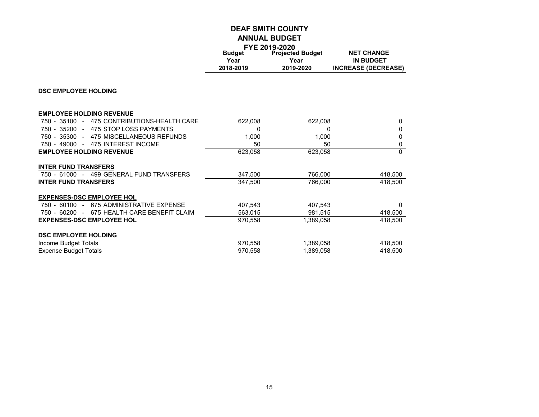|                                                  |                                    | FYE 2019-2020                                |                                                                     |
|--------------------------------------------------|------------------------------------|----------------------------------------------|---------------------------------------------------------------------|
|                                                  | <b>Budget</b><br>Year<br>2018-2019 | <b>Projected Budget</b><br>Year<br>2019-2020 | <b>NET CHANGE</b><br><b>IN BUDGET</b><br><b>INCREASE (DECREASE)</b> |
| <b>DSC EMPLOYEE HOLDING</b>                      |                                    |                                              |                                                                     |
|                                                  |                                    |                                              |                                                                     |
| <b>EMPLOYEE HOLDING REVENUE</b>                  |                                    |                                              |                                                                     |
| $750 - 35100 -$<br>475 CONTRIBUTIONS-HEALTH CARE | 622,008                            | 622,008                                      | $\mathbf{0}$                                                        |
| 750 - 35200 -<br>475 STOP LOSS PAYMENTS          | 0                                  | 0                                            | $\Omega$                                                            |
| 750 - 35300 - 475 MISCELLANEOUS REFUNDS          | 1,000                              | 1,000                                        | 0                                                                   |
| 750 - 49000 - 475 INTEREST INCOME                | 50                                 | 50                                           | 0                                                                   |
| <b>EMPLOYEE HOLDING REVENUE</b>                  | 623,058                            | 623,058                                      | $\Omega$                                                            |
| <b>INTER FUND TRANSFERS</b>                      |                                    |                                              |                                                                     |
| 750 - 61000 - 499 GENERAL FUND TRANSFERS         | 347,500                            | 766.000                                      | 418,500                                                             |
| <b>INTER FUND TRANSFERS</b>                      | 347,500                            | 766,000                                      | 418,500                                                             |
| <b>EXPENSES-DSC EMPLOYEE HOL</b>                 |                                    |                                              |                                                                     |
| 750 - 60100 - 675 ADMINISTRATIVE EXPENSE         | 407,543                            | 407.543                                      | $\Omega$                                                            |
| 750 - 60200 - 675 HEALTH CARE BENEFIT CLAIM      | 563,015                            | 981.515                                      | 418,500                                                             |
| <b>EXPENSES-DSC EMPLOYEE HOL</b>                 | 970.558                            | 1.389.058                                    | 418.500                                                             |
| <b>DSC EMPLOYEE HOLDING</b>                      |                                    |                                              |                                                                     |
| Income Budget Totals                             | 970.558                            | 1,389,058                                    | 418,500                                                             |
| <b>Expense Budget Totals</b>                     | 970,558                            | 1,389,058                                    | 418,500                                                             |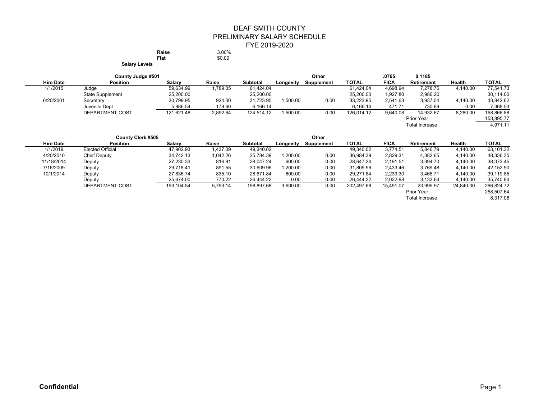#### DEAF SMITH COUNTY PRELIMINARY SALARY SCHEDULE FYE 2019-2020 **Raise** 3.00%<br> **Flat** \$0.00

**Flat** \$0.00

**Salary Levels**

| County Judge #501 |                         |            |          |                 | Other<br>.0765 |            |            |             | 0.1185                |          |              |
|-------------------|-------------------------|------------|----------|-----------------|----------------|------------|------------|-------------|-----------------------|----------|--------------|
| <b>Hire Date</b>  | <b>Position</b>         | Salary     | Raise    | <b>Subtotal</b> | Longevity      | Supplement | TOTAL      | <b>FICA</b> | <b>Retirement</b>     | Health   | <b>TOTAL</b> |
| 1/1/2015          | Judge                   | 59,634.99  | 1,789.05 | 61.424.04       |                |            | 61.424.04  | 4.698.94    | 7.278.75              | 4,140.00 | 77,541.73    |
|                   | <b>State Supplement</b> | 25,200.00  |          | 25,200.00       |                |            | 25,200.00  | 1,927.80    | 2,986.20              |          | 30,114.00    |
| 6/20/2001         | Secretary               | 30,799.95  | 924.00   | 31.723.95       | 1.500.00       | 0.00       | 33,223.95  | 2,541.63    | 3.937.04              | 4,140.00 | 43,842.62    |
|                   | Juvenile Dept           | 5,986.54   | 179.60   | 6.166.14        |                |            | 6.166.14   | 471.71      | 730.69                | 0.00     | 7,368.53     |
|                   | <b>DEPARTMENT COST</b>  | 121,621.48 | 2,892.64 | 124.514.12      | 1,500.00       | 0.00       | 126.014.12 | 9,640.08    | 14.932.67             | 8,280.00 | 158,866.88   |
|                   |                         |            |          |                 |                |            |            |             | <b>Prior Year</b>     |          | 153,895.77   |
|                   |                         |            |          |                 |                |            |            |             | <b>Total Increase</b> |          | 4.971.11     |

|                  | <b>County Clerk #505</b> |            |          |                 |           | Other      |              |             |                   |           |              |
|------------------|--------------------------|------------|----------|-----------------|-----------|------------|--------------|-------------|-------------------|-----------|--------------|
| <b>Hire Date</b> | Position                 | Salarv     | Raise    | <b>Subtotal</b> | Longevity | Supplement | <b>TOTAL</b> | <b>FICA</b> | <b>Retirement</b> | Health    | <b>TOTAL</b> |
| 1/1/2019         | <b>Elected Official</b>  | 47.902.93  | 1.437.09 | 49.340.02       |           |            | 49.340.02    | 3.774.51    | 5.846.79          | 4.140.00  | 63,101.32    |
| 4/20/2010        | Chief Deputy             | 34,742.13  | 1,042.26 | 35,784.39       | 1,200.00  | 0.00       | 36,984.39    | 2,829.31    | 4,382.65          | 4,140.00  | 48,336.35    |
| 11/18/2014       | Deputy                   | 27,230.33  | 816.91   | 28,047.24       | 600.00    | 0.00       | 28.647.24    | 2,191.51    | 3,394.70          | 4,140.00  | 38,373.45    |
| 7/16/2009        | Deputy                   | 29,718.41  | 891.55   | 30,609.96       | 1,200.00  | 0.00       | 31,809.96    | 2,433.46    | 3,769.48          | 4.140.00  | 42,152.90    |
| 10/1/2014        | Deputy                   | 27.836.74  | 835.10   | 28.671.84       | 600.00    | 0.00       | 29.271.84    | 2,239.30    | 3.468.71          | 4,140.00  | 39,119.85    |
|                  | Deputy                   | 25.674.00  | 770.22   | 26.444.22       | 0.00      | 0.00       | 26.444.22    | 2.022.98    | 3.133.64          | 4.140.00  | 35,740.84    |
|                  | <b>DEPARTMENT COST</b>   | 193.104.54 | 5.793.14 | 198,897.68      | 3,600.00  | 0.00       | 202.497.68   | 15.491.07   | 23.995.97         | 24.840.00 | 266.824.72   |
|                  |                          |            |          |                 |           |            |              |             | Prior Year        |           | 258,507.64   |
|                  |                          |            |          |                 |           |            |              |             |                   |           |              |

Total Increase 8,317.08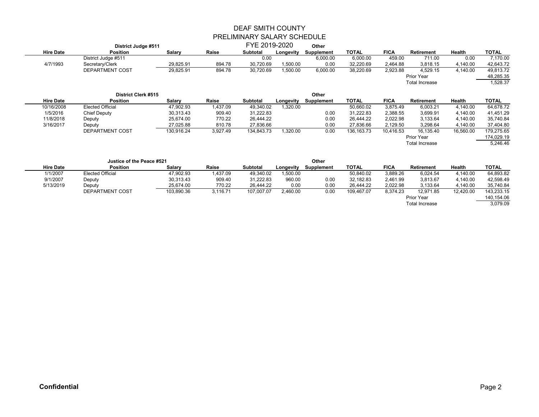|                  | District Judge #511       |            |          | FYE 2019-2020   |           | Other             |                                         |             |                       |               |              |
|------------------|---------------------------|------------|----------|-----------------|-----------|-------------------|-----------------------------------------|-------------|-----------------------|---------------|--------------|
| <b>Hire Date</b> | <b>Position</b>           | Salary     | Raise    | <b>Subtotal</b> | Longevity | Supplement        | <b>TOTAL</b>                            | <b>FICA</b> | Retirement            | <b>Health</b> | <b>TOTAL</b> |
|                  | District Judge #511       |            |          | 0.00            |           | 6,000.00          | 6,000.00                                | 459.00      | 711.00                | 0.00          | 7,170.00     |
| 4/7/1993         | Secretary/Clerk           | 29,825.91  | 894.78   | 30,720.69       | 1,500.00  | 0.00              | 32,220.69                               | 2,464.88    | 3,818.15              | 4,140.00      | 42,643.72    |
|                  | DEPARTMENT COST           | 29,825.91  | 894.78   | 30,720.69       | 1,500.00  | 6,000.00          | 38,220.69                               | 2,923.88    | 4,529.15              | 4,140.00      | 49,813.72    |
|                  |                           |            |          |                 |           |                   |                                         |             | <b>Prior Year</b>     |               | 48,285.35    |
|                  |                           |            |          |                 |           |                   |                                         |             | Total Increase        |               | 1,528.37     |
|                  | District Clerk #515       |            |          |                 |           | Other             |                                         |             |                       |               |              |
| <b>Hire Date</b> | <b>Position</b>           | Salary     | Raise    | Subtotal        | Longevity | <b>Supplement</b> | <b>TOTAL</b>                            | <b>FICA</b> | <b>Retirement</b>     | Health        | <b>TOTAL</b> |
| 10/16/2008       | <b>Elected Official</b>   | 47,902.93  | 1,437.09 | 49,340.02       | 1,320.00  |                   | 50,660.02                               | 3,875.49    | 6,003.21              | 4,140.00      | 64,678.72    |
| 1/5/2016         | <b>Chief Deputy</b>       | 30.313.43  | 909.40   | 31,222.83       |           | 0.00              | 31,222.83                               | 2,388.55    | 3,699.91              | 4.140.00      | 41,451.29    |
| 11/8/2018        | Deputy                    | 25,674.00  | 770.22   | 26,444.22       |           | 0.00              | 26,444.22                               | 2,022.98    | 3,133.64              | 4,140.00      | 35,740.84    |
| 3/16/2017        | Deputy                    | 27,025.88  | 810.78   | 27,836.66       |           | 0.00              | 27,836.66                               | 2,129.50    | 3,298.64              | 4,140.00      | 37,404.80    |
|                  | DEPARTMENT COST           | 130,916.24 | 3,927.49 | 134,843.73      | 1,320.00  | 0.00              | 136, 163. 73                            | 10,416.53   | 16,135.40             | 16,560.00     | 179,275.65   |
|                  |                           |            |          |                 |           |                   |                                         |             | <b>Prior Year</b>     |               | 174,029.19   |
|                  |                           |            |          |                 |           |                   |                                         |             | <b>Total Increase</b> |               | 5,246.46     |
|                  | Justice of the Peace #521 |            |          |                 |           | Other             |                                         |             |                       |               |              |
| <b>Hire Date</b> | <b>Position</b>           | Salary     | Raise    | Subtotal        | Longevity | <b>Supplement</b> | <b>TOTAL</b>                            | <b>FICA</b> | <b>Retirement</b>     | Health        | <b>TOTAL</b> |
| 1110007          |                           | 17.000.00  | 1.0700   | 10.010.00       | 1.500.00  |                   | $F^{\wedge}$ $\wedge$ $\wedge$ $\wedge$ | 0.0000      | 0.001E1               | 1.110.00      | 0.100000     |

| 1/1/2007  | <b>Elected Official</b> | 47,902.93  | ,437.09  | 49.340.02  | 1,500.00 |      | 50,840.02  | 3,889.26 | 6.024.54   | 1.140.00  | 64,893.82  |
|-----------|-------------------------|------------|----------|------------|----------|------|------------|----------|------------|-----------|------------|
| 9/1/2007  | Deputy                  | 30,313.43  | 909.40   | 31,222.83  | 960.00   | 0.00 | 32,182.83  | 2,461.99 | 3,813.67   | 4,140.00  | 42,598.49  |
| 5/13/2019 | Deputy                  | 25.674.00  | 770.22   | 26.444.22  | 0.00     | 0.00 | 26.444.22  | 2.022.98 | 3.133.64   | 4.140.00  | 35.740.84  |
|           | DEPARTMENT COST         | 103,890.36 | 3.116.71 | 107.007.07 | 2,460.00 | 0.00 | 109.467.07 | 8,374.23 | 12,971.85  | 12,420.00 | 143,233.15 |
|           |                         |            |          |            |          |      |            |          | Prior Year |           | 140.154.06 |

Total Increase 3,079.09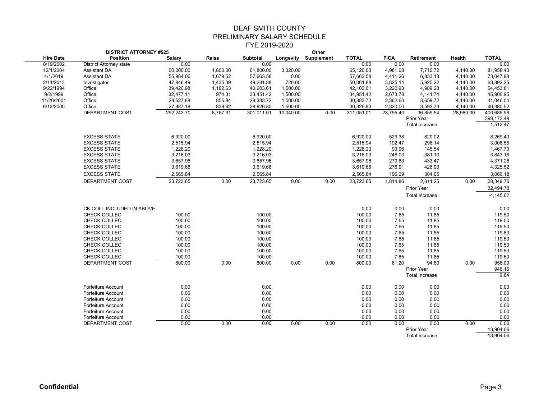|                  | <b>DISTRICT ATTORNEY #525</b>  |                  |          |                  | Other     |                      |                  |              |                                            |           |                           |  |
|------------------|--------------------------------|------------------|----------|------------------|-----------|----------------------|------------------|--------------|--------------------------------------------|-----------|---------------------------|--|
| <b>Hire Date</b> | <b>Position</b>                | Salary           | Raise    | <b>Subtotal</b>  |           | Longevity Supplement | <b>TOTAL</b>     | <b>FICA</b>  | <b>Retirement</b>                          | Health    | <b>TOTAL</b>              |  |
| 8/19/2002        | <b>District Attorney state</b> | 0.00             |          | 0.00             |           |                      | 0.00             | 0.00         | 0.00                                       |           | 0.00                      |  |
| 12/1/2004        | Assistant DA                   | 60,000.00        | 1.800.00 | 61,800.00        | 3,320.00  |                      | 65,120.00        | 4,981.68     | 7,716.72                                   | 4.140.00  | 81,958.40                 |  |
| 4/1/2019         | Assistant DA                   | 55,984.06        | 1,679.52 | 57,663.58        | 0.00      |                      | 57,663.58        | 4,411.26     | 6,833.13                                   | 4,140.00  | 73,047.98                 |  |
| 2/11/2013        | Investigator                   | 47,846.49        | 1,435.39 | 49,281.88        | 720.00    |                      | 50,001.88        | 3,825.14     | 5,925.22                                   | 4,140.00  | 63,892.25                 |  |
| 9/22/1994        | Office                         | 39,420.98        | 1,182.63 | 40,603.61        | 1,500.00  |                      | 42,103.61        | 3,220.93     | 4,989.28                                   | 4,140.00  | 54,453.81                 |  |
| 9/2/1999         | Office                         | 32,477.11        | 974.31   | 33,451.42        | 1,500.00  |                      | 34,951.42        | 2,673.78     | 4,141.74                                   | 4,140.00  | 45,906.95                 |  |
| 11/26/2001       | Office                         | 28,527.88        | 855.84   | 29,383.72        | 1,500.00  |                      | 30,883.72        | 2,362.60     | 3,659.72                                   | 4,140.00  | 41,046.04                 |  |
| 6/12/2000        | Office                         | 27,987.18        | 839.62   | 28,826.80        | 1,500.00  |                      | 30,326.80        | 2,320.00     | 3,593.73                                   | 4,140.00  | 40,380.52                 |  |
|                  | DEPARTMENT COST                | 292,243.70       | 8,767.31 | 301,011.01       | 10,040.00 | 0.00                 | 311,051.01       | 23,795.40    | 36,859.54                                  | 28,980.00 | 400,685.96                |  |
|                  |                                |                  |          |                  |           |                      |                  |              | Prior Year                                 |           | 399,173.49                |  |
|                  |                                |                  |          |                  |           |                      |                  |              | <b>Total Increase</b>                      |           | 1,512.47                  |  |
|                  | <b>EXCESS STATE</b>            | 6,920.00         |          | 6,920.00         |           |                      | 6,920.00         | 529.38       | 820.02                                     |           | 8,269.40                  |  |
|                  | <b>EXCESS STATE</b>            | 2,515.94         |          | 2,515.94         |           |                      | 2,515.94         | 192.47       | 298.14                                     |           | 3,006.55                  |  |
|                  | <b>EXCESS STATE</b>            | 1,228.20         |          | 1,228.20         |           |                      | 1,228.20         | 93.96        | 145.54                                     |           | 1,467.70                  |  |
|                  | <b>EXCESS STATE</b>            | 3.216.03         |          | 3,216.03         |           |                      | 3,216.03         | 246.03       | 381.10                                     |           | 3,843.16                  |  |
|                  | <b>EXCESS STATE</b>            | 3,657.96         |          | 3,657.96         |           |                      | 3,657.96         | 279.83       | 433.47                                     |           | 4,371.26                  |  |
|                  | <b>EXCESS STATE</b>            | 3,619.68         |          | 3,619.68         |           |                      | 3,619.68         | 276.91       | 428.93                                     |           | 4,325.52                  |  |
|                  | <b>EXCESS STATE</b>            | 2,565.84         |          | 2,565.84         |           |                      | 2,565.84         | 196.29       | 304.05                                     |           | 3,066.18                  |  |
|                  |                                |                  |          |                  |           |                      |                  |              |                                            |           |                           |  |
|                  | DEPARTMENT COST                | 23,723.65        | 0.00     | 23,723.65        | 0.00      | 0.00                 | 23,723.65        | 1,814.86     | 2,811.25                                   | 0.00      | 28,349.76                 |  |
|                  |                                |                  |          |                  |           |                      |                  |              | Prior Year                                 |           | 32,494.78                 |  |
|                  |                                |                  |          |                  |           |                      |                  |              | <b>Total Increase</b>                      |           | $-4,145.02$               |  |
|                  | CK COLL-INCLUDED IN ABOVE      |                  |          |                  |           |                      | 0.00             | 0.00         | 0.00                                       |           | 0.00                      |  |
|                  |                                |                  |          |                  |           |                      |                  |              |                                            |           | 119.50                    |  |
|                  | CHECK COLLEC<br>CHECK COLLEC   | 100.00<br>100.00 |          | 100.00<br>100.00 |           |                      | 100.00<br>100.00 | 7.65<br>7.65 | 11.85<br>11.85                             |           | 119.50                    |  |
|                  | CHECK COLLEC                   | 100.00           |          | 100.00           |           |                      | 100.00           | 7.65         | 11.85                                      |           | 119.50                    |  |
|                  | CHECK COLLEC                   | 100.00           |          | 100.00           |           |                      | 100.00           | 7.65         | 11.85                                      |           | 119.50                    |  |
|                  | CHECK COLLEC                   | 100.00           |          | 100.00           |           |                      | 100.00           | 7.65         | 11.85                                      |           | 119.50                    |  |
|                  | CHECK COLLEC                   | 100.00           |          | 100.00           |           |                      | 100.00           | 7.65         | 11.85                                      |           | 119.50                    |  |
|                  | CHECK COLLEC                   | 100.00           |          | 100.00           |           |                      | 100.00           | 7.65         | 11.85                                      |           | 119.50                    |  |
|                  | CHECK COLLEC                   | 100.00           |          | 100.00           |           |                      | 100.00           | 7.65         | 11.85                                      |           | 119.50                    |  |
|                  | DEPARTMENT COST                | 800.00           | 0.00     | 800.00           | 0.00      | 0.00                 | 800.00           | 61.20        | 94.80                                      | 0.00      | 956.00                    |  |
|                  |                                |                  |          |                  |           |                      |                  |              | Prior Year                                 |           | 946.16                    |  |
|                  |                                |                  |          |                  |           |                      |                  |              | <b>Total Increase</b>                      |           | 9.84                      |  |
|                  |                                |                  |          |                  |           |                      |                  |              |                                            |           |                           |  |
|                  | <b>Forfeiture Account</b>      | 0.00             |          | 0.00             |           |                      | 0.00             | 0.00         | 0.00                                       |           | 0.00                      |  |
|                  | <b>Forfeiture Account</b>      | 0.00             |          | 0.00             |           |                      | 0.00             | 0.00         | 0.00                                       |           | 0.00                      |  |
|                  | <b>Forfeiture Account</b>      | 0.00             |          | 0.00             |           |                      | 0.00             | 0.00         | 0.00                                       |           | 0.00                      |  |
|                  | <b>Forfeiture Account</b>      | 0.00             |          | 0.00             |           |                      | 0.00             | 0.00         | 0.00                                       |           | 0.00                      |  |
|                  | <b>Forfeiture Account</b>      | 0.00             |          | 0.00             |           |                      | 0.00             | 0.00         | 0.00                                       |           | 0.00                      |  |
|                  | <b>Forfeiture Account</b>      | 0.00             |          | 0.00             |           |                      | 0.00             | 0.00         | 0.00                                       |           | 0.00                      |  |
|                  | DEPARTMENT COST                | 0.00             | 0.00     | 0.00             | 0.00      | 0.00                 | 0.00             | 0.00         | 0.00                                       | 0.00      | 0.00                      |  |
|                  |                                |                  |          |                  |           |                      |                  |              | <b>Prior Year</b><br><b>Total Increase</b> |           | 13,904.06<br>$-13.904.06$ |  |
|                  |                                |                  |          |                  |           |                      |                  |              |                                            |           |                           |  |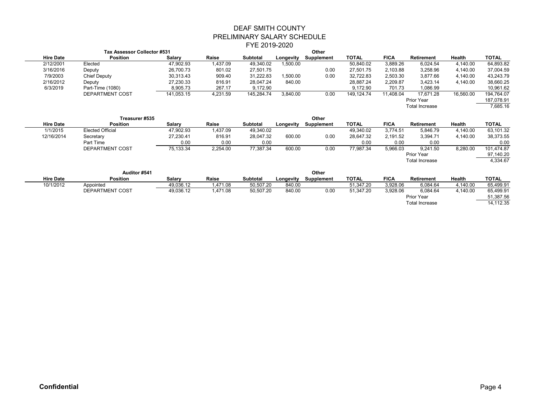#### DEAF SMITH COUNTY PRELIMINARY SALARY SCHEDULE FYE 2019-2020  $\mathbf{O}$

|                  |                             |            |          | ------------    |           |            |              |             |                       |           |              |
|------------------|-----------------------------|------------|----------|-----------------|-----------|------------|--------------|-------------|-----------------------|-----------|--------------|
|                  | Tax Assessor Collector #531 |            |          |                 |           | Other      |              |             |                       |           |              |
| <b>Hire Date</b> | <b>Position</b>             | Salary     | Raise    | <b>Subtotal</b> | Lonaevitv | Supplement | <b>TOTAL</b> | <b>FICA</b> | Retirement            | Health    | <b>TOTAL</b> |
| 2/12/2001        | Elected                     | 47,902.93  | 1.437.09 | 49.340.02       | 1,500.00  |            | 50,840.02    | 3,889.26    | 6.024.54              | 4.140.00  | 64,893.82    |
| 3/16/2016        | Deputy                      | 26.700.73  | 801.02   | 27.501.75       |           | 0.00       | 27.501.75    | 2,103.88    | 3,258.96              | 4.140.00  | 37,004.59    |
| 7/9/2003         | Chief Deputy                | 30,313.43  | 909.40   | 31.222.83       | 1.500.00  | 0.00       | 32,722.83    | 2,503.30    | 3.877.66              | 4.140.00  | 43,243.79    |
| 2/16/2012        | Deputy                      | 27,230.33  | 816.91   | 28.047.24       | 840.00    |            | 28,887.24    | 2,209.87    | 3.423.14              | 4,140.00  | 38,660.25    |
| 6/3/2019         | Part-Time (1080)            | 8,905.73   | 267.17   | 9.172.90        |           |            | 9.172.90     | 701.73      | 1,086.99              |           | 10,961.62    |
|                  | DEPARTMENT COST             | 141.053.15 | 4.231.59 | 145,284.74      | 3,840.00  | 0.00       | 149.124.74   | 11.408.04   | 17.671.28             | 16,560.00 | 194,764.07   |
|                  |                             |            |          |                 |           |            |              |             | Prior Year            |           | 187,078.91   |
|                  |                             |            |          |                 |           |            |              |             | <b>Total Increase</b> |           | 7,685.16     |
|                  |                             |            |          |                 |           |            |              |             |                       |           |              |

|                  | Treasurer #535          |           |          |                 | Other     |            |              |             |                       |               |              |
|------------------|-------------------------|-----------|----------|-----------------|-----------|------------|--------------|-------------|-----------------------|---------------|--------------|
| <b>Hire Date</b> | <b>Position</b>         | Salary    | Raise    | <b>Subtotal</b> | Longevity | Supplement | <b>TOTAL</b> | <b>FICA</b> | <b>Retirement</b>     | <b>Health</b> | <b>TOTAL</b> |
| 1/1/2015         | <b>Elected Official</b> | 47,902.93 | 1,437.09 | 49,340.02       |           |            | 49,340.02    | 3.774.51    | 5.846.79              | 4,140.00      | 63,101.32    |
| 12/16/2014       | Secretary               | 27,230.41 | 816.91   | 28,047.32       | 600.00    | 0.00       | 28,647.32    | 2,191.52    | 3,394.71              | 4,140.00      | 38,373.55    |
|                  | Part Time               | 0.00      | 0.00     | 0.00            |           |            | 0.00         | 0.00        | 0.00                  |               | 0.00         |
|                  | DEPARTMENT COST         | 75.133.34 | 2.254.00 | 77,387.34       | 600.00    | 0.00       | 77,987.34    | 5,966.03    | 9.241.50              | 8,280.00      | 101,474.87   |
|                  |                         |           |          |                 |           |            |              |             | Prior Year            |               | 97,140.20    |
|                  |                         |           |          |                 |           |            |              |             | <b>Total Increase</b> |               | 4,334.67     |
|                  |                         |           |          |                 |           |            |              |             |                       |               |              |
|                  | Auditor #541            |           |          | Other           |           |            |              |             |                       |               |              |

| <b>Hire Date</b> | <b>Position</b> | Salarv    | Raise    | <b>Subtotal</b> | Longevity | Supplement | <b>TOTAL</b> | <b>FICA</b> | Retirement            | Health  | <b>TOTAL</b> |
|------------------|-----------------|-----------|----------|-----------------|-----------|------------|--------------|-------------|-----------------------|---------|--------------|
| 10/1/2012        | Appointed       | 49.036.12 | 1.471.08 | 50.507.20       | 840.00    |            | 51.347.20    | 3.928.06    | 6.084.64              | .140.00 | 65.499.91    |
|                  | DEPARTMENT COST | 49.036.12 | .471.08  | 50.507.20       | 840.00    | 0.00       | 51.347.20    | 3.928.06    | 6.084.64              | .140.00 | 65,499.91    |
|                  |                 |           |          |                 |           |            |              |             | Prior Year            |         | 51,387.56    |
|                  |                 |           |          |                 |           |            |              |             | <b>Total Increase</b> |         | 14.112.35    |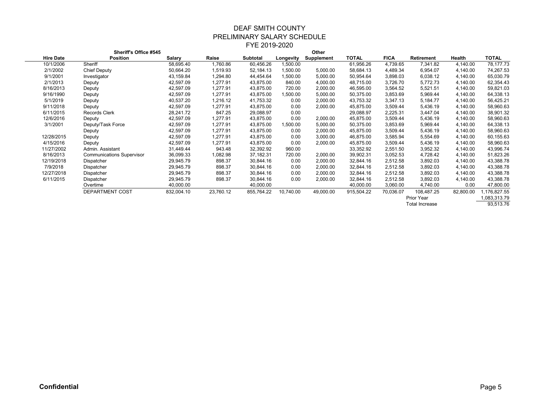| <b>Sheriff's Office #545</b> |                                  |            |           |             |           | Other      |            |             |                       |           |              |
|------------------------------|----------------------------------|------------|-----------|-------------|-----------|------------|------------|-------------|-----------------------|-----------|--------------|
| <b>Hire Date</b>             | Position                         | Salary     | Raise     | Subtotal    | Longevity | Supplement | TOTAL      | <b>FICA</b> | <b>Retirement</b>     | Health    | <b>TOTAL</b> |
| 10/1/2006                    | Sheriff                          | 58,695.40  | 1,760.86  | 60,456.26   | 1,500.00  |            | 61,956.26  | 4,739.65    | 7,341.82              | 4,140.00  | 78,177.73    |
| 2/1/2002                     | <b>Chief Deputy</b>              | 50,664.20  | 1,519.93  | 52, 184. 13 | 1,500.00  | 5,000.00   | 58,684.13  | 4,489.34    | 6,954.07              | 4,140.00  | 74,267.53    |
| 9/1/2001                     | Investigator                     | 43,159.84  | 1,294.80  | 44,454.64   | 1,500.00  | 5,000.00   | 50,954.64  | 3,898.03    | 6,038.12              | 4,140.00  | 65,030.79    |
| 2/1/2013                     | Deputy                           | 42,597.09  | 1,277.91  | 43,875.00   | 840.00    | 4,000.00   | 48,715.00  | 3,726.70    | 5,772.73              | 4,140.00  | 62,354.43    |
| 8/16/2013                    | Deputy                           | 42,597.09  | 1,277.91  | 43,875.00   | 720.00    | 2,000.00   | 46,595.00  | 3,564.52    | 5,521.51              | 4,140.00  | 59,821.03    |
| 9/16/1990                    | Deputy                           | 42,597.09  | 1,277.91  | 43,875.00   | 1,500.00  | 5,000.00   | 50,375.00  | 3,853.69    | 5,969.44              | 4,140.00  | 64,338.13    |
| 5/1/2019                     | Deputy                           | 40,537.20  | 1,216.12  | 41,753.32   | 0.00      | 2,000.00   | 43,753.32  | 3,347.13    | 5,184.77              | 4,140.00  | 56,425.21    |
| 9/11/2018                    | Deputy                           | 42,597.09  | 1,277.91  | 43,875.00   | 0.00      | 2,000.00   | 45,875.00  | 3,509.44    | 5,436.19              | 4,140.00  | 58,960.63    |
| 6/11/2015                    | Records Clerk                    | 28,241.72  | 847.25    | 29,088.97   | 0.00      |            | 29,088.97  | 2,225.31    | 3,447.04              | 4,140.00  | 38,901.32    |
| 12/6/2016                    | Deputy                           | 42,597.09  | 1,277.91  | 43,875.00   | 0.00      | 2,000.00   | 45,875.00  | 3,509.44    | 5,436.19              | 4,140.00  | 58,960.63    |
| 3/1/2001                     | Deputy/Task Force                | 42,597.09  | 1,277.91  | 43,875.00   | 1,500.00  | 5,000.00   | 50,375.00  | 3,853.69    | 5,969.44              | 4,140.00  | 64,338.13    |
|                              | Deputy                           | 42,597.09  | 1,277.91  | 43,875.00   | 0.00      | 2,000.00   | 45,875.00  | 3,509.44    | 5,436.19              | 4,140.00  | 58,960.63    |
| 12/28/2015                   | Deputy                           | 42,597.09  | 1,277.91  | 43,875.00   | 0.00      | 3,000.00   | 46,875.00  | 3,585.94    | 5,554.69              | 4,140.00  | 60,155.63    |
| 4/15/2016                    | Deputy                           | 42,597.09  | 1,277.91  | 43,875.00   | 0.00      | 2,000.00   | 45,875.00  | 3,509.44    | 5,436.19              | 4,140.00  | 58,960.63    |
| 11/27/2002                   | Admin. Assistant                 | 31,449.44  | 943.48    | 32,392.92   | 960.00    |            | 33,352.92  | 2,551.50    | 3,952.32              | 4,140.00  | 43,996.74    |
| 8/16/2013                    | <b>Communications Supervisor</b> | 36,099.33  | 1,082.98  | 37,182.31   | 720.00    | 2,000.00   | 39,902.31  | 3,052.53    | 4,728.42              | 4,140.00  | 51,823.26    |
| 12/19/2018                   | Dispatcher                       | 29,945.79  | 898.37    | 30,844.16   | 0.00      | 2,000.00   | 32,844.16  | 2,512.58    | 3,892.03              | 4,140.00  | 43,388.78    |
| 7/9/2018                     | Dispatcher                       | 29,945.79  | 898.37    | 30,844.16   | 0.00      | 2,000.00   | 32,844.16  | 2,512.58    | 3,892.03              | 4,140.00  | 43,388.78    |
| 12/27/2018                   | Dispatcher                       | 29,945.79  | 898.37    | 30,844.16   | 0.00      | 2,000.00   | 32,844.16  | 2,512.58    | 3,892.03              | 4,140.00  | 43,388.78    |
| 6/11/2015                    | Dispatcher                       | 29,945.79  | 898.37    | 30,844.16   | 0.00      | 2,000.00   | 32,844.16  | 2,512.58    | 3,892.03              | 4,140.00  | 43,388.78    |
|                              | Overtime                         | 40,000.00  |           | 40,000.00   |           |            | 40,000.00  | 3,060.00    | 4,740.00              | 0.00      | 47,800.00    |
|                              | DEPARTMENT COST                  | 832,004.10 | 23,760.12 | 855,764.22  | 10,740.00 | 49,000.00  | 915,504.22 | 70,036.07   | 108,487.25            | 82,800.00 | 176,827.55   |
|                              |                                  |            |           |             |           |            |            |             | Prior Year            |           | 1,083,313.79 |
|                              |                                  |            |           |             |           |            |            |             | <b>Total Increase</b> |           | 93,513.76    |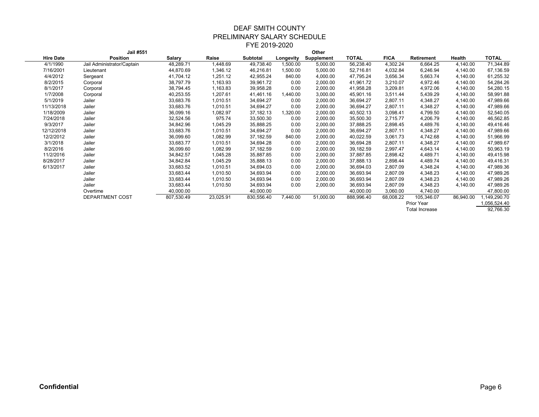| Jail #551        |                            |            |           |             |           | Other      |            |             |                       |           |              |
|------------------|----------------------------|------------|-----------|-------------|-----------|------------|------------|-------------|-----------------------|-----------|--------------|
| <b>Hire Date</b> | <b>Position</b>            | Salary     | Raise     | Subtotal    | Longevity | Supplement | TOTAL      | <b>FICA</b> | <b>Retirement</b>     | Health    | <b>TOTAL</b> |
| 4/1/1990         | Jail Administrator/Captain | 48,289.71  | 1,448.69  | 49,738.40   | 1,500.00  | 5,000.00   | 56,238.40  | 4,302.24    | 6,664.25              | 4,140.00  | 71,344.89    |
| 7/16/2001        | Lieutenant                 | 44,870.69  | 1,346.12  | 46,216.81   | 1,500.00  | 5,000.00   | 52,716.81  | 4,032.84    | 6,246.94              | 4,140.00  | 67,136.59    |
| 4/4/2012         | Sergeant                   | 41,704.12  | 1,251.12  | 42,955.24   | 840.00    | 4,000.00   | 47,795.24  | 3,656.34    | 5,663.74              | 4,140.00  | 61,255.32    |
| 8/2/2015         | Corporal                   | 38,797.79  | 1,163.93  | 39,961.72   | 0.00      | 2,000.00   | 41,961.72  | 3,210.07    | 4,972.46              | 4,140.00  | 54,284.26    |
| 8/1/2017         | Corporal                   | 38,794.45  | 1,163.83  | 39,958.28   | 0.00      | 2,000.00   | 41,958.28  | 3,209.81    | 4,972.06              | 4,140.00  | 54,280.15    |
| 1/7/2008         | Corporal                   | 40,253.55  | 1,207.61  | 41,461.16   | 1,440.00  | 3,000.00   | 45,901.16  | 3,511.44    | 5,439.29              | 4,140.00  | 58,991.88    |
| 5/1/2019         | Jailer                     | 33,683.76  | 1,010.51  | 34,694.27   | 0.00      | 2,000.00   | 36,694.27  | 2,807.11    | 4,348.27              | 4,140.00  | 47,989.66    |
| 11/13/2018       | Jailer                     | 33,683.76  | 1,010.51  | 34,694.27   | 0.00      | 2,000.00   | 36,694.27  | 2,807.11    | 4,348.27              | 4,140.00  | 47,989.66    |
| 1/18/2009        | Jailer                     | 36,099.16  | 1,082.97  | 37, 182. 13 | 1,320.00  | 2,000.00   | 40,502.13  | 3,098.41    | 4,799.50              | 4,140.00  | 52,540.05    |
| 7/24/2018        | Jailer                     | 32,524.56  | 975.74    | 33,500.30   | 0.00      | 2,000.00   | 35,500.30  | 2,715.77    | 4,206.79              | 4,140.00  | 46,562.85    |
| 9/3/2017         | Jailer                     | 34,842.96  | 1,045.29  | 35,888.25   | 0.00      | 2,000.00   | 37,888.25  | 2,898.45    | 4,489.76              | 4,140.00  | 49,416.46    |
| 12/12/2018       | Jailer                     | 33,683.76  | 1,010.51  | 34,694.27   | 0.00      | 2,000.00   | 36,694.27  | 2,807.11    | 4,348.27              | 4,140.00  | 47,989.66    |
| 12/2/2012        | Jailer                     | 36,099.60  | 1,082.99  | 37,182.59   | 840.00    | 2,000.00   | 40,022.59  | 3,061.73    | 4,742.68              | 4,140.00  | 51,966.99    |
| 3/1/2018         | Jailer                     | 33,683.77  | 1,010.51  | 34,694.28   | 0.00      | 2,000.00   | 36,694.28  | 2,807.11    | 4,348.27              | 4,140.00  | 47,989.67    |
| 8/2/2016         | Jailer                     | 36,099.60  | 1,082.99  | 37,182.59   | 0.00      | 2,000.00   | 39,182.59  | 2,997.47    | 4,643.14              | 4,140.00  | 50,963.19    |
| 11/2/2016        | Jailer                     | 34,842.57  | 1,045.28  | 35,887.85   | 0.00      | 2,000.00   | 37,887.85  | 2,898.42    | 4,489.71              | 4,140.00  | 49,415.98    |
| 8/28/2017        | Jailer                     | 34,842.84  | 1,045.29  | 35,888.13   | 0.00      | 2,000.00   | 37,888.13  | 2,898.44    | 4,489.74              | 4,140.00  | 49,416.31    |
| 6/13/2017        | Jailer                     | 33,683.52  | 1,010.51  | 34,694.03   | 0.00      | 2,000.00   | 36,694.03  | 2,807.09    | 4,348.24              | 4,140.00  | 47,989.36    |
|                  | Jailer                     | 33,683.44  | 1,010.50  | 34,693.94   | 0.00      | 2,000.00   | 36,693.94  | 2,807.09    | 4,348.23              | 4,140.00  | 47,989.26    |
|                  | Jailer                     | 33,683.44  | 1,010.50  | 34,693.94   | 0.00      | 2,000.00   | 36,693.94  | 2,807.09    | 4,348.23              | 4,140.00  | 47,989.26    |
|                  | Jailer                     | 33,683.44  | 1,010.50  | 34,693.94   | 0.00      | 2,000.00   | 36,693.94  | 2,807.09    | 4,348.23              | 4,140.00  | 47,989.26    |
|                  | Overtime                   | 40,000.00  |           | 40,000.00   |           |            | 40,000.00  | 3,060.00    | 4,740.00              |           | 47,800.00    |
|                  | DEPARTMENT COST            | 807,530.49 | 23,025.91 | 830,556.40  | 7,440.00  | 51,000.00  | 888,996.40 | 68,008.22   | 105,346.07            | 86,940.00 | 149,290.70   |
|                  |                            |            |           |             |           |            |            |             | Prior Year            |           | 1,056,524.40 |
|                  |                            |            |           |             |           |            |            |             | <b>Total Increase</b> |           | 92.766.30    |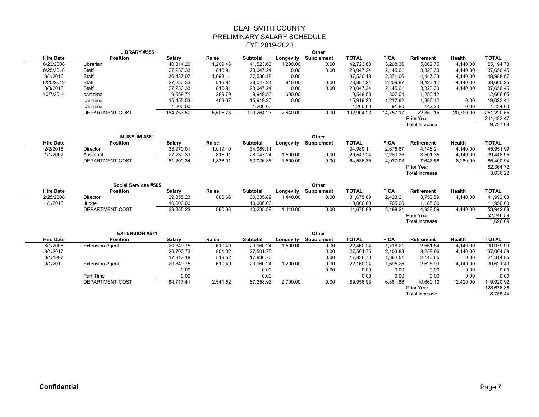|                  | LIBRARY #555           |               |          |            | Other     |                   |              |             |                       |           |              |
|------------------|------------------------|---------------|----------|------------|-----------|-------------------|--------------|-------------|-----------------------|-----------|--------------|
| <b>Hire Date</b> | <b>Position</b>        | <b>Salary</b> | Raise    | Subtotal   | Longevity | Supplement        | <b>TOTAL</b> | <b>FICA</b> | <b>Retirement</b>     | Health    | <b>TOTAL</b> |
| 6/23/2008        | Librarian              | 40,314.20     | 1,209.43 | 41.523.63  | 1,200.00  | 0.00              | 42.723.63    | 3,268.36    | 5.062.75              | 4.140.00  | 55,194.73    |
| 6/25/2018        | Staff                  | 27,230.33     | 816.91   | 28.047.24  | 0.00      | 0.00              | 28.047.24    | 2,145.61    | 3,323.60              | 4,140.00  | 37,656.45    |
| 8/1/2016         | Staff                  | 36,437.07     | 1,093.11 | 37,530.18  | 0.00      |                   | 37,530.18    | 2,871.06    | 4,447.33              | 4,140.00  | 48,988.57    |
| 8/20/2012        | Staff                  | 27,230.33     | 816.91   | 28,047.24  | 840.00    | 0.00              | 28,887.24    | 2,209.87    | 3,423.14              | 4,140.00  | 38,660.25    |
| 8/3/2015         | Staff                  | 27,230.33     | 816.91   | 28,047.24  | 0.00      | 0.00              | 28,047.24    | 2,145.61    | 3,323.60              | 4,140.00  | 37,656.45    |
| 10/7/2014        | part time              | 9,659.71      | 289.79   | 9,949.50   | 600.00    |                   | 10,549.50    | 807.04      | 1,250.12              |           | 12,606.65    |
|                  | part time              | 15,455.53     | 463.67   | 15,919.20  | 0.00      |                   | 15,919.20    | 1,217.82    | 1,886.42              | 0.00      | 19,023.44    |
|                  | part time              | 1,200.00      |          | 1,200.00   |           |                   | 1,200.00     | 91.80       | 142.20                | 0.00      | 1,434.00     |
|                  | DEPARTMENT COST        | 184,757.50    | 5,506.73 | 190,264.23 | 2,640.00  | 0.00              | 192,904.23   | 14,757.17   | 22,859.15             | 20,700.00 | 251,220.55   |
|                  |                        |               |          |            |           |                   |              |             | Prior Year            |           | 241,483.47   |
|                  |                        |               |          |            |           |                   |              |             | <b>Total Increase</b> |           | 9,737.08     |
|                  | <b>MUSEUM #561</b>     |               |          |            |           | Other             |              |             |                       |           |              |
| <b>Hire Date</b> | <b>Position</b>        | Salary        | Raise    | Subtotal   | Longevity | <b>Supplement</b> | <b>TOTAL</b> | <b>FICA</b> | <b>Retirement</b>     | Health    | <b>TOTAL</b> |
| 2/2/2015         | Director               | 33,970.01     | 1,019.10 | 34,989.11  |           |                   | 34,989.11    | 2,676.67    | 4,146.21              | 4,140.00  | 45,951.99    |
| 1/1/2007         | Assistant              | 27,230.33     | 816.91   | 28,047.24  | 1,500.00  | 0.00              | 29,547.24    | 2,260.36    | 3,501.35              | 4,140.00  | 39,448.95    |
|                  | DEPARTMENT COST        | 61,200.34     | 1,836.01 | 63,036.35  | 1,500.00  | 0.00              | 64,536.35    | 4,937.03    | 7,647.56              | 8,280.00  | 85,400.94    |
|                  |                        |               |          |            |           |                   |              |             | Prior Year            |           | 82,364.72    |
|                  |                        |               |          |            |           |                   |              |             | <b>Total Increase</b> |           | 3,036.22     |
|                  |                        |               |          |            |           |                   |              |             |                       |           |              |
|                  | Social Services #565   |               |          |            |           | Other             |              |             |                       |           |              |
| <b>Hire Date</b> | <b>Position</b>        | Salary        | Raise    | Subtotal   | Longevity | Supplement        | <b>TOTAL</b> | <b>FICA</b> | <b>Retirement</b>     | Health    | <b>TOTAL</b> |
| 2/25/2008        | Director               | 29,355.23     | 880.66   | 30,235.89  | 1,440.00  | 0.00              | 31,675.89    | 2,423.21    | 3,753.59              | 4,140.00  | 41,992.68    |
| 1/1/2015         | Judge                  | 10,000.00     |          | 10,000.00  |           |                   | 10,000.00    | 765.00      | 1,185.00              |           | 11,950.00    |
|                  | <b>DEPARTMENT COST</b> | 39,355.23     | 880.66   | 40,235.89  | 1,440.00  | 0.00              | 41.675.89    | 3,188.21    | 4,938.59              | 4,140.00  | 53,942.68    |
|                  |                        |               |          |            |           |                   |              |             | <b>Prior Year</b>     |           | 52,246.59    |
|                  |                        |               |          |            |           |                   |              |             | <b>Total Increase</b> |           | 1,696.09     |
|                  | <b>EXTENSION #571</b>  |               |          |            |           | Other             |              |             |                       |           |              |
| <b>Hire Date</b> | <b>Position</b>        | Salary        | Raise    | Subtotal   | Longevity | Supplement        | <b>TOTAL</b> | <b>FICA</b> | Retirement            | Health    | <b>TOTAL</b> |
| 8/1/2005         | <b>Extension Agent</b> | 20,349.75     | 610.49   | 20,960.24  | 1,500.00  | 0.00              | 22,460.24    | 1,718.21    | 2,661.54              | 4,140.00  | 30,979.99    |
| 8/1/2017         |                        | 26,700.73     | 801.02   | 27,501.75  |           | 0.00              | 27,501.75    | 2,103.88    | 3,258.96              | 4,140.00  | 37,004.59    |
| 3/1/1997         |                        | 17,317.18     | 519.52   | 17,836.70  |           | 0.00              | 17,836.70    | 1,364.51    | 2,113.65              | 0.00      | 21,314.85    |
| 9/1/2010         | <b>Extension Agent</b> | 20,349.75     | 610.49   | 20,960.24  | 1,200.00  | 0.00              | 22,160.24    | 1,695.26    | 2,625.99              | 4,140.00  | 30,621.49    |
|                  |                        | 0.00          |          | 0.00       |           | 0.00              | 0.00         | 0.00        | 0.00                  | 0.00      | 0.00         |
|                  | Part Time              | 0.00          |          | 0.00       |           |                   | 0.00         | 0.00        | 0.00                  | 0.00      | 0.00         |
|                  | DEPARTMENT COST        | 84,717.41     | 2,541.52 | 87,258.93  | 2,700.00  | 0.00              | 89,958.93    | 6,881.86    | 10,660.13             | 12,420.00 | 119,920.92   |
|                  |                        |               |          |            |           |                   |              |             | Prior Year            |           | 128,676.36   |
|                  |                        |               |          |            |           |                   |              |             | <b>Total Increase</b> |           | $-8,755.44$  |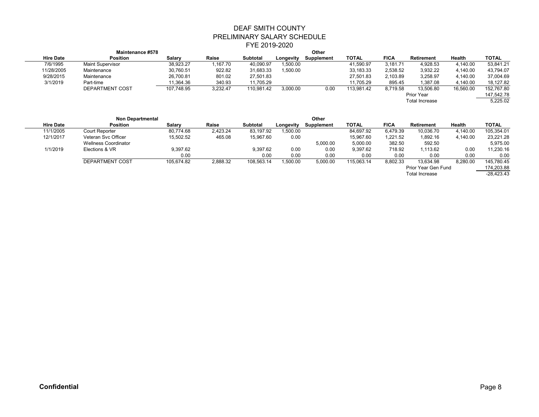#### DEAF SMITH COUNTY PRELIMINARY SALARY SCHEDULE FYE 2019-2020  $\mathbf{O}$

|                  | <b>Maintenance #578</b> |            |          |                 |           | Other      |            |             |                       |               |              |
|------------------|-------------------------|------------|----------|-----------------|-----------|------------|------------|-------------|-----------------------|---------------|--------------|
| <b>Hire Date</b> | <b>Position</b>         | Salary     | Raise    | <b>Subtotal</b> | Longevity | Supplement | TOTAL      | <b>FICA</b> | <b>Retirement</b>     | <b>Health</b> | <b>TOTAL</b> |
| 7/6/1995         | <b>Maint Supervisor</b> | 38.923.27  | .167.70  | 40.090.97       | 1.500.00  |            | 41,590.97  | 3.181.71    | 4.928.53              | 4.140.00      | 53,841.21    |
| 11/28/2005       | Maintenance             | 30,760.51  | 922.82   | 31,683.33       | 1,500.00  |            | 33,183.33  | 2,538.52    | 3,932.22              | 4,140.00      | 43,794.07    |
| 9/28/2015        | Maintenance             | 26,700.81  | 801.02   | 27,501.83       |           |            | 27,501.83  | 2,103.89    | 3,258.97              | 4,140.00      | 37,004.69    |
| 3/1/2019         | Part-time               | 11.364.36  | 340.93   | 11.705.29       |           |            | 11.705.29  | 895.45      | 1.387.08              | 4.140.00      | 18.127.82    |
|                  | DEPARTMENT COST         | 107.748.95 | 3,232.47 | 110,981.42      | 3,000.00  | 0.00       | 113.981.42 | 8.719.58    | 13.506.80             | 16,560.00     | 152,767.80   |
|                  |                         |            |          |                 |           |            |            |             | <b>Prior Year</b>     |               | 147,542.78   |
|                  |                         |            |          |                 |           |            |            |             | <b>Total Increase</b> |               | 5,225.02     |
|                  |                         |            |          |                 |           |            |            |             |                       |               |              |

|                  |                             |            |          | Other           |           |            |              |             |                       |          |              |
|------------------|-----------------------------|------------|----------|-----------------|-----------|------------|--------------|-------------|-----------------------|----------|--------------|
| <b>Hire Date</b> | <b>Position</b>             | Salary     | Raise    | <b>Subtotal</b> | Longevity | Supplement | <b>TOTAL</b> | <b>FICA</b> | <b>Retirement</b>     | Health   | <b>TOTAL</b> |
| 11/1/2005        | Court Reporter              | 80.774.68  | 2.423.24 | 83,197.92       | 1,500.00  |            | 84,697.92    | 6,479.39    | 10.036.70             | 4.140.00 | 105,354.01   |
| 12/1/2017        | Veteran Svc Officer         | 15,502.52  | 465.08   | 15,967.60       | 0.00      |            | 15,967.60    | 1,221.52    | 1.892.16              | 4.140.00 | 23,221.28    |
|                  | <b>Wellness Coordinator</b> |            |          |                 |           | 5.000.00   | 5,000.00     | 382.50      | 592.50                |          | 5,975.00     |
| 1/1/2019         | Elections & VR              | 9.397.62   |          | 9.397.62        | 0.00      | 0.00       | 9,397.62     | 718.92      | 1.113.62              | 0.00     | 11,230.16    |
|                  |                             | 0.00       |          | 0.00            | 0.00      | 0.00       | 0.00         | 0.00        | 0.00                  | 0.00     | 0.00         |
|                  | <b>DEPARTMENT COST</b>      | 105.674.82 | 2,888.32 | 108,563.14      | 1,500.00  | 5,000.00   | 115,063.14   | 8.802.33    | 13.634.98             | 8.280.00 | 145,780.45   |
|                  |                             |            |          |                 |           |            |              |             | Prior Year Gen Fund   |          | 174,203.88   |
|                  |                             |            |          |                 |           |            |              |             | <b>Total Increase</b> |          | $-28,423.43$ |
|                  |                             |            |          |                 |           |            |              |             |                       |          |              |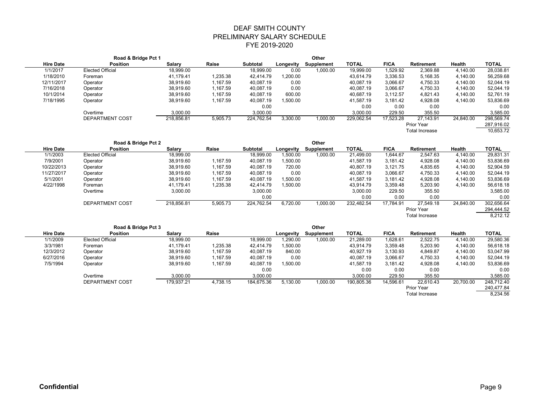|                  | Road & Bridge Pct 1    |            |          |                 |           | Other      |              |             |                |           |              |
|------------------|------------------------|------------|----------|-----------------|-----------|------------|--------------|-------------|----------------|-----------|--------------|
| <b>Hire Date</b> | <b>Position</b>        | Salary     | Raise    | <b>Subtotal</b> | Longevity | Supplement | <b>TOTAL</b> | <b>FICA</b> | Retirement     | Health    | <b>TOTAL</b> |
| 1/1/2017         | Elected Official       | 18,999.00  |          | 18,999.00       | 0.00      | 1,000.00   | 19,999.00    | 1,529.92    | 2,369.88       | 4,140.00  | 28,038.81    |
| 1/18/2010        | Foreman                | 41.179.41  | 1,235.38 | 42.414.79       | 1,200.00  |            | 43.614.79    | 3,336.53    | 5.168.35       | 4.140.00  | 56,259.68    |
| 12/11/2017       | Operator               | 38,919.60  | 1.167.59 | 40.087.19       | 0.00      |            | 40.087.19    | 3.066.67    | 4.750.33       | 4.140.00  | 52,044.19    |
| 7/16/2018        | Operator               | 38,919.60  | 1,167.59 | 40,087.19       | 0.00      |            | 40,087.19    | 3,066.67    | 4,750.33       | 4,140.00  | 52,044.19    |
| 10/1/2014        | Operator               | 38,919.60  | 1,167.59 | 40,087.19       | 600.00    |            | 40,687.19    | 3,112.57    | 4,821.43       | 4,140.00  | 52,761.19    |
| 7/18/1995        | Operator               | 38,919.60  | 1,167.59 | 40,087.19       | 1,500.00  |            | 41,587.19    | 3,181.42    | 4,928.08       | 4,140.00  | 53,836.69    |
|                  |                        |            |          | 0.00            |           |            | 0.00         | 0.00        | 0.00           |           | 0.00         |
|                  | Overtime               | 3,000.00   |          | 3,000.00        |           |            | 3,000.00     | 229.50      | 355.50         |           | 3,585.00     |
|                  | <b>DEPARTMENT COST</b> | 218,856.81 | 5,905.73 | 224,762.54      | 3,300.00  | 1,000.00   | 229,062.54   | 17,523.28   | 27.143.91      | 24,840.00 | 298,569.74   |
|                  |                        |            |          |                 |           |            |              |             | Prior Year     |           | 287,916.02   |
|                  |                        |            |          |                 |           |            |              |             | Total Increase |           | 10.653.72    |

|                  | Road & Bridge Pct 2    |            |          |                 |           | Other             |              |             |                       |           |              |
|------------------|------------------------|------------|----------|-----------------|-----------|-------------------|--------------|-------------|-----------------------|-----------|--------------|
| <b>Hire Date</b> | <b>Position</b>        | Salary     | Raise    | <b>Subtotal</b> | Longevity | <b>Supplement</b> | <b>TOTAL</b> | <b>FICA</b> | Retirement            | Health    | <b>TOTAL</b> |
| 1/1/2003         | Elected Official       | 18,999.00  |          | 18,999.00       | 1,500.00  | 1,000.00          | 21,499.00    | 1.644.67    | 2.547.63              | 4,140.00  | 29,831.31    |
| 7/9/2001         | Operator               | 38,919.60  | 1.167.59 | 40,087.19       | 1,500.00  |                   | 41.587.19    | 3.181.42    | 4,928.08              | 4,140.00  | 53,836.69    |
| 10/22/2013       | Operator               | 38.919.60  | 1.167.59 | 40.087.19       | 720.00    |                   | 40.807.19    | 3.121.75    | 4.835.65              | 4.140.00  | 52,904.59    |
| 11/27/2017       | Operator               | 38,919.60  | 1.167.59 | 40.087.19       | 0.00      |                   | 40.087.19    | 3.066.67    | 4.750.33              | 4.140.00  | 52.044.19    |
| 5/1/2001         | Operator               | 38,919.60  | 1.167.59 | 40,087.19       | 1,500.00  |                   | 41,587.19    | 3,181.42    | 4,928.08              | 4,140.00  | 53,836.69    |
| 4/22/1998        | Foreman                | 41.179.41  | 1,235.38 | 42.414.79       | 1,500.00  |                   | 43,914.79    | 3,359.48    | 5,203.90              | 4,140.00  | 56,618.18    |
|                  | Overtime               | 3,000.00   |          | 3,000.00        |           |                   | 3,000.00     | 229.50      | 355.50                |           | 3,585.00     |
|                  |                        |            |          | 0.00            |           |                   | 0.00         | 0.00        | 0.00                  |           | 0.00         |
|                  | <b>DEPARTMENT COST</b> | 218,856.81 | 5,905.73 | 224,762.54      | 6,720.00  | 1,000.00          | 232,482.54   | 17.784.91   | 27.549.18             | 24,840.00 | 302,656.64   |
|                  |                        |            |          |                 |           |                   |              |             | Prior Year            |           | 294,444.52   |
|                  |                        |            |          |                 |           |                   |              |             | <b>Total Increase</b> |           | 8,212.12     |

|                  | Road & Bridge Pct 3    |            |          |            |           | Other      |              |             |                       |           |              |
|------------------|------------------------|------------|----------|------------|-----------|------------|--------------|-------------|-----------------------|-----------|--------------|
| <b>Hire Date</b> | <b>Position</b>        | Salary     | Raise    |            | Longevity | Supplement | <b>TOTAL</b> | <b>FICA</b> | Retirement            | Health    | <b>TOTAL</b> |
| 1/1/2009         | Elected Official       | 18,999.00  |          | 18,999.00  | 1,290.00  | 1,000.00   | 21,289.00    | 1,628.61    | 2,522.75              | 4.140.00  | 29,580.36    |
| 3/3/1981         | Foreman                | 41.179.41  | 1,235.38 | 42.414.79  | 1,500.00  |            | 43.914.79    | 3,359.48    | 5,203.90              | 4.140.00  | 56,618.18    |
| 12/3/2012        | Operator               | 38.919.60  | 1.167.59 | 40.087.19  | 840.00    |            | 40.927.19    | 3.130.93    | 4.849.87              | 4.140.00  | 53,047.99    |
| 6/27/2016        | Operator               | 38,919.60  | 1,167.59 | 40,087.19  | 0.00      |            | 40,087.19    | 3,066.67    | 4,750.33              | 4,140.00  | 52,044.19    |
| 7/5/1994         | Operator               | 38,919.60  | 1.167.59 | 40,087.19  | 1,500.00  |            | 41,587.19    | 3,181.42    | 4.928.08              | 4.140.00  | 53,836.69    |
|                  |                        |            |          | 0.00       |           |            | 0.00         | 0.00        | 0.00                  |           | 0.00         |
|                  | Overtime               | 3,000.00   |          | 3,000.00   |           |            | 3.000.00     | 229.50      | 355.50                |           | 3,585.00     |
|                  | <b>DEPARTMENT COST</b> | 179.937.21 | 4.738.15 | 184,675.36 | 5,130.00  | 1,000.00   | 190,805.36   | 14,596.61   | 22.610.43             | 20,700.00 | 248,712.40   |
|                  |                        |            |          |            |           |            |              |             | Prior Year            |           | 240,477.84   |
|                  |                        |            |          |            |           |            |              |             | <b>Total Increase</b> |           | 8.234.56     |
|                  |                        |            |          |            |           |            |              |             |                       |           |              |